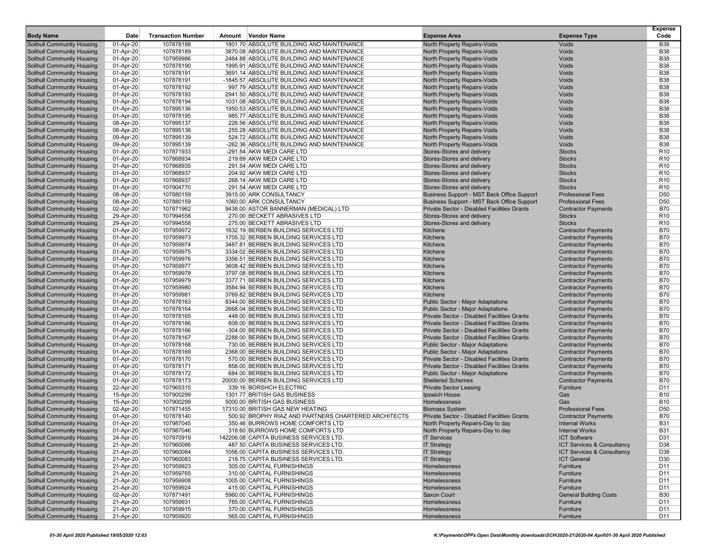| <b>Body Name</b>                                         | Date                   | <b>Transaction Number</b> | Amount Vendor Name                                                                       | <b>Expense Area</b>                                                              | <b>Expense Type</b>                                 | <b>Expense</b><br>Code             |
|----------------------------------------------------------|------------------------|---------------------------|------------------------------------------------------------------------------------------|----------------------------------------------------------------------------------|-----------------------------------------------------|------------------------------------|
| <b>Solihull Community Housing</b>                        | 01-Apr-20              | 107878188                 | 1801.70 ABSOLUTE BUILDING AND MAINTENANCE                                                | North Property Repairs-Voids                                                     | Voids                                               | <b>B</b> 38                        |
| Solihull Community Housing                               | 01-Apr-20              | 107878189                 | 3870.08 ABSOLUTE BUILDING AND MAINTENANCE                                                | North Property Repairs-Voids                                                     | Voids                                               | <b>B38</b>                         |
| Solihull Community Housing                               | 01-Apr-20              | 107959986                 | 2464.88 ABSOLUTE BUILDING AND MAINTENANCE                                                | North Property Repairs-Voids                                                     | Voids                                               | <b>B38</b>                         |
| <b>Solihull Community Housing</b>                        | 01-Apr-20              | 107878190                 | 1995.91 ABSOLUTE BUILDING AND MAINTENANCE                                                | North Property Repairs-Voids                                                     | Voids                                               | <b>B38</b>                         |
| <b>Solihull Community Housing</b>                        | 01-Apr-20              | 107878191                 | 3691.14 ABSOLUTE BUILDING AND MAINTENANCE                                                | North Property Repairs-Voids                                                     | Voids                                               | <b>B38</b>                         |
| Solihull Community Housing                               | 01-Apr-20              | 107878191                 | -1845.57 ABSOLUTE BUILDING AND MAINTENANCE                                               | North Property Repairs-Voids                                                     | Voids                                               | <b>B38</b>                         |
| <b>Solihull Community Housing</b>                        | 01-Apr-20              | 107878192                 | 997.79 ABSOLUTE BUILDING AND MAINTENANCE                                                 | North Property Repairs-Voids                                                     | Voids                                               | <b>B38</b>                         |
| <b>Solihull Community Housing</b>                        | 01-Apr-20              | 107878193                 | 2941.50 ABSOLUTE BUILDING AND MAINTENANCE                                                | North Property Repairs-Voids                                                     | Voids                                               | <b>B38</b>                         |
| Solihull Community Housing                               | 01-Apr-20              | 107878194                 | 1031.08 ABSOLUTE BUILDING AND MAINTENANCE                                                | North Property Repairs-Voids                                                     | Voids                                               | <b>B38</b>                         |
| Solihull Community Housing                               | 01-Apr-20              | 107895136                 | 1950.53 ABSOLUTE BUILDING AND MAINTENANCE                                                | North Property Repairs-Voids                                                     | Voids                                               | <b>B38</b>                         |
| Solihull Community Housing                               | 01-Apr-20              | 107878195                 | 985.77 ABSOLUTE BUILDING AND MAINTENANCE                                                 | North Property Repairs-Voids                                                     | Voids                                               | <b>B38</b>                         |
| Solihull Community Housing                               | 08-Apr-20              | 107895137                 | 226.56 ABSOLUTE BUILDING AND MAINTENANCE                                                 | North Property Repairs-Voids                                                     | Voids                                               | <b>B38</b>                         |
| Solihull Community Housing                               | 08-Apr-20              | 107895138                 | 255.28 ABSOLUTE BUILDING AND MAINTENANCE                                                 | North Property Repairs-Voids                                                     | Voids                                               | <b>B38</b>                         |
| Solihull Community Housing                               | 09-Apr-20              | 107895139                 | 524.72 ABSOLUTE BUILDING AND MAINTENANCE                                                 | North Property Repairs-Voids                                                     | Voids                                               | <b>B38</b>                         |
| Solihull Community Housing                               | 09-Apr-20              | 107895139                 | -262.36 ABSOLUTE BUILDING AND MAINTENANCE                                                | North Property Repairs-Voids                                                     | Voids                                               | <b>B38</b>                         |
| Solihull Community Housing                               | 01-Apr-20              | 107871933                 | -291.54 AKW MEDI CARE LTD                                                                | Stores-Stores and delivery                                                       | <b>Stocks</b>                                       | R <sub>10</sub>                    |
| Solihull Community Housing                               | 01-Apr-20              | 107868934                 | 219.69 AKW MEDI CARE LTD                                                                 | Stores-Stores and delivery                                                       | <b>Stocks</b>                                       | R <sub>10</sub>                    |
| <b>Solihull Community Housing</b>                        | 01-Apr-20              | 107868935                 | 291.54 AKW MEDI CARE LTD                                                                 | Stores-Stores and delivery                                                       | <b>Stocks</b>                                       | R <sub>10</sub>                    |
| Solihull Community Housing                               | 01-Apr-20              | 107868937                 | 204.92 AKW MEDI CARE LTD                                                                 | Stores-Stores and delivery                                                       | <b>Stocks</b>                                       | R <sub>10</sub>                    |
| Solihull Community Housing                               | 01-Apr-20              | 107868937                 | 268.14 AKW MEDI CARE LTD                                                                 | Stores-Stores and delivery                                                       | <b>Stocks</b>                                       | R <sub>10</sub>                    |
| Solihull Community Housing                               | 01-Apr-20              | 107904770                 | 291.54 AKW MEDI CARE LTD                                                                 | Stores-Stores and delivery                                                       | <b>Stocks</b>                                       | R <sub>10</sub>                    |
| Solihull Community Housing                               | 08-Apr-20              | 107880159                 | 3915.00 ARK CONSULTANCY                                                                  | Business Support - MST Back Office Support                                       | <b>Professional Fees</b>                            | D <sub>50</sub>                    |
| Solihull Community Housing                               | 08-Apr-20              | 107880159                 | 1060.00 ARK CONSULTANCY                                                                  | Business Support - MST Back Office Support                                       | <b>Professional Fees</b>                            | D <sub>50</sub>                    |
| Solihull Community Housing                               | 02-Apr-20              | 107871962                 | 9438.00 ASTOR BANNERMAN (MEDICAL) LTD                                                    | Private Sector - Disabled Facilities Grants                                      | <b>Contractor Payments</b>                          | <b>B70</b>                         |
| Solihull Community Housing<br>Solihull Community Housing | 29-Apr-20              | 107994558                 | 270.00 BECKETT ABRASIVES LTD<br>275.00 BECKETT ABRASIVES LTD                             | Stores-Stores and delivery                                                       | <b>Stocks</b><br><b>Stocks</b>                      | R <sub>10</sub><br>R <sub>10</sub> |
| Solihull Community Housing                               | 29-Apr-20              | 107994558<br>107959972    | 1632.19 BERBEN BUILDING SERVICES LTD                                                     | Stores-Stores and delivery                                                       | <b>Contractor Payments</b>                          | <b>B70</b>                         |
| Solihull Community Housing                               | 01-Apr-20<br>01-Apr-20 | 107959973                 | 1705.32 BERBEN BUILDING SERVICES LTD                                                     | Kitchens<br><b>Kitchens</b>                                                      | <b>Contractor Payments</b>                          | <b>B70</b>                         |
| <b>Solihull Community Housing</b>                        | 01-Apr-20              | 107959974                 | 3487.81 BERBEN BUILDING SERVICES LTD                                                     | <b>Kitchens</b>                                                                  | <b>Contractor Payments</b>                          | <b>B70</b>                         |
| Solihull Community Housing                               | 01-Apr-20              | 107959975                 | 3334.02 BERBEN BUILDING SERVICES LTD                                                     | <b>Kitchens</b>                                                                  | <b>Contractor Payments</b>                          | <b>B70</b>                         |
| Solihull Community Housing                               | 01-Apr-20              | 107959976                 | 3356.51 BERBEN BUILDING SERVICES LTD                                                     | <b>Kitchens</b>                                                                  | <b>Contractor Payments</b>                          | <b>B70</b>                         |
| <b>Solihull Community Housing</b>                        | 01-Apr-20              | 107959977                 | 3608.42 BERBEN BUILDING SERVICES LTD                                                     | Kitchens                                                                         | <b>Contractor Payments</b>                          | <b>B70</b>                         |
| Solihull Community Housing                               | 01-Apr-20              | 107959978                 | 3797.08 BERBEN BUILDING SERVICES LTD                                                     | <b>Kitchens</b>                                                                  | <b>Contractor Payments</b>                          | <b>B70</b>                         |
| Solihull Community Housing                               | 01-Apr-20              | 107959979                 | 3377.71 BERBEN BUILDING SERVICES LTD                                                     | <b>Kitchens</b>                                                                  | <b>Contractor Payments</b>                          | <b>B70</b>                         |
| Solihull Community Housing                               | 01-Apr-20              | 107959980                 | 3584.94 BERBEN BUILDING SERVICES LTD                                                     | <b>Kitchens</b>                                                                  | <b>Contractor Payments</b>                          | <b>B70</b>                         |
| Solihull Community Housing                               | 01-Apr-20              | 107959981                 | 3769.82 BERBEN BUILDING SERVICES LTD                                                     | <b>Kitchens</b>                                                                  | <b>Contractor Payments</b>                          | <b>B70</b>                         |
| Solihull Community Housing                               | 01-Apr-20              | 107878163                 | 8344.00 BERBEN BUILDING SERVICES LTD                                                     | Public Sector - Major Adaptations                                                | <b>Contractor Payments</b>                          | <b>B70</b>                         |
| Solihull Community Housing                               | 01-Apr-20              | 107878164                 | 2668.04 BERBEN BUILDING SERVICES LTD                                                     | Public Sector - Major Adaptations                                                | <b>Contractor Payments</b>                          | <b>B70</b>                         |
| Solihull Community Housing                               | 01-Apr-20              | 107878165                 | 448.00 BERBEN BUILDING SERVICES LTD                                                      | Private Sector - Disabled Facilities Grants                                      | <b>Contractor Payments</b>                          | <b>B70</b>                         |
| Solihull Community Housing                               | 01-Apr-20              | 107878166                 | 608.00 BERBEN BUILDING SERVICES LTD                                                      | <b>Private Sector - Disabled Facilities Grants</b>                               | <b>Contractor Payments</b>                          | <b>B70</b>                         |
| Solihull Community Housing                               | 01-Apr-20              | 107878166                 | -304.00 BERBEN BUILDING SERVICES LTD                                                     | Private Sector - Disabled Facilities Grants                                      | <b>Contractor Payments</b>                          | <b>B70</b>                         |
| Solihull Community Housing                               | 01-Apr-20              | 107878167                 | 2288.00 BERBEN BUILDING SERVICES LTD                                                     | Private Sector - Disabled Facilities Grants                                      | <b>Contractor Payments</b>                          | <b>B70</b>                         |
| <b>Solihull Community Housing</b>                        | 01-Apr-20              | 107878168                 | 730.00 BERBEN BUILDING SERVICES LTD                                                      | Public Sector - Major Adaptations                                                | <b>Contractor Payments</b>                          | <b>B70</b>                         |
| Solihull Community Housing                               | 01-Apr-20              | 107878169                 | 2368.00 BERBEN BUILDING SERVICES LTD                                                     | Public Sector - Major Adaptations                                                | <b>Contractor Payments</b>                          | <b>B70</b>                         |
| <b>Solihull Community Housing</b>                        | 01-Apr-20              | 107878170                 | 570.00 BERBEN BUILDING SERVICES LTD                                                      | Private Sector - Disabled Facilities Grants                                      | <b>Contractor Payments</b>                          | <b>B70</b>                         |
| Solihull Community Housing                               | 01-Apr-20              | 107878171                 | 858.00 BERBEN BUILDING SERVICES LTD                                                      | Private Sector - Disabled Facilities Grants                                      | <b>Contractor Payments</b>                          | <b>B70</b>                         |
| Solihull Community Housing                               | 01-Apr-20              | 107878172                 | 684.00 BERBEN BUILDING SERVICES LTD                                                      | Public Sector - Major Adaptations                                                | <b>Contractor Payments</b>                          | <b>B70</b>                         |
| Solihull Community Housing                               | 01-Apr-20              | 107878173                 | 20000.00 BERBEN BUILDING SERVICES LTD                                                    | <b>Sheltered Schemes</b>                                                         | <b>Contractor Payments</b>                          | <b>B70</b>                         |
| Solihull Community Housing                               | 22-Apr-20              | 107965315                 | 339.16 BORSHCH ELECTRIC                                                                  | <b>Private Sector Leasing</b>                                                    | Furniture                                           | D11                                |
| Solihull Community Housing                               | 15-Apr-20              | 107900299                 | 1301.77 BRITISH GAS BUSINESS                                                             | Ipswich House                                                                    | Gas                                                 | <b>B10</b>                         |
| <b>Solihull Community Housing</b>                        | 15-Apr-20              | 107900299                 | 5000.00 BRITISH GAS BUSINESS                                                             | Homelessness                                                                     | Gas                                                 | <b>B10</b>                         |
| <b>Solihull Community Housing</b>                        | 02-Apr-20              | 107871455                 | 17310.00 BRITISH GAS NEW HEATING<br>500.92 BROPHY RIAZ AND PARTNERS CHARTERED ARCHITECTS | <b>Biomass System</b>                                                            | <b>Professional Fees</b>                            | D <sub>50</sub><br><b>B70</b>      |
| Solihull Community Housing<br>Solihull Community Housing | 01-Apr-20<br>01-Apr-20 | 107878140<br>107987045    | 350.46 BURROWS HOME COMFORTS LTD                                                         | Private Sector - Disabled Facilities Grants<br>North Property Repairs-Day to day | <b>Contractor Payments</b><br><b>Internal Works</b> | <b>B31</b>                         |
| <b>Solihull Community Housing</b>                        | 01-Apr-20              | 107987046                 | 318.60 BURROWS HOME COMFORTS LTD                                                         | North Property Repairs-Day to day                                                | <b>Internal Works</b>                               | <b>B31</b>                         |
| Solihull Community Housing                               | 24-Apr-20              | 107970919                 | 142206.08 CAPITA BUSINESS SERVICES LTD.                                                  | <b>IT Services</b>                                                               | <b>ICT Software</b>                                 | D31                                |
| Solihull Community Housing                               | 21-Apr-20              | 107960086                 | 487.50 CAPITA BUSINESS SERVICES LTD.                                                     | <b>IT Strategy</b>                                                               | ICT Services & Consultancy                          | D38                                |
| Solihull Community Housing                               | 21-Apr-20              | 107960084                 | 1056.00 CAPITA BUSINESS SERVICES LTD.                                                    | <b>IT Strategy</b>                                                               | ICT Services & Consultancy                          | D38                                |
| Solihull Community Housing                               | 21-Apr-20              | 107960083                 | 218.75 CAPITA BUSINESS SERVICES LTD.                                                     | <b>IT Strategy</b>                                                               | <b>ICT General</b>                                  | D <sub>30</sub>                    |
| Solihull Community Housing                               | 21-Apr-20              | 107959923                 | 305.00 CAPITAL FURNISHINGS                                                               | Homelessness                                                                     | Furniture                                           | D11                                |
| Solihull Community Housing                               | 21-Apr-20              | 107959765                 | 310.00 CAPITAL FURNISHINGS                                                               | Homelessness                                                                     | Furniture                                           | D11                                |
| Solihull Community Housing                               | 21-Apr-20              | 107959908                 | 1005.00 CAPITAL FURNISHINGS                                                              | Homelessness                                                                     | Furniture                                           | D11                                |
| Solihull Community Housing                               | 21-Apr-20              | 107959924                 | 415.00 CAPITAL FURNISHINGS                                                               | Homelessness                                                                     | Furniture                                           | D11                                |
| Solihull Community Housing                               | 02-Apr-20              | 107871491                 | 5960.00 CAPITAL FURNISHINGS                                                              | Saxon Court                                                                      | <b>General Building Costs</b>                       | <b>B30</b>                         |
| <b>Solihull Community Housing</b>                        | 21-Apr-20              | 107959931                 | 785.00 CAPITAL FURNISHINGS                                                               | Homelessness                                                                     | Furniture                                           | D11                                |
| Solihull Community Housing                               | 21-Apr-20              | 107959915                 | 370.00 CAPITAL FURNISHINGS                                                               | Homelessness                                                                     | Furniture                                           | D11                                |
| <b>Solihull Community Housing</b>                        | 21-Apr-20              | 107959920                 | 565.00 CAPITAL FURNISHINGS                                                               | Homelessness                                                                     | Furniture                                           | D11                                |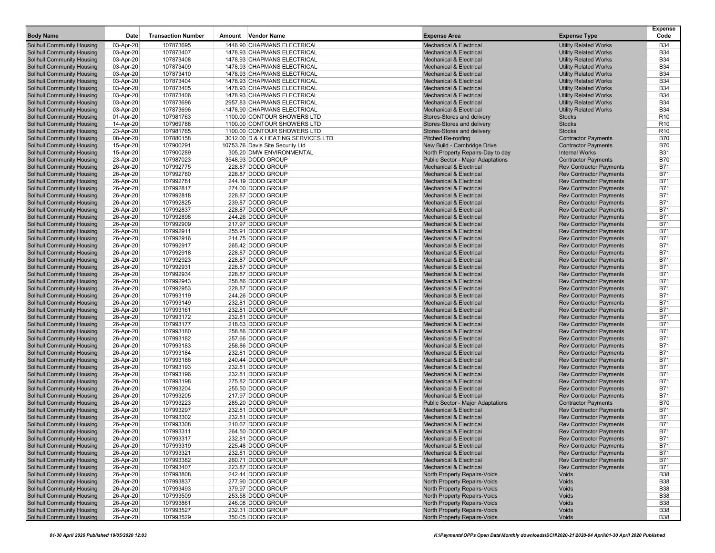| <b>Body Name</b>                                                | Date                   | <b>Transaction Number</b> | Amount Vendor Name                     | <b>Expense Area</b>                                                      | <b>Expense Type</b>                                              | <b>Expense</b><br>Code   |
|-----------------------------------------------------------------|------------------------|---------------------------|----------------------------------------|--------------------------------------------------------------------------|------------------------------------------------------------------|--------------------------|
| <b>Solihull Community Housing</b>                               | 03-Apr-20              | 107873695                 | 1446.90 CHAPMANS ELECTRICAL            | <b>Mechanical &amp; Electrical</b>                                       | <b>Utility Related Works</b>                                     | <b>B34</b>               |
| <b>Solihull Community Housing</b>                               | 03-Apr-20              | 107873407                 | 1478.93 CHAPMANS ELECTRICAL            | <b>Mechanical &amp; Electrical</b>                                       | <b>Utility Related Works</b>                                     | <b>B34</b>               |
| <b>Solihull Community Housing</b>                               | 03-Apr-20              | 107873408                 | 1478.93 CHAPMANS ELECTRICAL            | <b>Mechanical &amp; Electrical</b>                                       | <b>Utility Related Works</b>                                     | <b>B34</b>               |
| <b>Solihull Community Housing</b>                               | 03-Apr-20              | 107873409                 | 1478.93 CHAPMANS ELECTRICAL            | <b>Mechanical &amp; Electrical</b>                                       | <b>Utility Related Works</b>                                     | <b>B34</b>               |
| <b>Solihull Community Housing</b>                               | 03-Apr-20              | 107873410                 | 1478.93 CHAPMANS ELECTRICAL            | <b>Mechanical &amp; Electrical</b>                                       | <b>Utility Related Works</b>                                     | <b>B34</b>               |
| <b>Solihull Community Housing</b>                               | 03-Apr-20              | 107873404                 | 1478.93 CHAPMANS ELECTRICAL            | <b>Mechanical &amp; Electrical</b>                                       | <b>Utility Related Works</b>                                     | <b>B34</b>               |
| <b>Solihull Community Housing</b>                               | 03-Apr-20              | 107873405                 | 1478.93 CHAPMANS ELECTRICAL            | <b>Mechanical &amp; Electrical</b>                                       | <b>Utility Related Works</b>                                     | <b>B34</b>               |
| <b>Solihull Community Housing</b>                               | 03-Apr-20              | 107873406                 | 1478.93 CHAPMANS ELECTRICAL            | <b>Mechanical &amp; Electrical</b>                                       | <b>Utility Related Works</b>                                     | <b>B34</b>               |
| <b>Solihull Community Housing</b>                               | 03-Apr-20              | 107873696                 | 2957.83 CHAPMANS ELECTRICAL            | <b>Mechanical &amp; Electrical</b>                                       | <b>Utility Related Works</b>                                     | <b>B34</b>               |
| <b>Solihull Community Housing</b>                               | 03-Apr-20              | 107873696                 | -1478.90 CHAPMANS ELECTRICAL           | <b>Mechanical &amp; Electrical</b>                                       | <b>Utility Related Works</b>                                     | <b>B34</b>               |
| Solihull Community Housing                                      | 01-Apr-20              | 107981763                 | 1100.00 CONTOUR SHOWERS LTD            | Stores-Stores and delivery                                               | <b>Stocks</b>                                                    | R <sub>10</sub>          |
| <b>Solihull Community Housing</b>                               | 14-Apr-20              | 107969788                 | 1100.00 CONTOUR SHOWERS LTD            | Stores-Stores and delivery                                               | <b>Stocks</b>                                                    | R <sub>10</sub>          |
| <b>Solihull Community Housing</b>                               | 23-Apr-20              | 107981765                 | 1100.00 CONTOUR SHOWERS LTD            | Stores-Stores and delivery                                               | <b>Stocks</b>                                                    | R <sub>10</sub>          |
| Solihull Community Housing                                      | 08-Apr-20              | 107880158                 | 3012.00 D & K HEATING SERVICES LTD     | Pitched Re-roofing                                                       | <b>Contractor Payments</b>                                       | <b>B70</b>               |
| <b>Solihull Community Housing</b>                               | 15-Apr-20              | 107900291                 | 10753.76 Davis Site Security Ltd       | New Build - Cambridge Drive                                              | <b>Contractor Payments</b>                                       | <b>B70</b>               |
| <b>Solihull Community Housing</b>                               | 15-Apr-20              | 107900289                 | 305.20 DMW ENVIRONMENTAL               | North Property Repairs-Day to day                                        | <b>Internal Works</b>                                            | <b>B31</b>               |
| <b>Solihull Community Housing</b>                               | 23-Apr-20              | 107987023                 | 3548.93 DODD GROUP                     | Public Sector - Major Adaptations                                        | <b>Contractor Payments</b>                                       | <b>B70</b>               |
| <b>Solihull Community Housing</b>                               | 26-Apr-20              | 107992775                 | 228.87 DODD GROUP                      | <b>Mechanical &amp; Electrical</b>                                       | <b>Rev Contractor Payments</b>                                   | <b>B71</b>               |
| <b>Solihull Community Housing</b>                               | 26-Apr-20              | 107992780                 | 228.87 DODD GROUP                      | <b>Mechanical &amp; Electrical</b>                                       | <b>Rev Contractor Payments</b>                                   | <b>B71</b>               |
| <b>Solihull Community Housing</b>                               | 26-Apr-20              | 107992781                 | 244.19 DODD GROUP                      | <b>Mechanical &amp; Electrical</b>                                       | <b>Rev Contractor Payments</b>                                   | <b>B71</b>               |
| <b>Solihull Community Housing</b>                               | 26-Apr-20              | 107992817                 | 274.00 DODD GROUP                      | <b>Mechanical &amp; Electrical</b>                                       | <b>Rev Contractor Payments</b>                                   | <b>B71</b>               |
| <b>Solihull Community Housing</b>                               | 26-Apr-20              | 107992818                 | 228.87 DODD GROUP                      | <b>Mechanical &amp; Electrical</b>                                       | <b>Rev Contractor Payments</b>                                   | <b>B71</b>               |
| <b>Solihull Community Housing</b>                               | 26-Apr-20              | 107992825                 | 239.87 DODD GROUP                      | <b>Mechanical &amp; Electrical</b>                                       | <b>Rev Contractor Payments</b>                                   | <b>B71</b>               |
| <b>Solihull Community Housing</b>                               | 26-Apr-20              | 107992837                 | 228.87 DODD GROUP                      | <b>Mechanical &amp; Electrical</b>                                       | <b>Rev Contractor Payments</b>                                   | <b>B71</b>               |
| <b>Solihull Community Housing</b>                               | 26-Apr-20              | 107992898                 | 244.26 DODD GROUP                      | <b>Mechanical &amp; Electrical</b>                                       | <b>Rev Contractor Payments</b>                                   | <b>B71</b>               |
| <b>Solihull Community Housing</b>                               | 26-Apr-20              | 107992909                 | 217.97 DODD GROUP                      | <b>Mechanical &amp; Electrical</b>                                       | <b>Rev Contractor Payments</b>                                   | <b>B71</b>               |
| <b>Solihull Community Housing</b>                               | 26-Apr-20              | 107992911                 | 255.91 DODD GROUP                      | <b>Mechanical &amp; Electrical</b>                                       | <b>Rev Contractor Payments</b>                                   | <b>B71</b>               |
| <b>Solihull Community Housing</b>                               | 26-Apr-20              | 107992916                 | 214.75 DODD GROUP                      | <b>Mechanical &amp; Electrical</b>                                       | <b>Rev Contractor Payments</b>                                   | <b>B71</b>               |
| <b>Solihull Community Housing</b>                               | 26-Apr-20              | 107992917                 | 265.42 DODD GROUP                      | <b>Mechanical &amp; Electrical</b>                                       | <b>Rev Contractor Payments</b>                                   | <b>B71</b>               |
| <b>Solihull Community Housing</b>                               | 26-Apr-20              | 107992918                 | 228.87 DODD GROUP                      | <b>Mechanical &amp; Electrical</b>                                       | <b>Rev Contractor Payments</b>                                   | <b>B71</b>               |
| <b>Solihull Community Housing</b>                               | 26-Apr-20              | 107992923                 | 228.87 DODD GROUP                      | <b>Mechanical &amp; Electrical</b>                                       | <b>Rev Contractor Payments</b>                                   | <b>B71</b>               |
| <b>Solihull Community Housing</b>                               | 26-Apr-20              | 107992931                 | 228.87 DODD GROUP                      | <b>Mechanical &amp; Electrical</b>                                       | <b>Rev Contractor Payments</b>                                   | <b>B71</b>               |
| <b>Solihull Community Housing</b>                               | 26-Apr-20              | 107992934                 | 228.87 DODD GROUP                      | <b>Mechanical &amp; Electrical</b>                                       | <b>Rev Contractor Payments</b>                                   | <b>B71</b>               |
| <b>Solihull Community Housing</b>                               | 26-Apr-20              | 107992943                 | 258.86 DODD GROUP                      | <b>Mechanical &amp; Electrical</b>                                       | <b>Rev Contractor Payments</b>                                   | <b>B71</b>               |
| <b>Solihull Community Housing</b>                               | 26-Apr-20              | 107992953                 | 228.87 DODD GROUP                      | <b>Mechanical &amp; Electrical</b>                                       | <b>Rev Contractor Payments</b>                                   | <b>B71</b>               |
| Solihull Community Housing                                      | 26-Apr-20              | 107993119                 | 244.26 DODD GROUP                      | <b>Mechanical &amp; Electrical</b>                                       | <b>Rev Contractor Payments</b>                                   | <b>B71</b>               |
| <b>Solihull Community Housing</b>                               | 26-Apr-20              | 107993149                 | 232.81 DODD GROUP                      | <b>Mechanical &amp; Electrical</b>                                       | <b>Rev Contractor Payments</b>                                   | <b>B71</b>               |
| <b>Solihull Community Housing</b>                               | 26-Apr-20              | 107993161                 | 232.81 DODD GROUP                      | <b>Mechanical &amp; Electrical</b>                                       | <b>Rev Contractor Payments</b>                                   | <b>B71</b><br><b>B71</b> |
| Solihull Community Housing<br><b>Solihull Community Housing</b> | 26-Apr-20              | 107993172<br>107993177    | 232.81 DODD GROUP<br>218.63 DODD GROUP | <b>Mechanical &amp; Electrical</b><br><b>Mechanical &amp; Electrical</b> | <b>Rev Contractor Payments</b><br><b>Rev Contractor Payments</b> | <b>B71</b>               |
| <b>Solihull Community Housing</b>                               | 26-Apr-20<br>26-Apr-20 | 107993180                 | 258.86 DODD GROUP                      | <b>Mechanical &amp; Electrical</b>                                       | <b>Rev Contractor Payments</b>                                   | <b>B71</b>               |
| <b>Solihull Community Housing</b>                               | 26-Apr-20              | 107993182                 | 257.66 DODD GROUP                      | <b>Mechanical &amp; Electrical</b>                                       | <b>Rev Contractor Payments</b>                                   | <b>B71</b>               |
| <b>Solihull Community Housing</b>                               | 26-Apr-20              | 107993183                 | 258.86 DODD GROUP                      | <b>Mechanical &amp; Electrical</b>                                       | <b>Rev Contractor Payments</b>                                   | <b>B71</b>               |
| <b>Solihull Community Housing</b>                               | 26-Apr-20              | 107993184                 | 232.81 DODD GROUP                      | <b>Mechanical &amp; Electrical</b>                                       | <b>Rev Contractor Payments</b>                                   | <b>B71</b>               |
| <b>Solihull Community Housing</b>                               | 26-Apr-20              | 107993186                 | 240.44 DODD GROUP                      | <b>Mechanical &amp; Electrical</b>                                       | <b>Rev Contractor Payments</b>                                   | <b>B71</b>               |
| <b>Solihull Community Housing</b>                               | 26-Apr-20              | 107993193                 | 232.81 DODD GROUP                      | <b>Mechanical &amp; Electrical</b>                                       | <b>Rev Contractor Payments</b>                                   | <b>B71</b>               |
| <b>Solihull Community Housing</b>                               | 26-Apr-20              | 107993196                 | 232.81 DODD GROUP                      | <b>Mechanical &amp; Electrical</b>                                       | <b>Rev Contractor Payments</b>                                   | <b>B71</b>               |
| <b>Solihull Community Housing</b>                               | 26-Apr-20              | 107993198                 | 275.82 DODD GROUP                      | <b>Mechanical &amp; Electrical</b>                                       | <b>Rev Contractor Payments</b>                                   | <b>B71</b>               |
| <b>Solihull Community Housing</b>                               | 26-Apr-20              | 107993204                 | 255.50 DODD GROUP                      | <b>Mechanical &amp; Electrical</b>                                       | <b>Rev Contractor Payments</b>                                   | <b>B71</b>               |
| <b>Solihull Community Housing</b>                               | 26-Apr-20              | 107993205                 | 217.97 DODD GROUP                      | <b>Mechanical &amp; Electrical</b>                                       | <b>Rev Contractor Payments</b>                                   | <b>B71</b>               |
| <b>Solihull Community Housing</b>                               | 26-Apr-20              | 107993223                 | 285.20 DODD GROUP                      | <b>Public Sector - Major Adaptations</b>                                 | <b>Contractor Payments</b>                                       | <b>B70</b>               |
| <b>Solihull Community Housing</b>                               | 26-Apr-20              | 107993297                 | 232.81 DODD GROUP                      | <b>Mechanical &amp; Electrical</b>                                       | <b>Rev Contractor Payments</b>                                   | <b>B71</b>               |
| Solihull Community Housing                                      | 26-Apr-20              | 107993302                 | 232.81 DODD GROUP                      | <b>Mechanical &amp; Electrical</b>                                       | <b>Rev Contractor Payments</b>                                   | <b>B71</b>               |
| <b>Solihull Community Housing</b>                               | 26-Apr-20              | 107993308                 | 210.67 DODD GROUP                      | <b>Mechanical &amp; Electrical</b>                                       | <b>Rev Contractor Payments</b>                                   | <b>B71</b>               |
| <b>Solihull Community Housing</b>                               | 26-Apr-20              | 107993311                 | 264.50 DODD GROUP                      | Mechanical & Electrical                                                  | Rev Contractor Payments                                          | <b>B71</b>               |
| <b>Solihull Community Housing</b>                               | 26-Apr-20              | 107993317                 | 232.81 DODD GROUP                      | <b>Mechanical &amp; Electrical</b>                                       | <b>Rev Contractor Payments</b>                                   | <b>B71</b>               |
| <b>Solihull Community Housing</b>                               | 26-Apr-20              | 107993319                 | 225.48 DODD GROUP                      | Mechanical & Electrical                                                  | <b>Rev Contractor Payments</b>                                   | <b>B71</b>               |
| <b>Solihull Community Housing</b>                               | 26-Apr-20              | 107993321                 | 232.81 DODD GROUP                      | Mechanical & Electrical                                                  | <b>Rev Contractor Payments</b>                                   | <b>B71</b>               |
| <b>Solihull Community Housing</b>                               | 26-Apr-20              | 107993382                 | 260.71 DODD GROUP                      | Mechanical & Electrical                                                  | <b>Rev Contractor Payments</b>                                   | <b>B71</b>               |
| <b>Solihull Community Housing</b>                               | 26-Apr-20              | 107993407                 | 223.87 DODD GROUP                      | <b>Mechanical &amp; Electrical</b>                                       | <b>Rev Contractor Payments</b>                                   | <b>B71</b>               |
| <b>Solihull Community Housing</b>                               | 26-Apr-20              | 107993808                 | 242.44 DODD GROUP                      | North Property Repairs-Voids                                             | Voids                                                            | <b>B38</b>               |
| <b>Solihull Community Housing</b>                               | 26-Apr-20              | 107993837                 | 277.90 DODD GROUP                      | North Property Repairs-Voids                                             | Voids                                                            | <b>B38</b>               |
| <b>Solihull Community Housing</b>                               | 26-Apr-20              | 107993493                 | 379.97 DODD GROUP                      | North Property Repairs-Voids                                             | Voids                                                            | <b>B38</b>               |
| <b>Solihull Community Housing</b>                               | 26-Apr-20              | 107993509                 | 253.58 DODD GROUP                      | North Property Repairs-Voids                                             | Voids                                                            | <b>B38</b>               |
| <b>Solihull Community Housing</b>                               | 26-Apr-20              | 107993861                 | 246.08 DODD GROUP                      | North Property Repairs-Voids                                             | Voids                                                            | <b>B38</b>               |
| <b>Solihull Community Housing</b>                               | 26-Apr-20              | 107993527                 | 232.31 DODD GROUP                      | North Property Repairs-Voids                                             | Voids                                                            | <b>B38</b>               |
| <b>Solihull Community Housing</b>                               | 26-Apr-20              | 107993529                 | 350.05 DODD GROUP                      | North Property Repairs-Voids                                             | Voids                                                            | <b>B38</b>               |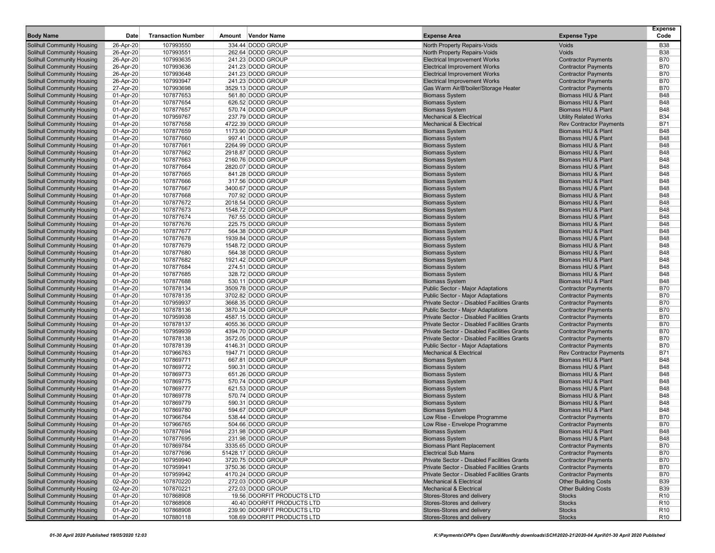| <b>Body Name</b>                                                | Date                   | <b>Transaction Number</b> | Amount Vendor Name                      | <b>Expense Area</b>                                         | <b>Expense Type</b>                                            | <b>Expense</b><br>Code   |
|-----------------------------------------------------------------|------------------------|---------------------------|-----------------------------------------|-------------------------------------------------------------|----------------------------------------------------------------|--------------------------|
| Solihull Community Housing                                      | 26-Apr-20              | 107993550                 | 334.44 DODD GROUP                       | North Property Repairs-Voids                                | Voids                                                          | <b>B38</b>               |
| Solihull Community Housing                                      | 26-Apr-20              | 107993551                 | 262.64 DODD GROUP                       | North Property Repairs-Voids                                | Voids                                                          | <b>B38</b>               |
| Solihull Community Housing                                      | 26-Apr-20              | 107993635                 | 241.23 DODD GROUP                       | <b>Electrical Improvement Works</b>                         | <b>Contractor Payments</b>                                     | <b>B70</b>               |
| <b>Solihull Community Housing</b>                               | 26-Apr-20              | 107993636                 | 241.23 DODD GROUP                       | <b>Electrical Improvement Works</b>                         | <b>Contractor Payments</b>                                     | <b>B70</b>               |
| Solihull Community Housing                                      | 26-Apr-20              | 107993648                 | 241.23 DODD GROUP                       | <b>Electrical Improvement Works</b>                         | <b>Contractor Payments</b>                                     | <b>B70</b>               |
| Solihull Community Housing                                      | 26-Apr-20              | 107993947                 | 241.23 DODD GROUP                       | <b>Electrical Improvement Works</b>                         | <b>Contractor Payments</b>                                     | <b>B70</b>               |
| Solihull Community Housing                                      | 27-Apr-20              | 107993698                 | 3529.13 DODD GROUP                      | Gas Warm Air/B'boiler/Storage Heater                        | <b>Contractor Payments</b>                                     | <b>B70</b>               |
| <b>Solihull Community Housing</b>                               | 01-Apr-20              | 107877653                 | 561.80 DODD GROUP                       | <b>Biomass System</b>                                       | Biomass HIU & Plant                                            | <b>B48</b>               |
| Solihull Community Housing                                      | 01-Apr-20              | 107877654                 | 626.52 DODD GROUP                       | <b>Biomass System</b>                                       | Biomass HIU & Plant                                            | <b>B48</b>               |
| Solihull Community Housing                                      | 01-Apr-20              | 107877657                 | 570.74 DODD GROUP<br>237.79 DODD GROUP  | <b>Biomass System</b><br><b>Mechanical &amp; Electrical</b> | Biomass HIU & Plant                                            | <b>B48</b><br><b>B34</b> |
| <b>Solihull Community Housing</b><br>Solihull Community Housing | 01-Apr-20<br>01-Apr-20 | 107959767<br>107877658    | 4722.39 DODD GROUP                      | <b>Mechanical &amp; Electrical</b>                          | <b>Utility Related Works</b><br><b>Rev Contractor Payments</b> | <b>B71</b>               |
| Solihull Community Housing                                      | 01-Apr-20              | 107877659                 | 1173.90 DODD GROUP                      | <b>Biomass System</b>                                       | Biomass HIU & Plant                                            | <b>B48</b>               |
| Solihull Community Housing                                      | 01-Apr-20              | 107877660                 | 997.41 DODD GROUP                       | <b>Biomass System</b>                                       | Biomass HIU & Plant                                            | <b>B48</b>               |
| Solihull Community Housing                                      | 01-Apr-20              | 107877661                 | 2264.99 DODD GROUP                      | <b>Biomass System</b>                                       | Biomass HIU & Plant                                            | <b>B48</b>               |
| Solihull Community Housing                                      | 01-Apr-20              | 107877662                 | 2918.87 DODD GROUP                      | <b>Biomass System</b>                                       | Biomass HIU & Plant                                            | <b>B48</b>               |
| Solihull Community Housing                                      | 01-Apr-20              | 107877663                 | 2160.76 DODD GROUP                      | <b>Biomass System</b>                                       | Biomass HIU & Plant                                            | <b>B48</b>               |
| Solihull Community Housing                                      | 01-Apr-20              | 107877664                 | 2820.07 DODD GROUP                      | <b>Biomass System</b>                                       | Biomass HIU & Plant                                            | <b>B48</b>               |
| Solihull Community Housing                                      | 01-Apr-20              | 107877665                 | 841.28 DODD GROUP                       | <b>Biomass System</b>                                       | Biomass HIU & Plant                                            | <b>B48</b>               |
| Solihull Community Housing                                      | 01-Apr-20              | 107877666                 | 317.56 DODD GROUP                       | <b>Biomass System</b>                                       | Biomass HIU & Plant                                            | <b>B48</b>               |
| <b>Solihull Community Housing</b>                               | 01-Apr-20              | 107877667                 | 3400.67 DODD GROUP                      | <b>Biomass System</b>                                       | Biomass HIU & Plant                                            | <b>B48</b>               |
| Solihull Community Housing                                      | 01-Apr-20              | 107877668                 | 707.92 DODD GROUP                       | <b>Biomass System</b>                                       | Biomass HIU & Plant                                            | <b>B48</b>               |
| Solihull Community Housing                                      | 01-Apr-20              | 107877672                 | 2018.54 DODD GROUP                      | <b>Biomass System</b>                                       | Biomass HIU & Plant                                            | <b>B48</b>               |
| Solihull Community Housing                                      | 01-Apr-20              | 107877673                 | 1548.72 DODD GROUP                      | <b>Biomass System</b>                                       | Biomass HIU & Plant                                            | <b>B48</b>               |
| Solihull Community Housing                                      | 01-Apr-20              | 107877674                 | 767.55 DODD GROUP                       | <b>Biomass System</b>                                       | Biomass HIU & Plant                                            | <b>B48</b>               |
| Solihull Community Housing                                      | 01-Apr-20              | 107877676                 | 225.75 DODD GROUP                       | <b>Biomass System</b>                                       | Biomass HIU & Plant                                            | <b>B48</b>               |
| Solihull Community Housing                                      | 01-Apr-20              | 107877677                 | 564.38 DODD GROUP                       | <b>Biomass System</b>                                       | Biomass HIU & Plant                                            | <b>B48</b>               |
| Solihull Community Housing                                      | 01-Apr-20              | 107877678                 | 1939.84 DODD GROUP                      | <b>Biomass System</b>                                       | Biomass HIU & Plant                                            | <b>B48</b>               |
| Solihull Community Housing                                      | 01-Apr-20              | 107877679                 | 1548.72 DODD GROUP                      | <b>Biomass System</b>                                       | Biomass HIU & Plant                                            | <b>B48</b>               |
| Solihull Community Housing<br>Solihull Community Housing        | 01-Apr-20              | 107877680                 | 564.38 DODD GROUP                       | <b>Biomass System</b>                                       | Biomass HIU & Plant                                            | <b>B48</b><br><b>B48</b> |
| Solihull Community Housing                                      | 01-Apr-20              | 107877682<br>107877684    | 1921.42 DODD GROUP<br>274.51 DODD GROUP | <b>Biomass System</b><br><b>Biomass System</b>              | Biomass HIU & Plant<br>Biomass HIU & Plant                     | <b>B48</b>               |
| <b>Solihull Community Housing</b>                               | 01-Apr-20<br>01-Apr-20 | 107877685                 | 328.72 DODD GROUP                       | <b>Biomass System</b>                                       | Biomass HIU & Plant                                            | <b>B48</b>               |
| Solihull Community Housing                                      | 01-Apr-20              | 107877688                 | 530.11 DODD GROUP                       | <b>Biomass System</b>                                       | Biomass HIU & Plant                                            | <b>B48</b>               |
| Solihull Community Housing                                      | 01-Apr-20              | 107878134                 | 3509.78 DODD GROUP                      | Public Sector - Major Adaptations                           | <b>Contractor Payments</b>                                     | <b>B70</b>               |
| <b>Solihull Community Housing</b>                               | 01-Apr-20              | 107878135                 | 3702.82 DODD GROUP                      | <b>Public Sector - Major Adaptations</b>                    | <b>Contractor Payments</b>                                     | <b>B70</b>               |
| Solihull Community Housing                                      | 01-Apr-20              | 107959937                 | 3668.35 DODD GROUP                      | Private Sector - Disabled Facilities Grants                 | <b>Contractor Payments</b>                                     | <b>B70</b>               |
| Solihull Community Housing                                      | 01-Apr-20              | 107878136                 | 3870.34 DODD GROUP                      | Public Sector - Major Adaptations                           | <b>Contractor Payments</b>                                     | <b>B70</b>               |
| Solihull Community Housing                                      | 01-Apr-20              | 107959938                 | 4587.15 DODD GROUP                      | Private Sector - Disabled Facilities Grants                 | <b>Contractor Payments</b>                                     | <b>B70</b>               |
| Solihull Community Housing                                      | 01-Apr-20              | 107878137                 | 4055.36 DODD GROUP                      | Private Sector - Disabled Facilities Grants                 | <b>Contractor Payments</b>                                     | <b>B70</b>               |
| Solihull Community Housing                                      | 01-Apr-20              | 107959939                 | 4394.70 DODD GROUP                      | Private Sector - Disabled Facilities Grants                 | <b>Contractor Payments</b>                                     | <b>B70</b>               |
| <b>Solihull Community Housing</b>                               | 01-Apr-20              | 107878138                 | 3572.05 DODD GROUP                      | Private Sector - Disabled Facilities Grants                 | <b>Contractor Payments</b>                                     | <b>B70</b>               |
| Solihull Community Housing                                      | 01-Apr-20              | 107878139                 | 4146.31 DODD GROUP                      | Public Sector - Major Adaptations                           | <b>Contractor Payments</b>                                     | <b>B70</b>               |
| <b>Solihull Community Housing</b>                               | 01-Apr-20              | 107966763                 | 1947.71 DODD GROUP                      | <b>Mechanical &amp; Electrical</b>                          | <b>Rev Contractor Payments</b>                                 | <b>B71</b>               |
| Solihull Community Housing                                      | 01-Apr-20              | 107869771                 | 667.81 DODD GROUP                       | <b>Biomass System</b>                                       | Biomass HIU & Plant                                            | <b>B48</b>               |
| Solihull Community Housing                                      | 01-Apr-20              | 107869772                 | 590.31 DODD GROUP                       | <b>Biomass System</b>                                       | Biomass HIU & Plant                                            | <b>B48</b>               |
| <b>Solihull Community Housing</b>                               | 01-Apr-20              | 107869773                 | 651.26 DODD GROUP                       | <b>Biomass System</b>                                       | Biomass HIU & Plant                                            | <b>B48</b>               |
| Solihull Community Housing                                      | 01-Apr-20              | 107869775                 | 570.74 DODD GROUP                       | <b>Biomass System</b>                                       | Biomass HIU & Plant                                            | <b>B48</b><br><b>B48</b> |
| Solihull Community Housing<br>Solihull Community Housing        | 01-Apr-20<br>01-Apr-20 | 107869777<br>107869778    | 621.53 DODD GROUP<br>570.74 DODD GROUP  | <b>Biomass System</b><br><b>Biomass System</b>              | Biomass HIU & Plant<br>Biomass HIU & Plant                     | <b>B48</b>               |
| Solihull Community Housing                                      | 01-Apr-20              | 107869779                 | 590.31 DODD GROUP                       | <b>Biomass System</b>                                       | Biomass HIU & Plant                                            | <b>B48</b>               |
| <b>Solihull Community Housing</b>                               | 01-Apr-20              | 107869780                 | 594.67 DODD GROUP                       | <b>Biomass System</b>                                       | Biomass HIU & Plant                                            | <b>B48</b>               |
| Solihull Community Housing                                      | 01-Apr-20              | 107966764                 | 538.44 DODD GROUP                       | Low Rise - Envelope Programme                               | <b>Contractor Payments</b>                                     | <b>B70</b>               |
| Solihull Community Housing                                      | 01-Apr-20              | 107966765                 | 504.66 DODD GROUP                       | Low Rise - Envelope Programme                               | <b>Contractor Payments</b>                                     | <b>B70</b>               |
| Solihull Community Housing                                      | 01-Apr-20              | 107877694                 | 231.98 DODD GROUP                       | <b>Biomass System</b>                                       | Biomass HIU & Plant                                            | <b>B48</b>               |
| Solihull Community Housing                                      | 01-Apr-20              | 107877695                 | 231.98 DODD GROUP                       | <b>Biomass System</b>                                       | Biomass HIU & Plant                                            | <b>B48</b>               |
| Solihull Community Housing                                      | 01-Apr-20              | 107869784                 | 3335.65 DODD GROUP                      | <b>Biomass Plant Replacement</b>                            | <b>Contractor Payments</b>                                     | <b>B70</b>               |
| Solihull Community Housing                                      | 01-Apr-20              | 107877696                 | 51428.17 DODD GROUP                     | <b>Electrical Sub Mains</b>                                 | <b>Contractor Payments</b>                                     | <b>B70</b>               |
| Solihull Community Housing                                      | 01-Apr-20              | 107959940                 | 3720.75 DODD GROUP                      | Private Sector - Disabled Facilities Grants                 | <b>Contractor Payments</b>                                     | <b>B70</b>               |
| Solihull Community Housing                                      | 01-Apr-20              | 107959941                 | 3750.36 DODD GROUP                      | Private Sector - Disabled Facilities Grants                 | <b>Contractor Payments</b>                                     | <b>B70</b>               |
| Solihull Community Housing                                      | 01-Apr-20              | 107959942                 | 4170.24 DODD GROUP                      | Private Sector - Disabled Facilities Grants                 | <b>Contractor Payments</b>                                     | <b>B70</b>               |
| Solihull Community Housing                                      | 02-Apr-20              | 107870220                 | 272.03 DODD GROUP                       | <b>Mechanical &amp; Electrical</b>                          | <b>Other Building Costs</b>                                    | <b>B39</b>               |
| Solihull Community Housing                                      | 02-Apr-20              | 107870221                 | 272.03 DODD GROUP                       | <b>Mechanical &amp; Electrical</b>                          | <b>Other Building Costs</b>                                    | <b>B39</b>               |
| Solihull Community Housing                                      | 01-Apr-20              | 107868908                 | 19.56 DOORFIT PRODUCTS LTD              | Stores-Stores and delivery                                  | <b>Stocks</b>                                                  | R <sub>10</sub>          |
| Solihull Community Housing                                      | 01-Apr-20              | 107868908                 | 40.40 DOORFIT PRODUCTS LTD              | Stores-Stores and delivery                                  | <b>Stocks</b>                                                  | R <sub>10</sub>          |
| Solihull Community Housing                                      | 01-Apr-20              | 107868908                 | 239.90 DOORFIT PRODUCTS LTD             | Stores-Stores and delivery                                  | <b>Stocks</b>                                                  | R <sub>10</sub>          |
| Solihull Community Housing                                      | 01-Apr-20              | 107880118                 | 108.69 DOORFIT PRODUCTS LTD             | Stores-Stores and delivery                                  | <b>Stocks</b>                                                  | R <sub>10</sub>          |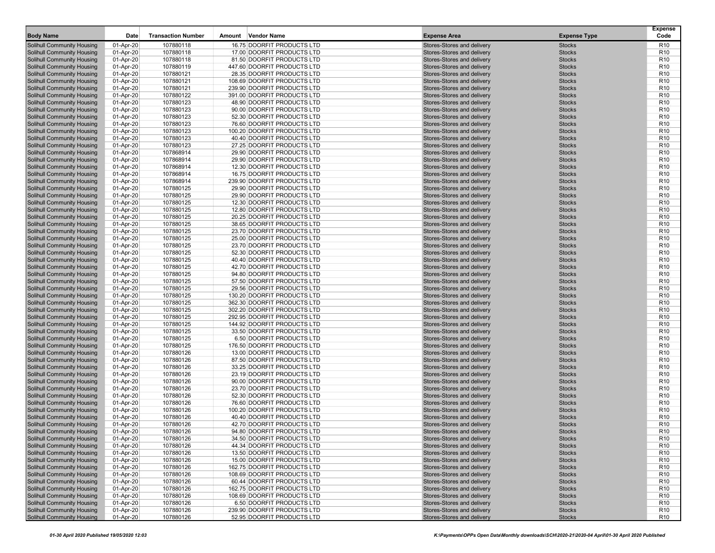| <b>Body Name</b>                                                       | Date                   | <b>Transaction Number</b> | Vendor Name<br>Amount                                    | <b>Expense Area</b>                                      | <b>Expense Type</b>            | <b>Expense</b><br>Code             |
|------------------------------------------------------------------------|------------------------|---------------------------|----------------------------------------------------------|----------------------------------------------------------|--------------------------------|------------------------------------|
| <b>Solihull Community Housing</b>                                      | 01-Apr-20              | 107880118                 | 16.75 DOORFIT PRODUCTS LTD                               | Stores-Stores and delivery                               | <b>Stocks</b>                  | R <sub>10</sub>                    |
| <b>Solihull Community Housing</b>                                      | 01-Apr-20              | 107880118                 | 17.00 DOORFIT PRODUCTS LTD                               | Stores-Stores and delivery                               | <b>Stocks</b>                  | R <sub>10</sub>                    |
| <b>Solihull Community Housing</b>                                      | 01-Apr-20              | 107880118                 | 81.50 DOORFIT PRODUCTS LTD                               | Stores-Stores and delivery                               | <b>Stocks</b>                  | R <sub>10</sub>                    |
| <b>Solihull Community Housing</b>                                      | 01-Apr-20              | 107880119                 | 447.60 DOORFIT PRODUCTS LTD                              | Stores-Stores and delivery                               | <b>Stocks</b>                  | R <sub>10</sub>                    |
| <b>Solihull Community Housing</b>                                      | 01-Apr-20              | 107880121                 | 28.35 DOORFIT PRODUCTS LTD                               | Stores-Stores and delivery                               | <b>Stocks</b>                  | R <sub>10</sub>                    |
| <b>Solihull Community Housing</b>                                      | 01-Apr-20              | 107880121                 | 108.69 DOORFIT PRODUCTS LTD                              | Stores-Stores and delivery                               | <b>Stocks</b>                  | R <sub>10</sub>                    |
| <b>Solihull Community Housing</b>                                      | 01-Apr-20              | 107880121                 | 239.90 DOORFIT PRODUCTS LTD                              | Stores-Stores and delivery                               | <b>Stocks</b>                  | R <sub>10</sub>                    |
| <b>Solihull Community Housing</b>                                      | 01-Apr-20              | 107880122                 | 391.00 DOORFIT PRODUCTS LTD                              | Stores-Stores and delivery                               | <b>Stocks</b>                  | R <sub>10</sub>                    |
| <b>Solihull Community Housing</b>                                      | 01-Apr-20              | 107880123                 | 48.90 DOORFIT PRODUCTS LTD                               | Stores-Stores and delivery                               | <b>Stocks</b>                  | R <sub>10</sub>                    |
| <b>Solihull Community Housing</b>                                      | 01-Apr-20              | 107880123                 | 90.00 DOORFIT PRODUCTS LTD                               | Stores-Stores and delivery                               | <b>Stocks</b>                  | R <sub>10</sub>                    |
| <b>Solihull Community Housing</b><br><b>Solihull Community Housing</b> | 01-Apr-20<br>01-Apr-20 | 107880123<br>107880123    | 52.30 DOORFIT PRODUCTS LTD<br>76.60 DOORFIT PRODUCTS LTD | Stores-Stores and delivery<br>Stores-Stores and delivery | <b>Stocks</b><br><b>Stocks</b> | R <sub>10</sub><br>R <sub>10</sub> |
| <b>Solihull Community Housing</b>                                      | 01-Apr-20              | 107880123                 | 100.20 DOORFIT PRODUCTS LTD                              | Stores-Stores and delivery                               | <b>Stocks</b>                  | R <sub>10</sub>                    |
| <b>Solihull Community Housing</b>                                      | 01-Apr-20              | 107880123                 | 40.40 DOORFIT PRODUCTS LTD                               | Stores-Stores and delivery                               | <b>Stocks</b>                  | R <sub>10</sub>                    |
| <b>Solihull Community Housing</b>                                      | 01-Apr-20              | 107880123                 | 27.25 DOORFIT PRODUCTS LTD                               | Stores-Stores and delivery                               | <b>Stocks</b>                  | R <sub>10</sub>                    |
| <b>Solihull Community Housing</b>                                      | 01-Apr-20              | 107868914                 | 29.90 DOORFIT PRODUCTS LTD                               | Stores-Stores and delivery                               | <b>Stocks</b>                  | R <sub>10</sub>                    |
| <b>Solihull Community Housing</b>                                      | 01-Apr-20              | 107868914                 | 29.90 DOORFIT PRODUCTS LTD                               | Stores-Stores and delivery                               | <b>Stocks</b>                  | R <sub>10</sub>                    |
| <b>Solihull Community Housing</b>                                      | 01-Apr-20              | 107868914                 | 12.30 DOORFIT PRODUCTS LTD                               | Stores-Stores and delivery                               | <b>Stocks</b>                  | R <sub>10</sub>                    |
| <b>Solihull Community Housing</b>                                      | 01-Apr-20              | 107868914                 | 16.75 DOORFIT PRODUCTS LTD                               | Stores-Stores and delivery                               | <b>Stocks</b>                  | R <sub>10</sub>                    |
| Solihull Community Housing                                             | 01-Apr-20              | 107868914                 | 239.90 DOORFIT PRODUCTS LTD                              | Stores-Stores and delivery                               | <b>Stocks</b>                  | R <sub>10</sub>                    |
| <b>Solihull Community Housing</b>                                      | 01-Apr-20              | 107880125                 | 29.90 DOORFIT PRODUCTS LTD                               | Stores-Stores and delivery                               | <b>Stocks</b>                  | R <sub>10</sub>                    |
| <b>Solihull Community Housing</b>                                      | 01-Apr-20              | 107880125                 | 29.90 DOORFIT PRODUCTS LTD                               | Stores-Stores and delivery                               | <b>Stocks</b>                  | R <sub>10</sub>                    |
| <b>Solihull Community Housing</b>                                      | 01-Apr-20              | 107880125                 | 12.30 DOORFIT PRODUCTS LTD                               | Stores-Stores and delivery                               | <b>Stocks</b>                  | R <sub>10</sub>                    |
| <b>Solihull Community Housing</b>                                      | 01-Apr-20              | 107880125                 | 12.80 DOORFIT PRODUCTS LTD                               | Stores-Stores and delivery                               | <b>Stocks</b>                  | R <sub>10</sub>                    |
| <b>Solihull Community Housing</b>                                      | 01-Apr-20              | 107880125                 | 20.25 DOORFIT PRODUCTS LTD                               | Stores-Stores and delivery                               | <b>Stocks</b>                  | R <sub>10</sub>                    |
| <b>Solihull Community Housing</b>                                      | 01-Apr-20              | 107880125                 | 38.65 DOORFIT PRODUCTS LTD<br>23.70 DOORFIT PRODUCTS LTD | Stores-Stores and delivery                               | <b>Stocks</b>                  | R <sub>10</sub>                    |
| <b>Solihull Community Housing</b><br><b>Solihull Community Housing</b> | 01-Apr-20              | 107880125                 | 25.00 DOORFIT PRODUCTS LTD                               | Stores-Stores and delivery                               | <b>Stocks</b><br><b>Stocks</b> | R <sub>10</sub><br>R <sub>10</sub> |
| <b>Solihull Community Housing</b>                                      | 01-Apr-20<br>01-Apr-20 | 107880125<br>107880125    | 23.70 DOORFIT PRODUCTS LTD                               | Stores-Stores and delivery<br>Stores-Stores and delivery | <b>Stocks</b>                  | R <sub>10</sub>                    |
| <b>Solihull Community Housing</b>                                      | 01-Apr-20              | 107880125                 | 52.30 DOORFIT PRODUCTS LTD                               | Stores-Stores and delivery                               | <b>Stocks</b>                  | R <sub>10</sub>                    |
| <b>Solihull Community Housing</b>                                      | 01-Apr-20              | 107880125                 | 40.40 DOORFIT PRODUCTS LTD                               | Stores-Stores and delivery                               | <b>Stocks</b>                  | R <sub>10</sub>                    |
| <b>Solihull Community Housing</b>                                      | 01-Apr-20              | 107880125                 | 42.70 DOORFIT PRODUCTS LTD                               | Stores-Stores and delivery                               | <b>Stocks</b>                  | R <sub>10</sub>                    |
| <b>Solihull Community Housing</b>                                      | 01-Apr-20              | 107880125                 | 94.80 DOORFIT PRODUCTS LTD                               | Stores-Stores and delivery                               | <b>Stocks</b>                  | R <sub>10</sub>                    |
| <b>Solihull Community Housing</b>                                      | 01-Apr-20              | 107880125                 | 57.50 DOORFIT PRODUCTS LTD                               | Stores-Stores and delivery                               | <b>Stocks</b>                  | R <sub>10</sub>                    |
| <b>Solihull Community Housing</b>                                      | 01-Apr-20              | 107880125                 | 29.56 DOORFIT PRODUCTS LTD                               | Stores-Stores and delivery                               | <b>Stocks</b>                  | R <sub>10</sub>                    |
| <b>Solihull Community Housing</b>                                      | 01-Apr-20              | 107880125                 | 130.20 DOORFIT PRODUCTS LTD                              | Stores-Stores and delivery                               | <b>Stocks</b>                  | R <sub>10</sub>                    |
| <b>Solihull Community Housing</b>                                      | 01-Apr-20              | 107880125                 | 362.30 DOORFIT PRODUCTS LTD                              | Stores-Stores and delivery                               | <b>Stocks</b>                  | R <sub>10</sub>                    |
| <b>Solihull Community Housing</b>                                      | 01-Apr-20              | 107880125                 | 302.20 DOORFIT PRODUCTS LTD                              | Stores-Stores and delivery                               | <b>Stocks</b>                  | R <sub>10</sub>                    |
| <b>Solihull Community Housing</b>                                      | 01-Apr-20              | 107880125                 | 292.95 DOORFIT PRODUCTS LTD                              | Stores-Stores and delivery                               | <b>Stocks</b>                  | R <sub>10</sub>                    |
| <b>Solihull Community Housing</b>                                      | 01-Apr-20              | 107880125                 | 144.92 DOORFIT PRODUCTS LTD                              | Stores-Stores and delivery                               | <b>Stocks</b>                  | R <sub>10</sub><br>R <sub>10</sub> |
| <b>Solihull Community Housing</b><br><b>Solihull Community Housing</b> | 01-Apr-20<br>01-Apr-20 | 107880125<br>107880125    | 33.50 DOORFIT PRODUCTS LTD<br>6.50 DOORFIT PRODUCTS LTD  | Stores-Stores and delivery<br>Stores-Stores and delivery | <b>Stocks</b><br><b>Stocks</b> | R <sub>10</sub>                    |
| <b>Solihull Community Housing</b>                                      | 01-Apr-20              | 107880125                 | 176.50 DOORFIT PRODUCTS LTD                              | Stores-Stores and delivery                               | <b>Stocks</b>                  | R <sub>10</sub>                    |
| <b>Solihull Community Housing</b>                                      | 01-Apr-20              | 107880126                 | 13.00 DOORFIT PRODUCTS LTD                               | Stores-Stores and delivery                               | <b>Stocks</b>                  | R <sub>10</sub>                    |
| Solihull Community Housing                                             | 01-Apr-20              | 107880126                 | 87.50 DOORFIT PRODUCTS LTD                               | Stores-Stores and delivery                               | <b>Stocks</b>                  | R <sub>10</sub>                    |
| <b>Solihull Community Housing</b>                                      | 01-Apr-20              | 107880126                 | 33.25 DOORFIT PRODUCTS LTD                               | Stores-Stores and delivery                               | <b>Stocks</b>                  | R <sub>10</sub>                    |
| <b>Solihull Community Housing</b>                                      | 01-Apr-20              | 107880126                 | 23.19 DOORFIT PRODUCTS LTD                               | Stores-Stores and delivery                               | <b>Stocks</b>                  | R <sub>10</sub>                    |
| <b>Solihull Community Housing</b>                                      | 01-Apr-20              | 107880126                 | 90.00 DOORFIT PRODUCTS LTD                               | Stores-Stores and delivery                               | <b>Stocks</b>                  | R <sub>10</sub>                    |
| <b>Solihull Community Housing</b>                                      | 01-Apr-20              | 107880126                 | 23.70 DOORFIT PRODUCTS LTD                               | Stores-Stores and delivery                               | <b>Stocks</b>                  | R <sub>10</sub>                    |
| <b>Solihull Community Housing</b>                                      | 01-Apr-20              | 107880126                 | 52.30 DOORFIT PRODUCTS LTD                               | Stores-Stores and delivery                               | <b>Stocks</b>                  | R <sub>10</sub>                    |
| <b>Solihull Community Housing</b>                                      | 01-Apr-20              | 107880126                 | 76.60 DOORFIT PRODUCTS LTD                               | Stores-Stores and delivery                               | <b>Stocks</b>                  | R <sub>10</sub>                    |
| <b>Solihull Community Housing</b>                                      | 01-Apr-20              | 107880126                 | 100.20 DOORFIT PRODUCTS LTD                              | Stores-Stores and delivery                               | <b>Stocks</b>                  | R <sub>10</sub>                    |
| <b>Solihull Community Housing</b>                                      | 01-Apr-20              | 107880126                 | 40.40 DOORFIT PRODUCTS LTD                               | Stores-Stores and delivery                               | <b>Stocks</b>                  | R <sub>10</sub>                    |
| <b>Solihull Community Housing</b><br>Solihull Community Housing        | 01-Apr-20              | 107880126                 | 42.70 DOORFIT PRODUCTS LTD                               | Stores-Stores and delivery                               | <b>Stocks</b>                  | R <sub>10</sub>                    |
| <b>Solihull Community Housing</b>                                      | 01-Apr-20<br>01-Apr-20 | 107880126<br>107880126    | 94.80 DOORFIT PRODUCTS LTD<br>34.50 DOORFIT PRODUCTS LTD | Stores-Stores and delivery<br>Stores-Stores and delivery | <b>Stocks</b><br><b>Stocks</b> | R <sub>10</sub><br>R <sub>10</sub> |
| <b>Solihull Community Housing</b>                                      | 01-Apr-20              | 107880126                 | 44.34 DOORFIT PRODUCTS LTD                               | Stores-Stores and delivery                               | <b>Stocks</b>                  | R <sub>10</sub>                    |
| <b>Solihull Community Housing</b>                                      | 01-Apr-20              | 107880126                 | 13.50 DOORFIT PRODUCTS LTD                               | Stores-Stores and delivery                               | <b>Stocks</b>                  | R <sub>10</sub>                    |
| <b>Solihull Community Housing</b>                                      | 01-Apr-20              | 107880126                 | 15.00 DOORFIT PRODUCTS LTD                               | Stores-Stores and delivery                               | <b>Stocks</b>                  | R <sub>10</sub>                    |
| <b>Solihull Community Housing</b>                                      | 01-Apr-20              | 107880126                 | 162.75 DOORFIT PRODUCTS LTD                              | Stores-Stores and delivery                               | <b>Stocks</b>                  | R <sub>10</sub>                    |
| <b>Solihull Community Housing</b>                                      | 01-Apr-20              | 107880126                 | 108.69 DOORFIT PRODUCTS LTD                              | Stores-Stores and delivery                               | <b>Stocks</b>                  | R <sub>10</sub>                    |
| <b>Solihull Community Housing</b>                                      | 01-Apr-20              | 107880126                 | 60.44 DOORFIT PRODUCTS LTD                               | Stores-Stores and delivery                               | <b>Stocks</b>                  | R <sub>10</sub>                    |
| <b>Solihull Community Housing</b>                                      | 01-Apr-20              | 107880126                 | 162.75 DOORFIT PRODUCTS LTD                              | Stores-Stores and delivery                               | <b>Stocks</b>                  | R <sub>10</sub>                    |
| <b>Solihull Community Housing</b>                                      | 01-Apr-20              | 107880126                 | 108.69 DOORFIT PRODUCTS LTD                              | Stores-Stores and delivery                               | <b>Stocks</b>                  | R <sub>10</sub>                    |
| <b>Solihull Community Housing</b>                                      | 01-Apr-20              | 107880126                 | 6.50 DOORFIT PRODUCTS LTD                                | Stores-Stores and delivery                               | <b>Stocks</b>                  | R <sub>10</sub>                    |
| <b>Solihull Community Housing</b>                                      | 01-Apr-20              | 107880126                 | 239.90 DOORFIT PRODUCTS LTD                              | Stores-Stores and delivery                               | <b>Stocks</b>                  | R <sub>10</sub>                    |
| <b>Solihull Community Housing</b>                                      | 01-Apr-20              | 107880126                 | 52.95 DOORFIT PRODUCTS LTD                               | Stores-Stores and delivery                               | <b>Stocks</b>                  | R <sub>10</sub>                    |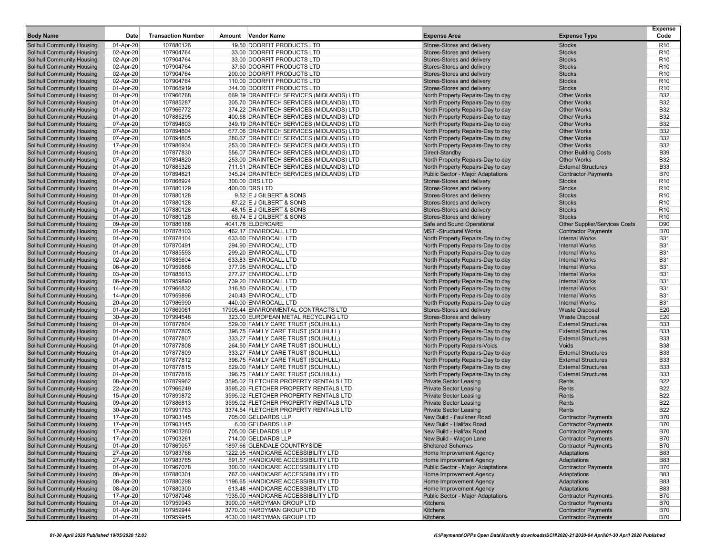| <b>Body Name</b>                                                       | Date                   | <b>Transaction Number</b> | Vendor Name<br>Amount                                                                | <b>Expense Area</b>                                                    | <b>Expense Type</b>                                      | <b>Expense</b><br>Code   |
|------------------------------------------------------------------------|------------------------|---------------------------|--------------------------------------------------------------------------------------|------------------------------------------------------------------------|----------------------------------------------------------|--------------------------|
| <b>Solihull Community Housing</b>                                      | 01-Apr-20              | 107880126                 | 19.50 DOORFIT PRODUCTS LTD                                                           | Stores-Stores and delivery                                             | <b>Stocks</b>                                            | R <sub>10</sub>          |
| <b>Solihull Community Housing</b>                                      | 02-Apr-20              | 107904764                 | 33.00 DOORFIT PRODUCTS LTD                                                           | Stores-Stores and delivery                                             | <b>Stocks</b>                                            | R <sub>10</sub>          |
| <b>Solihull Community Housing</b>                                      | 02-Apr-20              | 107904764                 | 33.00 DOORFIT PRODUCTS LTD                                                           | Stores-Stores and delivery                                             | <b>Stocks</b>                                            | R <sub>10</sub>          |
| <b>Solihull Community Housing</b>                                      | 02-Apr-20              | 107904764                 | 37.50 DOORFIT PRODUCTS LTD                                                           | Stores-Stores and delivery                                             | <b>Stocks</b>                                            | R <sub>10</sub>          |
| <b>Solihull Community Housing</b>                                      | 02-Apr-20              | 107904764                 | 200.00 DOORFIT PRODUCTS LTD                                                          | Stores-Stores and delivery                                             | <b>Stocks</b>                                            | R <sub>10</sub>          |
| <b>Solihull Community Housing</b>                                      | 02-Apr-20              | 107904764                 | 110.00 DOORFIT PRODUCTS LTD                                                          | Stores-Stores and delivery                                             | <b>Stocks</b>                                            | R <sub>10</sub>          |
| <b>Solihull Community Housing</b>                                      | 01-Apr-20              | 107868919                 | 344.00 DOORFIT PRODUCTS LTD                                                          | Stores-Stores and delivery                                             | <b>Stocks</b>                                            | R <sub>10</sub>          |
| <b>Solihull Community Housing</b>                                      | 01-Apr-20              | 107966768                 | 669.39 DRAINTECH SERVICES (MIDLANDS) LTD                                             | North Property Repairs-Day to day                                      | <b>Other Works</b>                                       | <b>B32</b>               |
| <b>Solihull Community Housing</b>                                      | 01-Apr-20              | 107885287                 | 305.70 DRAINTECH SERVICES (MIDLANDS) LTD                                             | North Property Repairs-Day to day                                      | <b>Other Works</b>                                       | <b>B32</b>               |
| <b>Solihull Community Housing</b>                                      | 01-Apr-20              | 107966772                 | 374.22 DRAINTECH SERVICES (MIDLANDS) LTD                                             | North Property Repairs-Day to day                                      | <b>Other Works</b>                                       | <b>B32</b>               |
| <b>Solihull Community Housing</b>                                      | 01-Apr-20              | 107885295                 | 400.58 DRAINTECH SERVICES (MIDLANDS) LTD                                             | North Property Repairs-Day to day                                      | <b>Other Works</b>                                       | <b>B32</b>               |
| <b>Solihull Community Housing</b>                                      | 07-Apr-20              | 107894803                 | 349.19 DRAINTECH SERVICES (MIDLANDS) LTD                                             | North Property Repairs-Day to day                                      | <b>Other Works</b>                                       | <b>B32</b>               |
| <b>Solihull Community Housing</b><br><b>Solihull Community Housing</b> | 07-Apr-20<br>07-Apr-20 | 107894804<br>107894805    | 677.06 DRAINTECH SERVICES (MIDLANDS) LTD<br>280.67 DRAINTECH SERVICES (MIDLANDS) LTD | North Property Repairs-Day to day<br>North Property Repairs-Day to day | <b>Other Works</b><br><b>Other Works</b>                 | <b>B32</b><br><b>B32</b> |
| <b>Solihull Community Housing</b>                                      | 17-Apr-20              | 107986934                 | 253.00 DRAINTECH SERVICES (MIDLANDS) LTD                                             | North Property Repairs-Day to day                                      | <b>Other Works</b>                                       | <b>B32</b>               |
| <b>Solihull Community Housing</b>                                      | 01-Apr-20              | 107877830                 | 556.07 DRAINTECH SERVICES (MIDLANDS) LTD                                             | Direct-Standby                                                         | <b>Other Building Costs</b>                              | <b>B39</b>               |
| <b>Solihull Community Housing</b>                                      | 07-Apr-20              | 107894820                 | 253.00 DRAINTECH SERVICES (MIDLANDS) LTD                                             | North Property Repairs-Day to day                                      | <b>Other Works</b>                                       | <b>B32</b>               |
| <b>Solihull Community Housing</b>                                      | 01-Apr-20              | 107885326                 | 711.51 DRAINTECH SERVICES (MIDLANDS) LTD                                             | North Property Repairs-Day to day                                      | <b>External Structures</b>                               | <b>B33</b>               |
| <b>Solihull Community Housing</b>                                      | 07-Apr-20              | 107894821                 | 345.24 DRAINTECH SERVICES (MIDLANDS) LTD                                             | <b>Public Sector - Major Adaptations</b>                               | <b>Contractor Payments</b>                               | <b>B70</b>               |
| <b>Solihull Community Housing</b>                                      | 01-Apr-20              | 107868924                 | 300.00 DRS LTD                                                                       | Stores-Stores and delivery                                             | <b>Stocks</b>                                            | R <sub>10</sub>          |
| <b>Solihull Community Housing</b>                                      | 01-Apr-20              | 107880129                 | 400.00 DRS LTD                                                                       | Stores-Stores and delivery                                             | <b>Stocks</b>                                            | R <sub>10</sub>          |
| <b>Solihull Community Housing</b>                                      | 01-Apr-20              | 107880128                 | 9.52 E J GILBERT & SONS                                                              | Stores-Stores and delivery                                             | <b>Stocks</b>                                            | R <sub>10</sub>          |
| <b>Solihull Community Housing</b>                                      | 01-Apr-20              | 107880128                 | 87.22 E J GILBERT & SONS                                                             | Stores-Stores and delivery                                             | <b>Stocks</b>                                            | R <sub>10</sub>          |
| <b>Solihull Community Housing</b>                                      | 01-Apr-20              | 107880128                 | 48.15 E J GILBERT & SONS                                                             | Stores-Stores and delivery                                             | <b>Stocks</b>                                            | R <sub>10</sub>          |
| <b>Solihull Community Housing</b>                                      | 01-Apr-20              | 107880128                 | 69.74 E J GILBERT & SONS                                                             | Stores-Stores and delivery                                             | <b>Stocks</b>                                            | R <sub>10</sub>          |
| <b>Solihull Community Housing</b>                                      | 09-Apr-20              | 107886188                 | 4041.78 ELDERCARE                                                                    | Safe and Sound Operational                                             | <b>Other Supplier/Services Costs</b>                     | D90                      |
| <b>Solihull Community Housing</b>                                      | 01-Apr-20              | 107878103                 | 462.17 ENVIROCALL LTD                                                                | <b>MST</b> -Structural Works                                           | <b>Contractor Payments</b>                               | <b>B70</b>               |
| <b>Solihull Community Housing</b>                                      | 01-Apr-20              | 107878104                 | 633.60 ENVIROCALL LTD                                                                | North Property Repairs-Day to day                                      | <b>Internal Works</b>                                    | <b>B31</b>               |
| <b>Solihull Community Housing</b>                                      | 01-Apr-20              | 107870491                 | 294.90 ENVIROCALL LTD                                                                | North Property Repairs-Day to day                                      | <b>Internal Works</b>                                    | <b>B31</b>               |
| <b>Solihull Community Housing</b>                                      | 01-Apr-20              | 107885593                 | 299.20 ENVIROCALL LTD                                                                | North Property Repairs-Day to day                                      | <b>Internal Works</b>                                    | <b>B31</b>               |
| <b>Solihull Community Housing</b>                                      | 02-Apr-20              | 107885604                 | 633.83 ENVIROCALL LTD                                                                | North Property Repairs-Day to day                                      | <b>Internal Works</b>                                    | <b>B31</b>               |
| <b>Solihull Community Housing</b>                                      | 06-Apr-20              | 107959888                 | 377.95 ENVIROCALL LTD                                                                | North Property Repairs-Day to day                                      | <b>Internal Works</b>                                    | <b>B31</b>               |
| <b>Solihull Community Housing</b>                                      | 03-Apr-20              | 107885613                 | 277.27 ENVIROCALL LTD                                                                | North Property Repairs-Day to day                                      | <b>Internal Works</b>                                    | <b>B31</b>               |
| <b>Solihull Community Housing</b>                                      | 06-Apr-20              | 107959890                 | 739.20 ENVIROCALL LTD                                                                | North Property Repairs-Day to day                                      | <b>Internal Works</b>                                    | <b>B31</b><br><b>B31</b> |
| <b>Solihull Community Housing</b><br><b>Solihull Community Housing</b> | 14-Apr-20<br>14-Apr-20 | 107966832<br>107959896    | 316.80 ENVIROCALL LTD<br>240.43 ENVIROCALL LTD                                       | North Property Repairs-Day to day<br>North Property Repairs-Day to day | <b>Internal Works</b><br><b>Internal Works</b>           | <b>B31</b>               |
| <b>Solihull Community Housing</b>                                      | 20-Apr-20              | 107986990                 | 440.00 ENVIROCALL LTD                                                                | North Property Repairs-Day to day                                      | <b>Internal Works</b>                                    | <b>B31</b>               |
| <b>Solihull Community Housing</b>                                      | 01-Apr-20              | 107869061                 | 17905.44 ENVIRONMENTAL CONTRACTS LTD                                                 | Stores-Stores and delivery                                             | <b>Waste Disposal</b>                                    | E20                      |
| <b>Solihull Community Housing</b>                                      | 30-Apr-20              | 107994548                 | 323.00 EUROPEAN METAL RECYCLING LTD                                                  | Stores-Stores and delivery                                             | <b>Waste Disposal</b>                                    | E20                      |
| <b>Solihull Community Housing</b>                                      | 01-Apr-20              | 107877804                 | 529.00 FAMILY CARE TRUST (SOLIHULL)                                                  | North Property Repairs-Day to day                                      | <b>External Structures</b>                               | <b>B33</b>               |
| <b>Solihull Community Housing</b>                                      | 01-Apr-20              | 107877805                 | 396.75 FAMILY CARE TRUST (SOLIHULL)                                                  | North Property Repairs-Day to day                                      | <b>External Structures</b>                               | <b>B33</b>               |
| <b>Solihull Community Housing</b>                                      | 01-Apr-20              | 107877807                 | 333.27 FAMILY CARE TRUST (SOLIHULL)                                                  | North Property Repairs-Day to day                                      | <b>External Structures</b>                               | <b>B33</b>               |
| <b>Solihull Community Housing</b>                                      | 01-Apr-20              | 107877808                 | 264.50 FAMILY CARE TRUST (SOLIHULL)                                                  | North Property Repairs-Voids                                           | Voids                                                    | <b>B38</b>               |
| <b>Solihull Community Housing</b>                                      | 01-Apr-20              | 107877809                 | 333.27 FAMILY CARE TRUST (SOLIHULL)                                                  | North Property Repairs-Day to day                                      | <b>External Structures</b>                               | <b>B33</b>               |
| Solihull Community Housing                                             | 01-Apr-20              | 107877812                 | 396.75 FAMILY CARE TRUST (SOLIHULL)                                                  | North Property Repairs-Day to day                                      | <b>External Structures</b>                               | <b>B33</b>               |
| <b>Solihull Community Housing</b>                                      | 01-Apr-20              | 107877815                 | 529.00 FAMILY CARE TRUST (SOLIHULL)                                                  | North Property Repairs-Day to day                                      | <b>External Structures</b>                               | <b>B33</b>               |
| <b>Solihull Community Housing</b>                                      | 01-Apr-20              | 107877816                 | 396.75 FAMILY CARE TRUST (SOLIHULL)                                                  | North Property Repairs-Day to day                                      | <b>External Structures</b>                               | <b>B33</b>               |
| <b>Solihull Community Housing</b>                                      | 08-Apr-20              | 107879962                 | 3595.02 FLETCHER PROPERTY RENTALS LTD                                                | <b>Private Sector Leasing</b>                                          | Rents                                                    | <b>B22</b>               |
| <b>Solihull Community Housing</b>                                      | 22-Apr-20              | 107966249                 | 3595.20 FLETCHER PROPERTY RENTALS LTD                                                | <b>Private Sector Leasing</b>                                          | Rents                                                    | <b>B22</b>               |
| <b>Solihull Community Housing</b>                                      | 15-Apr-20              | 107899872                 | 3595.02 FLETCHER PROPERTY RENTALS LTD                                                | <b>Private Sector Leasing</b>                                          | Rents                                                    | <b>B22</b>               |
| <b>Solihull Community Housing</b>                                      | 09-Apr-20              | 107886813                 | 3595.02 FLETCHER PROPERTY RENTALS LTD                                                | <b>Private Sector Leasing</b>                                          | Rents                                                    | <b>B22</b>               |
| <b>Solihull Community Housing</b><br><b>Solihull Community Housing</b> | 30-Apr-20              | 107991763                 | 3374.54 FLETCHER PROPERTY RENTALS LTD<br>705.00 GELDARDS LLP                         | <b>Private Sector Leasing</b><br>New Build - Faulkner Road             | Rents<br><b>Contractor Payments</b>                      | <b>B22</b><br><b>B70</b> |
| <b>Solihull Community Housing</b>                                      | 17-Apr-20<br>17-Apr-20 | 107903145<br>107903145    | 6.00 GELDARDS LLP                                                                    | New Build - Halifax Road                                               | <b>Contractor Payments</b>                               | <b>B70</b>               |
|                                                                        |                        |                           |                                                                                      |                                                                        |                                                          |                          |
| Solihull Community Housing<br><b>Solihull Community Housing</b>        | 17-Apr-20<br>17-Apr-20 | 107903260<br>107903261    | 705.00 GELDARDS LLP<br>714.00 GELDARDS LLP                                           | New Build - Halifax Road<br>New Build - Wagon Lane                     | <b>Contractor Payments</b><br><b>Contractor Payments</b> | B70<br><b>B70</b>        |
| <b>Solihull Community Housing</b>                                      | 01-Apr-20              | 107869057                 | 1897.66 GLENDALE COUNTRYSIDE                                                         | <b>Sheltered Schemes</b>                                               | <b>Contractor Payments</b>                               | <b>B70</b>               |
| <b>Solihull Community Housing</b>                                      | 27-Apr-20              | 107983766                 | 1222.95 HANDICARE ACCESSIBILITY LTD                                                  | Home Improvement Agency                                                | Adaptations                                              | <b>B83</b>               |
| <b>Solihull Community Housing</b>                                      | 27-Apr-20              | 107983765                 | 591.57 HANDICARE ACCESSIBILITY LTD                                                   | Home Improvement Agency                                                | Adaptations                                              | <b>B83</b>               |
| <b>Solihull Community Housing</b>                                      | 01-Apr-20              | 107967078                 | 300.00 HANDICARE ACCESSIBILITY LTD                                                   | <b>Public Sector - Major Adaptations</b>                               | <b>Contractor Payments</b>                               | <b>B70</b>               |
| <b>Solihull Community Housing</b>                                      | 08-Apr-20              | 107880301                 | 767.00 HANDICARE ACCESSIBILITY LTD                                                   | Home Improvement Agency                                                | Adaptations                                              | <b>B83</b>               |
| <b>Solihull Community Housing</b>                                      | 08-Apr-20              | 107880298                 | 1196.65 HANDICARE ACCESSIBILITY LTD                                                  | Home Improvement Agency                                                | Adaptations                                              | <b>B83</b>               |
| <b>Solihull Community Housing</b>                                      | 08-Apr-20              | 107880300                 | 613.48 HANDICARE ACCESSIBILITY LTD                                                   | Home Improvement Agency                                                | Adaptations                                              | <b>B83</b>               |
| <b>Solihull Community Housing</b>                                      | 17-Apr-20              | 107987048                 | 1935.00 HANDICARE ACCESSIBILITY LTD                                                  | Public Sector - Major Adaptations                                      | <b>Contractor Payments</b>                               | <b>B70</b>               |
| <b>Solihull Community Housing</b>                                      | 01-Apr-20              | 107959943                 | 3900.00 HARDYMAN GROUP LTD                                                           | <b>Kitchens</b>                                                        | <b>Contractor Payments</b>                               | <b>B70</b>               |
| <b>Solihull Community Housing</b>                                      | 01-Apr-20              | 107959944                 | 3770.00 HARDYMAN GROUP LTD                                                           | Kitchens                                                               | <b>Contractor Payments</b>                               | <b>B70</b>               |
| <b>Solihull Community Housing</b>                                      | 01-Apr-20              | 107959945                 | 4030.00 HARDYMAN GROUP LTD                                                           | Kitchens                                                               | <b>Contractor Payments</b>                               | <b>B70</b>               |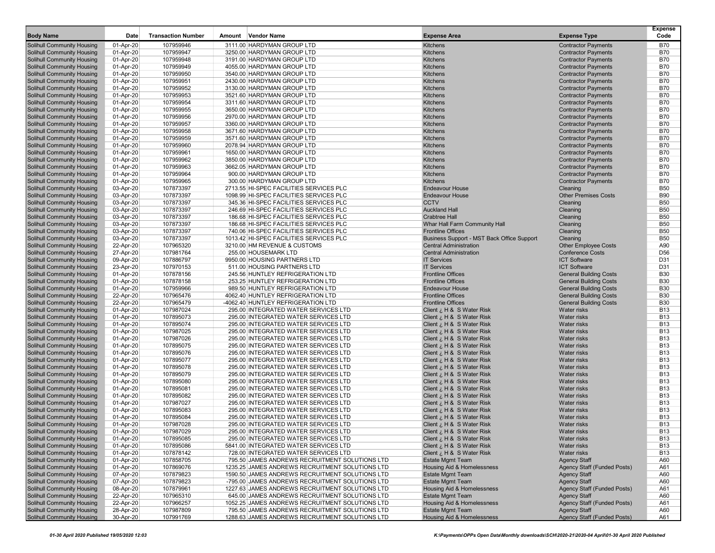| <b>Body Name</b>                  | Date      | <b>Transaction Number</b> | Amount Vendor Name                              | <b>Expense Area</b>                        | <b>Expense Type</b>                | <b>Expense</b><br>Code |
|-----------------------------------|-----------|---------------------------|-------------------------------------------------|--------------------------------------------|------------------------------------|------------------------|
| <b>Solihull Community Housing</b> | 01-Apr-20 | 107959946                 | 3111.00 HARDYMAN GROUP LTD                      | <b>Kitchens</b>                            | <b>Contractor Payments</b>         | <b>B70</b>             |
| <b>Solihull Community Housing</b> | 01-Apr-20 | 107959947                 | 3250.00 HARDYMAN GROUP LTD                      | Kitchens                                   | <b>Contractor Payments</b>         | <b>B70</b>             |
| <b>Solihull Community Housing</b> | 01-Apr-20 | 107959948                 | 3191.00 HARDYMAN GROUP LTD                      | Kitchens                                   | <b>Contractor Payments</b>         | <b>B70</b>             |
| <b>Solihull Community Housing</b> | 01-Apr-20 | 107959949                 | 4055.00 HARDYMAN GROUP LTD                      | Kitchens                                   | <b>Contractor Payments</b>         | <b>B70</b>             |
| <b>Solihull Community Housing</b> | 01-Apr-20 | 107959950                 | 3540.00 HARDYMAN GROUP LTD                      | <b>Kitchens</b>                            | <b>Contractor Payments</b>         | <b>B70</b>             |
| <b>Solihull Community Housing</b> | 01-Apr-20 | 107959951                 | 2430.00 HARDYMAN GROUP LTD                      | Kitchens                                   | <b>Contractor Payments</b>         | <b>B70</b>             |
| <b>Solihull Community Housing</b> | 01-Apr-20 | 107959952                 | 3130.00 HARDYMAN GROUP LTD                      | Kitchens                                   | <b>Contractor Payments</b>         | <b>B70</b>             |
| <b>Solihull Community Housing</b> | 01-Apr-20 | 107959953                 | 3521.60 HARDYMAN GROUP LTD                      | Kitchens                                   | <b>Contractor Payments</b>         | <b>B70</b>             |
| <b>Solihull Community Housing</b> | 01-Apr-20 | 107959954                 | 3311.60 HARDYMAN GROUP LTD                      | Kitchens                                   | <b>Contractor Payments</b>         | <b>B70</b>             |
| <b>Solihull Community Housing</b> | 01-Apr-20 | 107959955                 | 3650.00 HARDYMAN GROUP LTD                      | Kitchens                                   | <b>Contractor Payments</b>         | <b>B70</b>             |
| Solihull Community Housing        | 01-Apr-20 | 107959956                 | 2970.00 HARDYMAN GROUP LTD                      | Kitchens                                   | <b>Contractor Payments</b>         | <b>B70</b>             |
| <b>Solihull Community Housing</b> | 01-Apr-20 | 107959957                 | 3360.00 HARDYMAN GROUP LTD                      | Kitchens                                   | <b>Contractor Payments</b>         | <b>B70</b>             |
| <b>Solihull Community Housing</b> | 01-Apr-20 | 107959958                 | 3671.60 HARDYMAN GROUP LTD                      | Kitchens                                   | <b>Contractor Payments</b>         | <b>B70</b>             |
| <b>Solihull Community Housing</b> | 01-Apr-20 | 107959959                 | 3571.60 HARDYMAN GROUP LTD                      | Kitchens                                   | <b>Contractor Payments</b>         | <b>B70</b>             |
| <b>Solihull Community Housing</b> | 01-Apr-20 | 107959960                 | 2078.94 HARDYMAN GROUP LTD                      | Kitchens                                   | <b>Contractor Payments</b>         | <b>B70</b>             |
| <b>Solihull Community Housing</b> | 01-Apr-20 | 107959961                 | 1650.00 HARDYMAN GROUP LTD                      | Kitchens                                   | <b>Contractor Payments</b>         | <b>B70</b>             |
| <b>Solihull Community Housing</b> | 01-Apr-20 | 107959962                 | 3850.00 HARDYMAN GROUP LTD                      | Kitchens                                   | <b>Contractor Payments</b>         | <b>B70</b>             |
| <b>Solihull Community Housing</b> | 01-Apr-20 | 107959963                 | 3662.05 HARDYMAN GROUP LTD                      | Kitchens                                   | <b>Contractor Payments</b>         | <b>B70</b>             |
| <b>Solihull Community Housing</b> | 01-Apr-20 | 107959964                 | 900.00 HARDYMAN GROUP LTD                       | Kitchens                                   | <b>Contractor Payments</b>         | <b>B70</b>             |
| <b>Solihull Community Housing</b> | 01-Apr-20 | 107959965                 | 300.00 HARDYMAN GROUP LTD                       | Kitchens                                   | <b>Contractor Payments</b>         | <b>B70</b>             |
| <b>Solihull Community Housing</b> | 03-Apr-20 | 107873397                 | 2713.55 HI-SPEC FACILITIES SERVICES PLC         | <b>Endeavour House</b>                     | Cleaning                           | <b>B50</b>             |
| <b>Solihull Community Housing</b> | 03-Apr-20 | 107873397                 | 1098.99 HI-SPEC FACILITIES SERVICES PLC         | <b>Endeavour House</b>                     | <b>Other Premises Costs</b>        | <b>B90</b>             |
| <b>Solihull Community Housing</b> | 03-Apr-20 | 107873397                 | 345.36 HI-SPEC FACILITIES SERVICES PLC          | <b>CCTV</b>                                | Cleaning                           | <b>B50</b>             |
| <b>Solihull Community Housing</b> | 03-Apr-20 | 107873397                 | 246.69 HI-SPEC FACILITIES SERVICES PLC          | <b>Auckland Hall</b>                       | Cleaning                           | <b>B50</b>             |
| <b>Solihull Community Housing</b> | 03-Apr-20 | 107873397                 | 186.68 HI-SPEC FACILITIES SERVICES PLC          | <b>Crabtree Hall</b>                       | Cleaning                           | <b>B50</b>             |
| <b>Solihull Community Housing</b> | 03-Apr-20 | 107873397                 | 186.68 HI-SPEC FACILITIES SERVICES PLC          | Whar Hall Farm Community Hall              | Cleaning                           | <b>B50</b>             |
| <b>Solihull Community Housing</b> | 03-Apr-20 | 107873397                 | 740.06 HI-SPEC FACILITIES SERVICES PLC          | <b>Frontline Offices</b>                   | Cleaning                           | <b>B50</b>             |
| <b>Solihull Community Housing</b> | 03-Apr-20 | 107873397                 | 1013.42 HI-SPEC FACILITIES SERVICES PLC         | Business Support - MST Back Office Support | Cleaning                           | <b>B50</b>             |
| <b>Solihull Community Housing</b> | 22-Apr-20 | 107965320                 | 3210.00 HM REVENUE & CUSTOMS                    | <b>Central Administration</b>              | <b>Other Employee Costs</b>        | A90                    |
| <b>Solihull Community Housing</b> | 27-Apr-20 | 107981764                 | 255.00 HOUSEMARK LTD                            | <b>Central Administration</b>              | <b>Conference Costs</b>            | D <sub>56</sub>        |
| <b>Solihull Community Housing</b> | 09-Apr-20 | 107886797                 | 9950.00 HOUSING PARTNERS LTD                    | <b>IT Services</b>                         | <b>ICT Software</b>                | D31                    |
| <b>Solihull Community Housing</b> | 23-Apr-20 | 107970153                 | 511.00 HOUSING PARTNERS LTD                     | <b>IT Services</b>                         | <b>ICT Software</b>                | D31                    |
| <b>Solihull Community Housing</b> | 01-Apr-20 | 107878156                 | 245.56 HUNTLEY REFRIGERATION LTD                | <b>Frontline Offices</b>                   | <b>General Building Costs</b>      | <b>B30</b>             |
| <b>Solihull Community Housing</b> | 01-Apr-20 | 107878158                 | 253.25 HUNTLEY REFRIGERATION LTD                | <b>Frontline Offices</b>                   | <b>General Building Costs</b>      | <b>B30</b>             |
| <b>Solihull Community Housing</b> | 01-Apr-20 | 107959966                 | 989.50 HUNTLEY REFRIGERATION LTD                | <b>Endeavour House</b>                     | <b>General Building Costs</b>      | <b>B30</b>             |
| Solihull Community Housing        | 22-Apr-20 | 107965476                 | 4062.40 HUNTLEY REFRIGERATION LTD               | <b>Frontline Offices</b>                   | <b>General Building Costs</b>      | <b>B30</b>             |
| <b>Solihull Community Housing</b> | 22-Apr-20 | 107965479                 | -4062.40 HUNTLEY REFRIGERATION LTD              | <b>Frontline Offices</b>                   | <b>General Building Costs</b>      | <b>B30</b>             |
| <b>Solihull Community Housing</b> | 01-Apr-20 | 107987024                 | 295.00 INTEGRATED WATER SERVICES LTD            | Client ¿ H & S Water Risk                  | Water risks                        | <b>B13</b>             |
| <b>Solihull Community Housing</b> | 01-Apr-20 | 107895073                 | 295.00 INTEGRATED WATER SERVICES LTD            | Client ¿ H & S Water Risk                  | <b>Water risks</b>                 | <b>B13</b>             |
| <b>Solihull Community Housing</b> | 01-Apr-20 | 107895074                 | 295.00 INTEGRATED WATER SERVICES LTD            | Client ¿ H & S Water Risk                  | <b>Water risks</b>                 | <b>B13</b>             |
| <b>Solihull Community Housing</b> | 01-Apr-20 | 107987025                 | 295.00 INTEGRATED WATER SERVICES LTD            | Client ¿ H & S Water Risk                  | <b>Water risks</b>                 | <b>B13</b>             |
| <b>Solihull Community Housing</b> | 01-Apr-20 | 107987026                 | 295.00 INTEGRATED WATER SERVICES LTD            | Client ¿ H & S Water Risk                  | <b>Water risks</b>                 | <b>B13</b>             |
| <b>Solihull Community Housing</b> | 01-Apr-20 | 107895075                 | 295.00 INTEGRATED WATER SERVICES LTD            | Client ¿ H & S Water Risk                  | <b>Water risks</b>                 | <b>B13</b>             |
| <b>Solihull Community Housing</b> | 01-Apr-20 | 107895076                 | 295.00 INTEGRATED WATER SERVICES LTD            | Client ¿ H & S Water Risk                  | <b>Water risks</b>                 | <b>B13</b>             |
| <b>Solihull Community Housing</b> | 01-Apr-20 | 107895077                 | 295.00 INTEGRATED WATER SERVICES LTD            | Client ¿ H & S Water Risk                  | <b>Water risks</b>                 | <b>B13</b>             |
| <b>Solihull Community Housing</b> | 01-Apr-20 | 107895078                 | 295.00 INTEGRATED WATER SERVICES LTD            | Client ¿ H & S Water Risk                  | <b>Water risks</b>                 | <b>B13</b>             |
| <b>Solihull Community Housing</b> | 01-Apr-20 | 107895079                 | 295.00 INTEGRATED WATER SERVICES LTD            | Client ¿ H & S Water Risk                  | <b>Water risks</b>                 | <b>B13</b>             |
| <b>Solihull Community Housing</b> | 01-Apr-20 | 107895080                 | 295.00 INTEGRATED WATER SERVICES LTD            | Client ¿ H & S Water Risk                  | <b>Water risks</b>                 | <b>B13</b>             |
| <b>Solihull Community Housing</b> | 01-Apr-20 | 107895081                 | 295.00 INTEGRATED WATER SERVICES LTD            | Client ¿ H & S Water Risk                  | <b>Water risks</b>                 | <b>B13</b>             |
| <b>Solihull Community Housing</b> | 01-Apr-20 | 107895082                 | 295.00 INTEGRATED WATER SERVICES LTD            | Client ¿ H & S Water Risk                  | <b>Water risks</b>                 | <b>B13</b>             |
| <b>Solihull Community Housing</b> | 01-Apr-20 | 107987027                 | 295.00 INTEGRATED WATER SERVICES LTD            | Client ¿ H & S Water Risk                  | <b>Water risks</b>                 | <b>B13</b>             |
| Solihull Community Housing        | 01-Apr-20 | 107895083                 | 295.00 INTEGRATED WATER SERVICES LTD            | Client ¿ H & S Water Risk                  | <b>Water risks</b>                 | <b>B13</b>             |
| <b>Solihull Community Housing</b> | 01-Apr-20 | 107895084                 | 295.00 INTEGRATED WATER SERVICES LTD            | Client ¿ H & S Water Risk                  | <b>Water risks</b>                 | <b>B13</b>             |
| <b>Solihull Community Housing</b> | 01-Apr-20 | 107987028                 | 295.00 INTEGRATED WATER SERVICES LTD            | Client ¿ H & S Water Risk                  | <b>Water risks</b>                 | <b>B13</b>             |
| Solihull Community Housing        | 01-Apr-20 | 107987029                 | 295.00 INTEGRATED WATER SERVICES LTD            | H & S Water Risk ن H & S Water             | Water risks                        | <b>B13</b>             |
| <b>Solihull Community Housing</b> | 01-Apr-20 | 107895085                 | 295.00 INTEGRATED WATER SERVICES LTD            | Client ¿ H & S Water Risk                  | Water risks                        | <b>B13</b>             |
| <b>Solihull Community Housing</b> | 01-Apr-20 | 107895086                 | 5841.00 INTEGRATED WATER SERVICES LTD           | Client ¿ H & S Water Risk                  | <b>Water risks</b>                 | <b>B13</b>             |
| <b>Solihull Community Housing</b> | 01-Apr-20 | 107878142                 | 728.00 INTEGRATED WATER SERVICES LTD            | Client ¿ H & S Water Risk                  | <b>Water risks</b>                 | <b>B13</b>             |
| <b>Solihull Community Housing</b> | 01-Apr-20 | 107858705                 | 795.50 JAMES ANDREWS RECRUITMENT SOLUTIONS LTD  | <b>Estate Mgmt Team</b>                    | <b>Agency Staff</b>                | A60                    |
| <b>Solihull Community Housing</b> | 01-Apr-20 | 107869076                 | 1235.25 JAMES ANDREWS RECRUITMENT SOLUTIONS LTD | <b>Housing Aid &amp; Homelessness</b>      | Agency Staff (Funded Posts)        | A61                    |
| <b>Solihull Community Housing</b> | 07-Apr-20 | 107879823                 | 1590.50 JAMES ANDREWS RECRUITMENT SOLUTIONS LTD | <b>Estate Mgmt Team</b>                    | <b>Agency Staff</b>                | A60                    |
| <b>Solihull Community Housing</b> | 07-Apr-20 | 107879823                 | -795.00 JAMES ANDREWS RECRUITMENT SOLUTIONS LTD | <b>Estate Mgmt Team</b>                    | <b>Agency Staff</b>                | A60                    |
| <b>Solihull Community Housing</b> | 08-Apr-20 | 107879961                 | 1227.63 JAMES ANDREWS RECRUITMENT SOLUTIONS LTD | <b>Housing Aid &amp; Homelessness</b>      | <b>Agency Staff (Funded Posts)</b> | A61                    |
| <b>Solihull Community Housing</b> | 22-Apr-20 | 107965310                 | 645.00 JAMES ANDREWS RECRUITMENT SOLUTIONS LTD  | <b>Estate Mgmt Team</b>                    | <b>Agency Staff</b>                | A60                    |
| <b>Solihull Community Housing</b> | 22-Apr-20 | 107966257                 | 1052.25 JAMES ANDREWS RECRUITMENT SOLUTIONS LTD | Housing Aid & Homelessness                 | Agency Staff (Funded Posts)        | A61                    |
| <b>Solihull Community Housing</b> | 28-Apr-20 | 107987809                 | 795.50 JAMES ANDREWS RECRUITMENT SOLUTIONS LTD  | <b>Estate Mgmt Team</b>                    | <b>Agency Staff</b>                | A60                    |
| <b>Solihull Community Housing</b> | 30-Apr-20 | 107991769                 | 1288.63 JAMES ANDREWS RECRUITMENT SOLUTIONS LTD | <b>Housing Aid &amp; Homelessness</b>      | Agency Staff (Funded Posts)        | A61                    |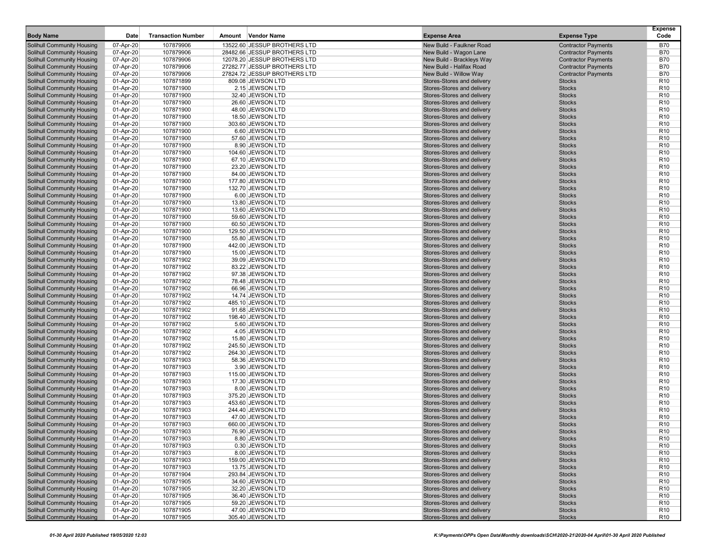| <b>Body Name</b>                                                       | Date      | <b>Transaction Number</b> | Amount Vendor Name                   | <b>Expense Area</b>        | <b>Expense Type</b>        | <b>Expense</b><br>Code |
|------------------------------------------------------------------------|-----------|---------------------------|--------------------------------------|----------------------------|----------------------------|------------------------|
| <b>Solihull Community Housing</b>                                      | 07-Apr-20 | 107879906                 | 13522.60 JESSUP BROTHERS LTD         | New Build - Faulkner Road  | <b>Contractor Payments</b> | <b>B70</b>             |
| <b>Solihull Community Housing</b>                                      | 07-Apr-20 | 107879906                 | 28482.66 JESSUP BROTHERS LTD         | New Build - Wagon Lane     | <b>Contractor Payments</b> | <b>B70</b>             |
| <b>Solihull Community Housing</b>                                      | 07-Apr-20 | 107879906                 | 12078.20 JESSUP BROTHERS LTD         | New Build - Brackleys Way  | <b>Contractor Payments</b> | <b>B70</b>             |
| <b>Solihull Community Housing</b>                                      | 07-Apr-20 | 107879906                 | 27282.77 JESSUP BROTHERS LTD         | New Build - Halifax Road   | <b>Contractor Payments</b> | <b>B70</b>             |
| <b>Solihull Community Housing</b>                                      | 07-Apr-20 | 107879906                 | 27824.72 JESSUP BROTHERS LTD         | New Build - Willow Way     | <b>Contractor Payments</b> | <b>B70</b>             |
| <b>Solihull Community Housing</b>                                      | 01-Apr-20 | 107871899                 | 809.08 JEWSON LTD                    | Stores-Stores and delivery | <b>Stocks</b>              | R <sub>10</sub>        |
| <b>Solihull Community Housing</b>                                      | 01-Apr-20 | 107871900                 | 2.15 JEWSON LTD                      | Stores-Stores and delivery | <b>Stocks</b>              | R <sub>10</sub>        |
| <b>Solihull Community Housing</b>                                      | 01-Apr-20 | 107871900                 | 32.40 JEWSON LTD                     | Stores-Stores and delivery | <b>Stocks</b>              | R <sub>10</sub>        |
| <b>Solihull Community Housing</b>                                      | 01-Apr-20 | 107871900                 | 26.60 JEWSON LTD                     | Stores-Stores and delivery | <b>Stocks</b>              | R <sub>10</sub>        |
| <b>Solihull Community Housing</b>                                      | 01-Apr-20 | 107871900                 | 48.00 JEWSON LTD                     | Stores-Stores and delivery | <b>Stocks</b>              | R <sub>10</sub>        |
| Solihull Community Housing                                             | 01-Apr-20 | 107871900                 | 18.50 JEWSON LTD                     | Stores-Stores and delivery | <b>Stocks</b>              | R <sub>10</sub>        |
| <b>Solihull Community Housing</b>                                      | 01-Apr-20 | 107871900                 | 303.60 JEWSON LTD                    | Stores-Stores and delivery | <b>Stocks</b>              | R <sub>10</sub>        |
| <b>Solihull Community Housing</b>                                      | 01-Apr-20 | 107871900                 | 6.60 JEWSON LTD                      | Stores-Stores and delivery | <b>Stocks</b>              | R <sub>10</sub>        |
| Solihull Community Housing                                             | 01-Apr-20 | 107871900                 | 57.60 JEWSON LTD                     | Stores-Stores and delivery | <b>Stocks</b>              | R <sub>10</sub>        |
| <b>Solihull Community Housing</b>                                      | 01-Apr-20 | 107871900                 | 8.90 JEWSON LTD                      | Stores-Stores and delivery | <b>Stocks</b>              | R <sub>10</sub>        |
| <b>Solihull Community Housing</b>                                      | 01-Apr-20 | 107871900                 | 104.60 JEWSON LTD                    | Stores-Stores and delivery | <b>Stocks</b>              | R <sub>10</sub>        |
| <b>Solihull Community Housing</b>                                      | 01-Apr-20 | 107871900                 | 67.10 JEWSON LTD                     | Stores-Stores and delivery | <b>Stocks</b>              | R <sub>10</sub>        |
| <b>Solihull Community Housing</b>                                      | 01-Apr-20 | 107871900                 | 23.20 JEWSON LTD                     | Stores-Stores and delivery | <b>Stocks</b>              | R <sub>10</sub>        |
| <b>Solihull Community Housing</b>                                      | 01-Apr-20 | 107871900                 | 84.00 JEWSON LTD                     | Stores-Stores and delivery | <b>Stocks</b>              | R <sub>10</sub>        |
| <b>Solihull Community Housing</b>                                      | 01-Apr-20 | 107871900                 | 177.80 JEWSON LTD                    | Stores-Stores and delivery | <b>Stocks</b>              | R <sub>10</sub>        |
| <b>Solihull Community Housing</b>                                      | 01-Apr-20 | 107871900                 | 132.70 JEWSON LTD                    | Stores-Stores and delivery | <b>Stocks</b>              | R <sub>10</sub>        |
| <b>Solihull Community Housing</b>                                      | 01-Apr-20 | 107871900                 | 6.00 JEWSON LTD                      | Stores-Stores and delivery | <b>Stocks</b>              | R <sub>10</sub>        |
| <b>Solihull Community Housing</b>                                      | 01-Apr-20 | 107871900                 | 13.80 JEWSON LTD                     | Stores-Stores and delivery | <b>Stocks</b>              | R <sub>10</sub>        |
| <b>Solihull Community Housing</b>                                      | 01-Apr-20 | 107871900                 | 13.60 JEWSON LTD                     | Stores-Stores and delivery | <b>Stocks</b>              | R <sub>10</sub>        |
| <b>Solihull Community Housing</b>                                      | 01-Apr-20 | 107871900                 | 59.60 JEWSON LTD                     | Stores-Stores and delivery | <b>Stocks</b>              | R <sub>10</sub>        |
| <b>Solihull Community Housing</b>                                      | 01-Apr-20 | 107871900                 | 60.50 JEWSON LTD                     | Stores-Stores and delivery | <b>Stocks</b>              | R <sub>10</sub>        |
| <b>Solihull Community Housing</b>                                      | 01-Apr-20 | 107871900                 | 129.50 JEWSON LTD                    | Stores-Stores and delivery | <b>Stocks</b>              | R <sub>10</sub>        |
| Solihull Community Housing                                             | 01-Apr-20 | 107871900                 | 55.80 JEWSON LTD                     | Stores-Stores and delivery | <b>Stocks</b>              | R <sub>10</sub>        |
| <b>Solihull Community Housing</b>                                      | 01-Apr-20 | 107871900                 | 442.00 JEWSON LTD                    | Stores-Stores and delivery | <b>Stocks</b>              | R <sub>10</sub>        |
| <b>Solihull Community Housing</b>                                      | 01-Apr-20 | 107871900                 | 15.00 JEWSON LTD                     | Stores-Stores and delivery | <b>Stocks</b>              | R <sub>10</sub>        |
| <b>Solihull Community Housing</b>                                      | 01-Apr-20 | 107871902                 | 39.09 JEWSON LTD                     | Stores-Stores and delivery | <b>Stocks</b>              | R <sub>10</sub>        |
| <b>Solihull Community Housing</b>                                      | 01-Apr-20 | 107871902                 | 83.22 JEWSON LTD                     | Stores-Stores and delivery | <b>Stocks</b>              | R <sub>10</sub>        |
| <b>Solihull Community Housing</b>                                      | 01-Apr-20 | 107871902                 | 97.38 JEWSON LTD                     | Stores-Stores and delivery | <b>Stocks</b>              | R <sub>10</sub>        |
| <b>Solihull Community Housing</b>                                      | 01-Apr-20 | 107871902                 | 78.48 JEWSON LTD                     | Stores-Stores and delivery | <b>Stocks</b>              | R <sub>10</sub>        |
| <b>Solihull Community Housing</b>                                      | 01-Apr-20 | 107871902                 | 66.96 JEWSON LTD                     | Stores-Stores and delivery | <b>Stocks</b>              | R <sub>10</sub>        |
| Solihull Community Housing                                             | 01-Apr-20 | 107871902                 | 14.74 JEWSON LTD                     | Stores-Stores and delivery | <b>Stocks</b>              | R <sub>10</sub>        |
| <b>Solihull Community Housing</b>                                      | 01-Apr-20 | 107871902                 | 485.10 JEWSON LTD                    | Stores-Stores and delivery | <b>Stocks</b>              | R <sub>10</sub>        |
| <b>Solihull Community Housing</b>                                      | 01-Apr-20 | 107871902                 | 91.68 JEWSON LTD                     | Stores-Stores and delivery | <b>Stocks</b>              | R <sub>10</sub>        |
| Solihull Community Housing                                             | 01-Apr-20 | 107871902                 | 198.40 JEWSON LTD                    | Stores-Stores and delivery | <b>Stocks</b>              | R <sub>10</sub>        |
| <b>Solihull Community Housing</b>                                      | 01-Apr-20 | 107871902                 | 5.60 JEWSON LTD                      | Stores-Stores and delivery | <b>Stocks</b>              | R <sub>10</sub>        |
| <b>Solihull Community Housing</b>                                      | 01-Apr-20 | 107871902                 | 4.05 JEWSON LTD                      | Stores-Stores and delivery | <b>Stocks</b>              | R <sub>10</sub>        |
| <b>Solihull Community Housing</b>                                      | 01-Apr-20 | 107871902                 | 15.80 JEWSON LTD                     | Stores-Stores and delivery | <b>Stocks</b>              | R <sub>10</sub>        |
| <b>Solihull Community Housing</b>                                      | 01-Apr-20 | 107871902                 | 245.50 JEWSON LTD                    | Stores-Stores and delivery | <b>Stocks</b>              | R <sub>10</sub>        |
| <b>Solihull Community Housing</b>                                      | 01-Apr-20 | 107871902                 | 264.30 JEWSON LTD                    | Stores-Stores and delivery | <b>Stocks</b>              | R <sub>10</sub>        |
| <b>Solihull Community Housing</b>                                      | 01-Apr-20 | 107871903                 | 58.36 JEWSON LTD                     | Stores-Stores and delivery | <b>Stocks</b>              | R <sub>10</sub>        |
| <b>Solihull Community Housing</b>                                      | 01-Apr-20 | 107871903                 | 3.90 JEWSON LTD                      | Stores-Stores and delivery | <b>Stocks</b>              | R <sub>10</sub>        |
| <b>Solihull Community Housing</b>                                      | 01-Apr-20 | 107871903                 | 115.00 JEWSON LTD                    | Stores-Stores and delivery | <b>Stocks</b>              | R <sub>10</sub>        |
| <b>Solihull Community Housing</b>                                      | 01-Apr-20 | 107871903                 | 17.30 JEWSON LTD                     | Stores-Stores and delivery | <b>Stocks</b>              | R <sub>10</sub>        |
| <b>Solihull Community Housing</b>                                      | 01-Apr-20 | 107871903                 | 8.00 JEWSON LTD                      | Stores-Stores and delivery | <b>Stocks</b>              | R <sub>10</sub>        |
| <b>Solihull Community Housing</b>                                      | 01-Apr-20 | 107871903                 | 375.20 JEWSON LTD                    | Stores-Stores and delivery | <b>Stocks</b>              | R <sub>10</sub>        |
| <b>Solihull Community Housing</b>                                      | 01-Apr-20 | 107871903                 | 453.60 JEWSON LTD                    | Stores-Stores and delivery | <b>Stocks</b>              | R <sub>10</sub>        |
| <b>Solihull Community Housing</b>                                      | 01-Apr-20 | 107871903                 | 244.40 JEWSON LTD                    | Stores-Stores and delivery | <b>Stocks</b>              | R <sub>10</sub>        |
| <b>Solihull Community Housing</b>                                      | 01-Apr-20 | 107871903<br>107871903    | 47.00 JEWSON LTD                     | Stores-Stores and delivery | <b>Stocks</b>              | R <sub>10</sub>        |
| <b>Solihull Community Housing</b>                                      | 01-Apr-20 |                           | 660.00 JEWSON LTD                    | Stores-Stores and delivery | <b>Stocks</b>              | R <sub>10</sub>        |
| <b>Solihull Community Housing</b>                                      | 01-Apr-20 | 107871903                 | 76.90 JEWSON LTD                     | Stores-Stores and delivery | <b>Stocks</b>              | R <sub>10</sub>        |
| <b>Solihull Community Housing</b>                                      | 01-Apr-20 | 107871903                 | 8.80 JEWSON LTD                      | Stores-Stores and delivery | <b>Stocks</b>              | R <sub>10</sub>        |
| <b>Solihull Community Housing</b>                                      | 01-Apr-20 | 107871903                 | 0.30 JEWSON LTD<br>8.00 JEWSON LTD   | Stores-Stores and delivery | <b>Stocks</b>              | R <sub>10</sub>        |
| <b>Solihull Community Housing</b><br><b>Solihull Community Housing</b> | 01-Apr-20 | 107871903                 |                                      | Stores-Stores and delivery | <b>Stocks</b>              | R <sub>10</sub>        |
|                                                                        | 01-Apr-20 | 107871903                 | 159.00 JEWSON LTD                    | Stores-Stores and delivery | <b>Stocks</b>              | R <sub>10</sub>        |
| <b>Solihull Community Housing</b>                                      | 01-Apr-20 | 107871903                 | 13.75 JEWSON LTD                     | Stores-Stores and delivery | <b>Stocks</b>              | R <sub>10</sub>        |
| <b>Solihull Community Housing</b>                                      | 01-Apr-20 | 107871904                 | 293.84 JEWSON LTD                    | Stores-Stores and delivery | <b>Stocks</b>              | R <sub>10</sub>        |
| <b>Solihull Community Housing</b>                                      | 01-Apr-20 | 107871905                 | 34.60 JEWSON LTD                     | Stores-Stores and delivery | <b>Stocks</b>              | R <sub>10</sub>        |
| <b>Solihull Community Housing</b>                                      | 01-Apr-20 | 107871905                 | 32.20 JEWSON LTD                     | Stores-Stores and delivery | <b>Stocks</b>              | R <sub>10</sub>        |
| <b>Solihull Community Housing</b>                                      | 01-Apr-20 | 107871905                 | 36.40 JEWSON LTD                     | Stores-Stores and delivery | <b>Stocks</b>              | R <sub>10</sub>        |
| <b>Solihull Community Housing</b><br><b>Solihull Community Housing</b> | 01-Apr-20 | 107871905                 | 59.20 JEWSON LTD<br>47.00 JEWSON LTD | Stores-Stores and delivery | <b>Stocks</b>              | R <sub>10</sub>        |
| <b>Solihull Community Housing</b>                                      | 01-Apr-20 | 107871905                 | 305.40 JEWSON LTD                    | Stores-Stores and delivery | <b>Stocks</b>              | R <sub>10</sub>        |
|                                                                        | 01-Apr-20 | 107871905                 |                                      | Stores-Stores and delivery | <b>Stocks</b>              | R <sub>10</sub>        |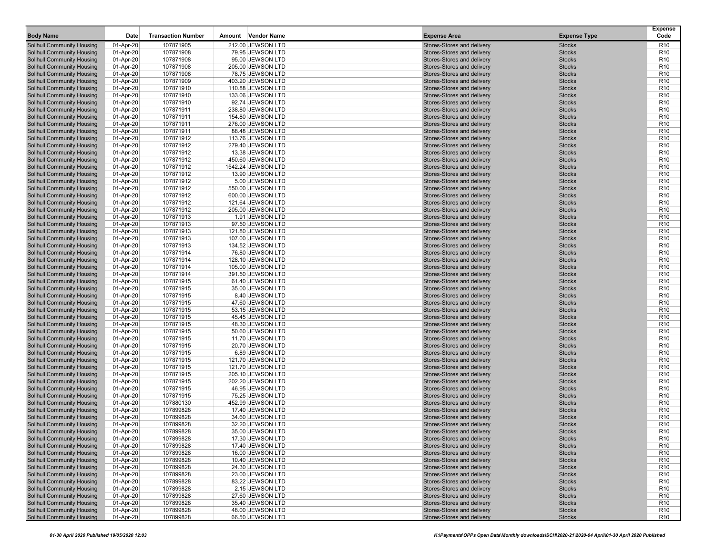| <b>Body Name</b>                                                       | Date                   | <b>Transaction Number</b> | <b>Vendor Name</b><br>Amount           | <b>Expense Area</b>                                      | <b>Expense Type</b>            | <b>Expense</b><br>Code             |
|------------------------------------------------------------------------|------------------------|---------------------------|----------------------------------------|----------------------------------------------------------|--------------------------------|------------------------------------|
| <b>Solihull Community Housing</b>                                      | 01-Apr-20              | 107871905                 | 212.00 JEWSON LTD                      | Stores-Stores and delivery                               | <b>Stocks</b>                  | R <sub>10</sub>                    |
| <b>Solihull Community Housing</b>                                      | 01-Apr-20              | 107871908                 | 79.95 JEWSON LTD                       | Stores-Stores and delivery                               | <b>Stocks</b>                  | R <sub>10</sub>                    |
| <b>Solihull Community Housing</b>                                      | 01-Apr-20              | 107871908                 | 95.00 JEWSON LTD                       | Stores-Stores and delivery                               | <b>Stocks</b>                  | R <sub>10</sub>                    |
| <b>Solihull Community Housing</b>                                      | 01-Apr-20              | 107871908                 | 205.00 JEWSON LTD                      | Stores-Stores and delivery                               | <b>Stocks</b>                  | R <sub>10</sub>                    |
| <b>Solihull Community Housing</b>                                      | 01-Apr-20              | 107871908                 | 78.75 JEWSON LTD                       | Stores-Stores and delivery                               | <b>Stocks</b>                  | R <sub>10</sub>                    |
| <b>Solihull Community Housing</b>                                      | 01-Apr-20              | 107871909                 | 403.20 JEWSON LTD                      | Stores-Stores and delivery                               | <b>Stocks</b>                  | R <sub>10</sub>                    |
| <b>Solihull Community Housing</b>                                      | 01-Apr-20              | 107871910                 | 110.88 JEWSON LTD                      | Stores-Stores and delivery                               | <b>Stocks</b>                  | R <sub>10</sub>                    |
| <b>Solihull Community Housing</b>                                      | 01-Apr-20              | 107871910                 | 133.06 JEWSON LTD                      | Stores-Stores and delivery                               | <b>Stocks</b>                  | R <sub>10</sub>                    |
| <b>Solihull Community Housing</b>                                      | 01-Apr-20              | 107871910                 | 92.74 JEWSON LTD                       | Stores-Stores and delivery                               | <b>Stocks</b><br><b>Stocks</b> | R <sub>10</sub><br>R <sub>10</sub> |
| <b>Solihull Community Housing</b><br><b>Solihull Community Housing</b> | 01-Apr-20<br>01-Apr-20 | 107871911<br>107871911    | 238.80 JEWSON LTD<br>154.80 JEWSON LTD | Stores-Stores and delivery<br>Stores-Stores and delivery | <b>Stocks</b>                  | R <sub>10</sub>                    |
| <b>Solihull Community Housing</b>                                      | 01-Apr-20              | 107871911                 | 276.00 JEWSON LTD                      | Stores-Stores and delivery                               | <b>Stocks</b>                  | R <sub>10</sub>                    |
| <b>Solihull Community Housing</b>                                      | 01-Apr-20              | 107871911                 | 88.48 JEWSON LTD                       | Stores-Stores and delivery                               | <b>Stocks</b>                  | R <sub>10</sub>                    |
| <b>Solihull Community Housing</b>                                      | 01-Apr-20              | 107871912                 | 113.76 JEWSON LTD                      | Stores-Stores and delivery                               | <b>Stocks</b>                  | R <sub>10</sub>                    |
| <b>Solihull Community Housing</b>                                      | 01-Apr-20              | 107871912                 | 279.40 JEWSON LTD                      | Stores-Stores and delivery                               | <b>Stocks</b>                  | R <sub>10</sub>                    |
| <b>Solihull Community Housing</b>                                      | 01-Apr-20              | 107871912                 | 13.38 JEWSON LTD                       | Stores-Stores and delivery                               | <b>Stocks</b>                  | R <sub>10</sub>                    |
| <b>Solihull Community Housing</b>                                      | 01-Apr-20              | 107871912                 | 450.60 JEWSON LTD                      | Stores-Stores and delivery                               | <b>Stocks</b>                  | R <sub>10</sub>                    |
| <b>Solihull Community Housing</b>                                      | 01-Apr-20              | 107871912                 | 1542.24 JEWSON LTD                     | Stores-Stores and delivery                               | <b>Stocks</b>                  | R <sub>10</sub>                    |
| <b>Solihull Community Housing</b>                                      | 01-Apr-20              | 107871912                 | 13.90 JEWSON LTD                       | Stores-Stores and delivery                               | <b>Stocks</b>                  | R <sub>10</sub>                    |
| Solihull Community Housing                                             | 01-Apr-20              | 107871912                 | 5.00 JEWSON LTD                        | Stores-Stores and delivery                               | <b>Stocks</b>                  | R <sub>10</sub>                    |
| <b>Solihull Community Housing</b>                                      | 01-Apr-20              | 107871912                 | 550.00 JEWSON LTD                      | Stores-Stores and delivery                               | <b>Stocks</b>                  | R <sub>10</sub>                    |
| <b>Solihull Community Housing</b>                                      | 01-Apr-20              | 107871912                 | 600.00 JEWSON LTD                      | Stores-Stores and delivery                               | <b>Stocks</b>                  | R <sub>10</sub>                    |
| <b>Solihull Community Housing</b>                                      | 01-Apr-20              | 107871912                 | 121.64 JEWSON LTD                      | Stores-Stores and delivery                               | <b>Stocks</b>                  | R <sub>10</sub>                    |
| <b>Solihull Community Housing</b><br><b>Solihull Community Housing</b> | 01-Apr-20              | 107871912<br>107871913    | 205.00 JEWSON LTD<br>1.91 JEWSON LTD   | Stores-Stores and delivery<br>Stores-Stores and delivery | <b>Stocks</b><br><b>Stocks</b> | R <sub>10</sub><br>R <sub>10</sub> |
| <b>Solihull Community Housing</b>                                      | 01-Apr-20<br>01-Apr-20 | 107871913                 | 97.50 JEWSON LTD                       | Stores-Stores and delivery                               | <b>Stocks</b>                  | R <sub>10</sub>                    |
| <b>Solihull Community Housing</b>                                      | 01-Apr-20              | 107871913                 | 121.80 JEWSON LTD                      | Stores-Stores and delivery                               | <b>Stocks</b>                  | R <sub>10</sub>                    |
| <b>Solihull Community Housing</b>                                      | 01-Apr-20              | 107871913                 | 107.00 JEWSON LTD                      | Stores-Stores and delivery                               | <b>Stocks</b>                  | R <sub>10</sub>                    |
| <b>Solihull Community Housing</b>                                      | 01-Apr-20              | 107871913                 | 134.52 JEWSON LTD                      | Stores-Stores and delivery                               | <b>Stocks</b>                  | R <sub>10</sub>                    |
| <b>Solihull Community Housing</b>                                      | 01-Apr-20              | 107871914                 | 76.80 JEWSON LTD                       | <b>Stores-Stores and delivery</b>                        | <b>Stocks</b>                  | R <sub>10</sub>                    |
| <b>Solihull Community Housing</b>                                      | 01-Apr-20              | 107871914                 | 128.10 JEWSON LTD                      | Stores-Stores and delivery                               | <b>Stocks</b>                  | R <sub>10</sub>                    |
| <b>Solihull Community Housing</b>                                      | 01-Apr-20              | 107871914                 | 105.00 JEWSON LTD                      | Stores-Stores and delivery                               | <b>Stocks</b>                  | R <sub>10</sub>                    |
| <b>Solihull Community Housing</b>                                      | 01-Apr-20              | 107871914                 | 391.50 JEWSON LTD                      | Stores-Stores and delivery                               | <b>Stocks</b>                  | R <sub>10</sub>                    |
| <b>Solihull Community Housing</b>                                      | 01-Apr-20              | 107871915                 | 61.40 JEWSON LTD                       | Stores-Stores and delivery                               | <b>Stocks</b>                  | R <sub>10</sub>                    |
| <b>Solihull Community Housing</b>                                      | 01-Apr-20              | 107871915                 | 35.00 JEWSON LTD                       | Stores-Stores and delivery                               | <b>Stocks</b>                  | R <sub>10</sub>                    |
| <b>Solihull Community Housing</b>                                      | 01-Apr-20              | 107871915                 | 8.40 JEWSON LTD                        | Stores-Stores and delivery                               | <b>Stocks</b>                  | R <sub>10</sub>                    |
| <b>Solihull Community Housing</b>                                      | 01-Apr-20              | 107871915                 | 47.60 JEWSON LTD                       | Stores-Stores and delivery                               | <b>Stocks</b>                  | R <sub>10</sub>                    |
| <b>Solihull Community Housing</b>                                      | 01-Apr-20              | 107871915                 | 53.15 JEWSON LTD                       | Stores-Stores and delivery                               | <b>Stocks</b>                  | R <sub>10</sub>                    |
| <b>Solihull Community Housing</b><br><b>Solihull Community Housing</b> | 01-Apr-20<br>01-Apr-20 | 107871915<br>107871915    | 45.45 JEWSON LTD<br>48.30 JEWSON LTD   | Stores-Stores and delivery<br>Stores-Stores and delivery | <b>Stocks</b><br><b>Stocks</b> | R <sub>10</sub><br>R <sub>10</sub> |
| <b>Solihull Community Housing</b>                                      | 01-Apr-20              | 107871915                 | 50.60 JEWSON LTD                       | Stores-Stores and delivery                               | <b>Stocks</b>                  | R <sub>10</sub>                    |
| <b>Solihull Community Housing</b>                                      | 01-Apr-20              | 107871915                 | 11.70 JEWSON LTD                       | Stores-Stores and delivery                               | <b>Stocks</b>                  | R <sub>10</sub>                    |
| <b>Solihull Community Housing</b>                                      | 01-Apr-20              | 107871915                 | 20.70 JEWSON LTD                       | Stores-Stores and delivery                               | <b>Stocks</b>                  | R <sub>10</sub>                    |
| <b>Solihull Community Housing</b>                                      | 01-Apr-20              | 107871915                 | 6.89 JEWSON LTD                        | Stores-Stores and delivery                               | <b>Stocks</b>                  | R <sub>10</sub>                    |
| Solihull Community Housing                                             | 01-Apr-20              | 107871915                 | 121.70 JEWSON LTD                      | Stores-Stores and delivery                               | <b>Stocks</b>                  | R <sub>10</sub>                    |
| <b>Solihull Community Housing</b>                                      | 01-Apr-20              | 107871915                 | 121.70 JEWSON LTD                      | Stores-Stores and delivery                               | <b>Stocks</b>                  | R <sub>10</sub>                    |
| <b>Solihull Community Housing</b>                                      | 01-Apr-20              | 107871915                 | 205.10 JEWSON LTD                      | Stores-Stores and delivery                               | <b>Stocks</b>                  | R <sub>10</sub>                    |
| <b>Solihull Community Housing</b>                                      | 01-Apr-20              | 107871915                 | 202.20 JEWSON LTD                      | Stores-Stores and delivery                               | <b>Stocks</b>                  | R <sub>10</sub>                    |
| <b>Solihull Community Housing</b>                                      | 01-Apr-20              | 107871915                 | 46.95 JEWSON LTD                       | <b>Stores-Stores and delivery</b>                        | <b>Stocks</b>                  | R <sub>10</sub>                    |
| <b>Solihull Community Housing</b>                                      | 01-Apr-20              | 107871915                 | 75.25 JEWSON LTD                       | Stores-Stores and delivery                               | <b>Stocks</b>                  | R <sub>10</sub>                    |
| <b>Solihull Community Housing</b>                                      | 01-Apr-20              | 107880130                 | 452.99 JEWSON LTD                      | Stores-Stores and delivery                               | <b>Stocks</b>                  | R <sub>10</sub>                    |
| <b>Solihull Community Housing</b><br><b>Solihull Community Housing</b> | 01-Apr-20              | 107899828<br>107899828    | 17.40 JEWSON LTD<br>34.60 JEWSON LTD   | Stores-Stores and delivery<br>Stores-Stores and delivery | <b>Stocks</b><br><b>Stocks</b> | R <sub>10</sub><br>R <sub>10</sub> |
| <b>Solihull Community Housing</b>                                      | 01-Apr-20<br>01-Apr-20 | 107899828                 | 32.20 JEWSON LTD                       | Stores-Stores and delivery                               | <b>Stocks</b>                  | R <sub>10</sub>                    |
| Solihull Community Housing                                             | 01-Apr-20              | 107899828                 | 35.00 JEWSON LTD                       | Stores-Stores and delivery                               | <b>Stocks</b>                  | R <sub>10</sub>                    |
| <b>Solihull Community Housing</b>                                      | 01-Apr-20              | 107899828                 | 17.30 JEWSON LTD                       | Stores-Stores and delivery                               | <b>Stocks</b>                  | R <sub>10</sub>                    |
| <b>Solihull Community Housing</b>                                      | 01-Apr-20              | 107899828                 | 17.40 JEWSON LTD                       | Stores-Stores and delivery                               | <b>Stocks</b>                  | R <sub>10</sub>                    |
| <b>Solihull Community Housing</b>                                      | 01-Apr-20              | 107899828                 | 16.00 JEWSON LTD                       | Stores-Stores and delivery                               | <b>Stocks</b>                  | R <sub>10</sub>                    |
| <b>Solihull Community Housing</b>                                      | 01-Apr-20              | 107899828                 | 10.40 JEWSON LTD                       | Stores-Stores and delivery                               | <b>Stocks</b>                  | R <sub>10</sub>                    |
| <b>Solihull Community Housing</b>                                      | 01-Apr-20              | 107899828                 | 24.30 JEWSON LTD                       | Stores-Stores and delivery                               | <b>Stocks</b>                  | R <sub>10</sub>                    |
| <b>Solihull Community Housing</b>                                      | 01-Apr-20              | 107899828                 | 23.00 JEWSON LTD                       | Stores-Stores and delivery                               | <b>Stocks</b>                  | R <sub>10</sub>                    |
| <b>Solihull Community Housing</b>                                      | 01-Apr-20              | 107899828                 | 83.22 JEWSON LTD                       | Stores-Stores and delivery                               | <b>Stocks</b>                  | R <sub>10</sub>                    |
| <b>Solihull Community Housing</b>                                      | 01-Apr-20              | 107899828                 | 2.15 JEWSON LTD                        | Stores-Stores and delivery                               | <b>Stocks</b>                  | R <sub>10</sub>                    |
| <b>Solihull Community Housing</b>                                      | 01-Apr-20              | 107899828                 | 27.60 JEWSON LTD                       | Stores-Stores and delivery                               | <b>Stocks</b>                  | R <sub>10</sub>                    |
| <b>Solihull Community Housing</b>                                      | 01-Apr-20              | 107899828                 | 35.40 JEWSON LTD                       | Stores-Stores and delivery                               | <b>Stocks</b>                  | R <sub>10</sub>                    |
| <b>Solihull Community Housing</b><br><b>Solihull Community Housing</b> | 01-Apr-20<br>01-Apr-20 | 107899828<br>107899828    | 48.00 JEWSON LTD<br>66.50 JEWSON LTD   | Stores-Stores and delivery<br>Stores-Stores and delivery | <b>Stocks</b><br><b>Stocks</b> | R <sub>10</sub><br>R <sub>10</sub> |
|                                                                        |                        |                           |                                        |                                                          |                                |                                    |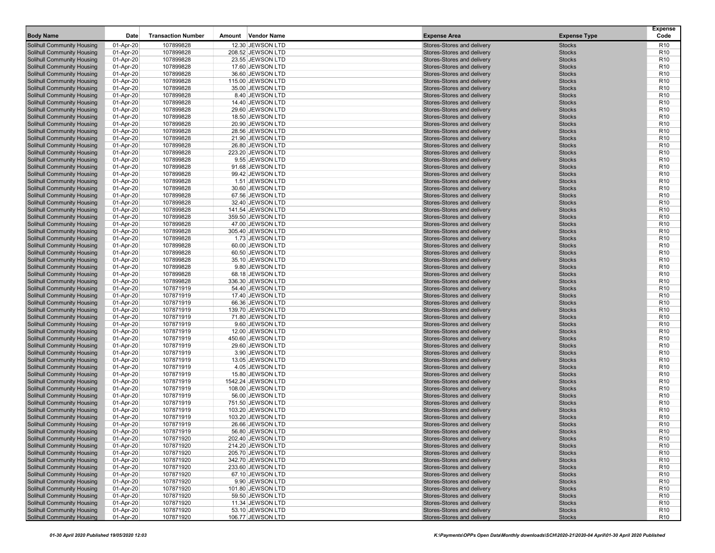| <b>Body Name</b>                                                       | Date                   | <b>Transaction Number</b> | Amount | Vendor Name                          | <b>Expense Area</b>                                      | <b>Expense Type</b>            | <b>Expense</b><br>Code             |
|------------------------------------------------------------------------|------------------------|---------------------------|--------|--------------------------------------|----------------------------------------------------------|--------------------------------|------------------------------------|
| <b>Solihull Community Housing</b>                                      | 01-Apr-20              | 107899828                 |        | 12.30 JEWSON LTD                     | Stores-Stores and delivery                               | <b>Stocks</b>                  | R <sub>10</sub>                    |
| <b>Solihull Community Housing</b>                                      | 01-Apr-20              | 107899828                 |        | 208.52 JEWSON LTD                    | Stores-Stores and delivery                               | <b>Stocks</b>                  | R <sub>10</sub>                    |
| <b>Solihull Community Housing</b>                                      | 01-Apr-20              | 107899828                 |        | 23.55 JEWSON LTD                     | Stores-Stores and delivery                               | <b>Stocks</b>                  | R <sub>10</sub>                    |
| <b>Solihull Community Housing</b>                                      | 01-Apr-20              | 107899828                 |        | 17.60 JEWSON LTD                     | Stores-Stores and delivery                               | <b>Stocks</b>                  | R <sub>10</sub>                    |
| <b>Solihull Community Housing</b>                                      | 01-Apr-20              | 107899828                 |        | 36.60 JEWSON LTD                     | Stores-Stores and delivery                               | <b>Stocks</b>                  | R <sub>10</sub>                    |
| <b>Solihull Community Housing</b>                                      | 01-Apr-20              | 107899828                 |        | 115.00 JEWSON LTD                    | Stores-Stores and delivery                               | <b>Stocks</b>                  | R <sub>10</sub>                    |
| <b>Solihull Community Housing</b>                                      | 01-Apr-20              | 107899828                 |        | 35.00 JEWSON LTD                     | Stores-Stores and delivery                               | <b>Stocks</b>                  | R <sub>10</sub>                    |
| <b>Solihull Community Housing</b>                                      | 01-Apr-20              | 107899828                 |        | 8.40 JEWSON LTD                      | Stores-Stores and delivery                               | <b>Stocks</b>                  | R <sub>10</sub>                    |
| <b>Solihull Community Housing</b>                                      | 01-Apr-20              | 107899828                 |        | 14.40 JEWSON LTD                     | Stores-Stores and delivery                               | <b>Stocks</b>                  | R <sub>10</sub>                    |
| <b>Solihull Community Housing</b>                                      | 01-Apr-20              | 107899828                 |        | 29.60 JEWSON LTD                     | Stores-Stores and delivery                               | <b>Stocks</b>                  | R <sub>10</sub>                    |
| <b>Solihull Community Housing</b>                                      | 01-Apr-20              | 107899828                 |        | 18.50 JEWSON LTD                     | Stores-Stores and delivery                               | <b>Stocks</b>                  | R <sub>10</sub>                    |
| <b>Solihull Community Housing</b><br><b>Solihull Community Housing</b> | 01-Apr-20              | 107899828                 |        | 20.90 JEWSON LTD                     | Stores-Stores and delivery                               | <b>Stocks</b><br><b>Stocks</b> | R <sub>10</sub>                    |
|                                                                        | 01-Apr-20              | 107899828                 |        | 28.56 JEWSON LTD                     | Stores-Stores and delivery                               | <b>Stocks</b>                  | R <sub>10</sub>                    |
| <b>Solihull Community Housing</b><br><b>Solihull Community Housing</b> | 01-Apr-20<br>01-Apr-20 | 107899828<br>107899828    |        | 21.90 JEWSON LTD<br>26.80 JEWSON LTD | Stores-Stores and delivery<br>Stores-Stores and delivery | <b>Stocks</b>                  | R <sub>10</sub><br>R <sub>10</sub> |
| <b>Solihull Community Housing</b>                                      | 01-Apr-20              | 107899828                 |        | 223.20 JEWSON LTD                    | Stores-Stores and delivery                               | <b>Stocks</b>                  | R <sub>10</sub>                    |
| <b>Solihull Community Housing</b>                                      | 01-Apr-20              | 107899828                 |        | 9.55 JEWSON LTD                      | Stores-Stores and delivery                               | <b>Stocks</b>                  | R <sub>10</sub>                    |
| <b>Solihull Community Housing</b>                                      | 01-Apr-20              | 107899828                 |        | 91.68 JEWSON LTD                     | Stores-Stores and delivery                               | <b>Stocks</b>                  | R <sub>10</sub>                    |
| <b>Solihull Community Housing</b>                                      | 01-Apr-20              | 107899828                 |        | 99.42 JEWSON LTD                     | Stores-Stores and delivery                               | <b>Stocks</b>                  | R <sub>10</sub>                    |
| Solihull Community Housing                                             | 01-Apr-20              | 107899828                 |        | 1.51 JEWSON LTD                      | Stores-Stores and delivery                               | <b>Stocks</b>                  | R <sub>10</sub>                    |
| <b>Solihull Community Housing</b>                                      | 01-Apr-20              | 107899828                 |        | 30.60 JEWSON LTD                     | Stores-Stores and delivery                               | <b>Stocks</b>                  | R <sub>10</sub>                    |
| <b>Solihull Community Housing</b>                                      | 01-Apr-20              | 107899828                 |        | 67.56 JEWSON LTD                     | Stores-Stores and delivery                               | <b>Stocks</b>                  | R <sub>10</sub>                    |
| <b>Solihull Community Housing</b>                                      | 01-Apr-20              | 107899828                 |        | 32.40 JEWSON LTD                     | Stores-Stores and delivery                               | <b>Stocks</b>                  | R <sub>10</sub>                    |
| <b>Solihull Community Housing</b>                                      | 01-Apr-20              | 107899828                 |        | 141.54 JEWSON LTD                    | Stores-Stores and delivery                               | <b>Stocks</b>                  | R <sub>10</sub>                    |
| <b>Solihull Community Housing</b>                                      | 01-Apr-20              | 107899828                 |        | 359.50 JEWSON LTD                    | Stores-Stores and delivery                               | <b>Stocks</b>                  | R <sub>10</sub>                    |
| <b>Solihull Community Housing</b>                                      | 01-Apr-20              | 107899828                 |        | 47.00 JEWSON LTD                     | Stores-Stores and delivery                               | <b>Stocks</b>                  | R <sub>10</sub>                    |
| <b>Solihull Community Housing</b>                                      | 01-Apr-20              | 107899828                 |        | 305.40 JEWSON LTD                    | Stores-Stores and delivery                               | <b>Stocks</b>                  | R <sub>10</sub>                    |
| <b>Solihull Community Housing</b>                                      | 01-Apr-20              | 107899828                 |        | 1.73 JEWSON LTD                      | Stores-Stores and delivery                               | <b>Stocks</b>                  | R <sub>10</sub>                    |
| <b>Solihull Community Housing</b>                                      | 01-Apr-20              | 107899828                 |        | 60.00 JEWSON LTD                     | Stores-Stores and delivery                               | <b>Stocks</b>                  | R <sub>10</sub>                    |
| <b>Solihull Community Housing</b>                                      | 01-Apr-20              | 107899828                 |        | 60.50 JEWSON LTD                     | Stores-Stores and delivery                               | <b>Stocks</b>                  | R <sub>10</sub>                    |
| <b>Solihull Community Housing</b>                                      | 01-Apr-20              | 107899828                 |        | 35.10 JEWSON LTD                     | Stores-Stores and delivery                               | <b>Stocks</b>                  | R <sub>10</sub>                    |
| <b>Solihull Community Housing</b>                                      | 01-Apr-20              | 107899828                 |        | 9.80 JEWSON LTD                      | Stores-Stores and delivery                               | <b>Stocks</b>                  | R <sub>10</sub>                    |
| <b>Solihull Community Housing</b>                                      | 01-Apr-20              | 107899828                 |        | 68.18 JEWSON LTD                     | Stores-Stores and delivery                               | <b>Stocks</b>                  | R <sub>10</sub>                    |
| <b>Solihull Community Housing</b>                                      | 01-Apr-20              | 107899828                 |        | 336.30 JEWSON LTD                    | Stores-Stores and delivery                               | <b>Stocks</b>                  | R <sub>10</sub>                    |
| <b>Solihull Community Housing</b>                                      | 01-Apr-20              | 107871919                 |        | 54.40 JEWSON LTD                     | Stores-Stores and delivery                               | <b>Stocks</b>                  | R <sub>10</sub>                    |
| <b>Solihull Community Housing</b>                                      | 01-Apr-20              | 107871919                 |        | 17.40 JEWSON LTD                     | Stores-Stores and delivery                               | <b>Stocks</b>                  | R <sub>10</sub>                    |
| <b>Solihull Community Housing</b>                                      | 01-Apr-20              | 107871919                 |        | 66.36 JEWSON LTD                     | Stores-Stores and delivery                               | <b>Stocks</b>                  | R <sub>10</sub>                    |
| <b>Solihull Community Housing</b>                                      | 01-Apr-20              | 107871919                 |        | 139.70 JEWSON LTD                    | Stores-Stores and delivery                               | <b>Stocks</b>                  | R <sub>10</sub>                    |
| <b>Solihull Community Housing</b>                                      | 01-Apr-20              | 107871919                 |        | 71.80 JEWSON LTD                     | Stores-Stores and delivery                               | <b>Stocks</b>                  | R <sub>10</sub>                    |
| <b>Solihull Community Housing</b>                                      | 01-Apr-20              | 107871919                 |        | 9.60 JEWSON LTD                      | Stores-Stores and delivery                               | <b>Stocks</b>                  | R <sub>10</sub>                    |
| <b>Solihull Community Housing</b>                                      | 01-Apr-20              | 107871919                 |        | 12.00 JEWSON LTD                     | Stores-Stores and delivery                               | <b>Stocks</b>                  | R <sub>10</sub><br>R <sub>10</sub> |
| <b>Solihull Community Housing</b>                                      | 01-Apr-20              | 107871919                 |        | 450.60 JEWSON LTD                    | Stores-Stores and delivery                               | <b>Stocks</b>                  |                                    |
| <b>Solihull Community Housing</b><br><b>Solihull Community Housing</b> | 01-Apr-20<br>01-Apr-20 | 107871919<br>107871919    |        | 29.60 JEWSON LTD<br>3.90 JEWSON LTD  | Stores-Stores and delivery<br>Stores-Stores and delivery | <b>Stocks</b><br><b>Stocks</b> | R <sub>10</sub><br>R <sub>10</sub> |
| Solihull Community Housing                                             | 01-Apr-20              | 107871919                 |        | 13.05 JEWSON LTD                     | Stores-Stores and delivery                               | <b>Stocks</b>                  | R <sub>10</sub>                    |
| <b>Solihull Community Housing</b>                                      | 01-Apr-20              | 107871919                 |        | 4.05 JEWSON LTD                      | Stores-Stores and delivery                               | <b>Stocks</b>                  | R <sub>10</sub>                    |
| <b>Solihull Community Housing</b>                                      | 01-Apr-20              | 107871919                 |        | 15.80 JEWSON LTD                     | Stores-Stores and delivery                               | <b>Stocks</b>                  | R <sub>10</sub>                    |
| <b>Solihull Community Housing</b>                                      | 01-Apr-20              | 107871919                 |        | 1542.24 JEWSON LTD                   | Stores-Stores and delivery                               | <b>Stocks</b>                  | R <sub>10</sub>                    |
| <b>Solihull Community Housing</b>                                      | 01-Apr-20              | 107871919                 |        | 108.00 JEWSON LTD                    | Stores-Stores and delivery                               | <b>Stocks</b>                  | R <sub>10</sub>                    |
| <b>Solihull Community Housing</b>                                      | 01-Apr-20              | 107871919                 |        | 56.00 JEWSON LTD                     | Stores-Stores and delivery                               | <b>Stocks</b>                  | R <sub>10</sub>                    |
| <b>Solihull Community Housing</b>                                      | 01-Apr-20              | 107871919                 |        | 751.50 JEWSON LTD                    | Stores-Stores and delivery                               | <b>Stocks</b>                  | R <sub>10</sub>                    |
| <b>Solihull Community Housing</b>                                      | 01-Apr-20              | 107871919                 |        | 103.20 JEWSON LTD                    | Stores-Stores and delivery                               | <b>Stocks</b>                  | R <sub>10</sub>                    |
| <b>Solihull Community Housing</b>                                      | 01-Apr-20              | 107871919                 |        | 103.20 JEWSON LTD                    | Stores-Stores and delivery                               | <b>Stocks</b>                  | R <sub>10</sub>                    |
| <b>Solihull Community Housing</b>                                      | 01-Apr-20              | 107871919                 |        | 26.66 JEWSON LTD                     | Stores-Stores and delivery                               | <b>Stocks</b>                  | R <sub>10</sub>                    |
| Solihull Community Housing                                             | 01-Apr-20              | 107871919                 |        | 56.80 JEWSON LTD                     | Stores-Stores and delivery                               | <b>Stocks</b>                  | R <sub>10</sub>                    |
| <b>Solihull Community Housing</b>                                      | 01-Apr-20              | 107871920                 |        | 202.40 JEWSON LTD                    | Stores-Stores and delivery                               | <b>Stocks</b>                  | R <sub>10</sub>                    |
| <b>Solihull Community Housing</b>                                      | 01-Apr-20              | 107871920                 |        | 214.20 JEWSON LTD                    | Stores-Stores and delivery                               | <b>Stocks</b>                  | R <sub>10</sub>                    |
| <b>Solihull Community Housing</b>                                      | 01-Apr-20              | 107871920                 |        | 205.70 JEWSON LTD                    | Stores-Stores and delivery                               | <b>Stocks</b>                  | R <sub>10</sub>                    |
| <b>Solihull Community Housing</b>                                      | 01-Apr-20              | 107871920                 |        | 342.70 JEWSON LTD                    | Stores-Stores and delivery                               | <b>Stocks</b>                  | R <sub>10</sub>                    |
| <b>Solihull Community Housing</b>                                      | 01-Apr-20              | 107871920                 |        | 233.60 JEWSON LTD                    | Stores-Stores and delivery                               | <b>Stocks</b>                  | R <sub>10</sub>                    |
| <b>Solihull Community Housing</b>                                      | 01-Apr-20              | 107871920                 |        | 67.10 JEWSON LTD                     | Stores-Stores and delivery                               | <b>Stocks</b>                  | R <sub>10</sub>                    |
| <b>Solihull Community Housing</b>                                      | 01-Apr-20              | 107871920                 |        | 9.90 JEWSON LTD                      | Stores-Stores and delivery                               | <b>Stocks</b>                  | R <sub>10</sub>                    |
| <b>Solihull Community Housing</b>                                      | 01-Apr-20              | 107871920                 |        | 101.80 JEWSON LTD                    | Stores-Stores and delivery                               | <b>Stocks</b>                  | R <sub>10</sub>                    |
| <b>Solihull Community Housing</b>                                      | 01-Apr-20              | 107871920                 |        | 59.50 JEWSON LTD                     | Stores-Stores and delivery                               | <b>Stocks</b>                  | R <sub>10</sub>                    |
| <b>Solihull Community Housing</b>                                      | 01-Apr-20              | 107871920                 |        | 11.34 JEWSON LTD                     | Stores-Stores and delivery                               | <b>Stocks</b>                  | R <sub>10</sub>                    |
| <b>Solihull Community Housing</b><br><b>Solihull Community Housing</b> | 01-Apr-20              | 107871920                 |        | 53.10 JEWSON LTD                     | Stores-Stores and delivery<br>Stores-Stores and delivery | <b>Stocks</b>                  | R <sub>10</sub>                    |
|                                                                        | 01-Apr-20              | 107871920                 |        | 106.77 JEWSON LTD                    |                                                          | <b>Stocks</b>                  | R <sub>10</sub>                    |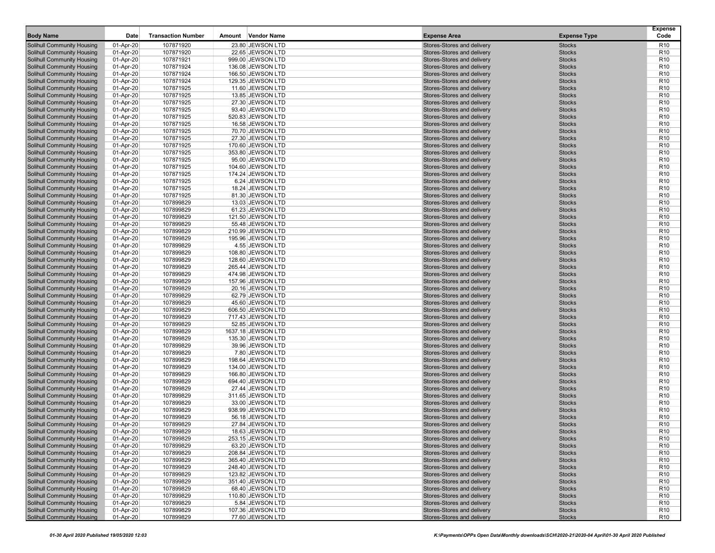| <b>Body Name</b>                                                       | Date                   | <b>Transaction Number</b> | Vendor Name<br>Amount                  | <b>Expense Area</b>                                      | <b>Expense Type</b>            | <b>Expense</b><br>Code             |
|------------------------------------------------------------------------|------------------------|---------------------------|----------------------------------------|----------------------------------------------------------|--------------------------------|------------------------------------|
| <b>Solihull Community Housing</b>                                      | 01-Apr-20              | 107871920                 | 23.80 JEWSON LTD                       | Stores-Stores and delivery                               | <b>Stocks</b>                  | R <sub>10</sub>                    |
| <b>Solihull Community Housing</b>                                      | 01-Apr-20              | 107871920                 | 22.65 JEWSON LTD                       | Stores-Stores and delivery                               | <b>Stocks</b>                  | R <sub>10</sub>                    |
| <b>Solihull Community Housing</b>                                      | 01-Apr-20              | 107871921                 | 999.00 JEWSON LTD                      | Stores-Stores and delivery                               | <b>Stocks</b>                  | R <sub>10</sub>                    |
| <b>Solihull Community Housing</b>                                      | 01-Apr-20              | 107871924                 | 136.08 JEWSON LTD                      | Stores-Stores and delivery                               | <b>Stocks</b>                  | R <sub>10</sub>                    |
| <b>Solihull Community Housing</b>                                      | 01-Apr-20              | 107871924                 | 166.50 JEWSON LTD                      | Stores-Stores and delivery                               | <b>Stocks</b>                  | R <sub>10</sub>                    |
| <b>Solihull Community Housing</b>                                      | 01-Apr-20              | 107871924                 | 129.35 JEWSON LTD                      | Stores-Stores and delivery                               | <b>Stocks</b>                  | R <sub>10</sub>                    |
| <b>Solihull Community Housing</b>                                      | 01-Apr-20              | 107871925                 | 11.60 JEWSON LTD                       | Stores-Stores and delivery                               | <b>Stocks</b>                  | R <sub>10</sub>                    |
| <b>Solihull Community Housing</b>                                      | 01-Apr-20              | 107871925                 | 13.85 JEWSON LTD                       | Stores-Stores and delivery                               | <b>Stocks</b>                  | R <sub>10</sub>                    |
| <b>Solihull Community Housing</b>                                      | 01-Apr-20              | 107871925                 | 27.30 JEWSON LTD                       | Stores-Stores and delivery                               | <b>Stocks</b>                  | R <sub>10</sub>                    |
| <b>Solihull Community Housing</b>                                      | 01-Apr-20              | 107871925                 | 93.40 JEWSON LTD                       | Stores-Stores and delivery                               | <b>Stocks</b>                  | R <sub>10</sub>                    |
| <b>Solihull Community Housing</b>                                      | 01-Apr-20              | 107871925                 | 520.83 JEWSON LTD                      | Stores-Stores and delivery                               | <b>Stocks</b>                  | R <sub>10</sub>                    |
| <b>Solihull Community Housing</b>                                      | 01-Apr-20              | 107871925                 | 16.58 JEWSON LTD                       | Stores-Stores and delivery                               | <b>Stocks</b>                  | R <sub>10</sub>                    |
| <b>Solihull Community Housing</b>                                      | 01-Apr-20              | 107871925                 | 70.70 JEWSON LTD                       | Stores-Stores and delivery                               | <b>Stocks</b>                  | R <sub>10</sub><br>R <sub>10</sub> |
| <b>Solihull Community Housing</b><br><b>Solihull Community Housing</b> | 01-Apr-20<br>01-Apr-20 | 107871925<br>107871925    | 27.30 JEWSON LTD<br>170.60 JEWSON LTD  | Stores-Stores and delivery<br>Stores-Stores and delivery | <b>Stocks</b><br><b>Stocks</b> | R <sub>10</sub>                    |
| <b>Solihull Community Housing</b>                                      | 01-Apr-20              | 107871925                 | 353.80 JEWSON LTD                      | Stores-Stores and delivery                               | <b>Stocks</b>                  | R <sub>10</sub>                    |
| <b>Solihull Community Housing</b>                                      | 01-Apr-20              | 107871925                 | 95.00 JEWSON LTD                       | Stores-Stores and delivery                               | <b>Stocks</b>                  | R <sub>10</sub>                    |
| <b>Solihull Community Housing</b>                                      | 01-Apr-20              | 107871925                 | 104.60 JEWSON LTD                      | Stores-Stores and delivery                               | <b>Stocks</b>                  | R <sub>10</sub>                    |
| <b>Solihull Community Housing</b>                                      | 01-Apr-20              | 107871925                 | 174.24 JEWSON LTD                      | Stores-Stores and delivery                               | <b>Stocks</b>                  | R <sub>10</sub>                    |
| Solihull Community Housing                                             | 01-Apr-20              | 107871925                 | 6.24 JEWSON LTD                        | Stores-Stores and delivery                               | <b>Stocks</b>                  | R <sub>10</sub>                    |
| <b>Solihull Community Housing</b>                                      | 01-Apr-20              | 107871925                 | 18.24 JEWSON LTD                       | Stores-Stores and delivery                               | <b>Stocks</b>                  | R <sub>10</sub>                    |
| <b>Solihull Community Housing</b>                                      | 01-Apr-20              | 107871925                 | 81.30 JEWSON LTD                       | Stores-Stores and delivery                               | <b>Stocks</b>                  | R <sub>10</sub>                    |
| <b>Solihull Community Housing</b>                                      | 01-Apr-20              | 107899829                 | 13.03 JEWSON LTD                       | Stores-Stores and delivery                               | <b>Stocks</b>                  | R <sub>10</sub>                    |
| <b>Solihull Community Housing</b>                                      | 01-Apr-20              | 107899829                 | 61.23 JEWSON LTD                       | Stores-Stores and delivery                               | <b>Stocks</b>                  | R <sub>10</sub>                    |
| <b>Solihull Community Housing</b>                                      | 01-Apr-20              | 107899829                 | 121.50 JEWSON LTD                      | Stores-Stores and delivery                               | <b>Stocks</b>                  | R <sub>10</sub>                    |
| <b>Solihull Community Housing</b>                                      | 01-Apr-20              | 107899829                 | 55.48 JEWSON LTD                       | Stores-Stores and delivery                               | <b>Stocks</b>                  | R <sub>10</sub>                    |
| <b>Solihull Community Housing</b>                                      | 01-Apr-20              | 107899829                 | 210.99 JEWSON LTD                      | Stores-Stores and delivery                               | <b>Stocks</b>                  | R <sub>10</sub>                    |
| <b>Solihull Community Housing</b>                                      | 01-Apr-20              | 107899829                 | 195.96 JEWSON LTD                      | Stores-Stores and delivery                               | <b>Stocks</b>                  | R <sub>10</sub>                    |
| <b>Solihull Community Housing</b>                                      | 01-Apr-20              | 107899829                 | 4.55 JEWSON LTD                        | Stores-Stores and delivery                               | <b>Stocks</b>                  | R <sub>10</sub>                    |
| <b>Solihull Community Housing</b>                                      | 01-Apr-20              | 107899829                 | 108.80 JEWSON LTD                      | Stores-Stores and delivery                               | <b>Stocks</b>                  | R <sub>10</sub>                    |
| <b>Solihull Community Housing</b>                                      | 01-Apr-20              | 107899829                 | 128.60 JEWSON LTD                      | Stores-Stores and delivery                               | <b>Stocks</b>                  | R <sub>10</sub>                    |
| <b>Solihull Community Housing</b>                                      | 01-Apr-20              | 107899829                 | 265.44 JEWSON LTD                      | Stores-Stores and delivery                               | <b>Stocks</b>                  | R <sub>10</sub>                    |
| <b>Solihull Community Housing</b>                                      | 01-Apr-20              | 107899829                 | 474.98 JEWSON LTD                      | Stores-Stores and delivery                               | <b>Stocks</b>                  | R <sub>10</sub>                    |
| <b>Solihull Community Housing</b>                                      | 01-Apr-20              | 107899829                 | 157.96 JEWSON LTD                      | Stores-Stores and delivery                               | <b>Stocks</b>                  | R <sub>10</sub>                    |
| <b>Solihull Community Housing</b>                                      | 01-Apr-20              | 107899829                 | 20.16 JEWSON LTD                       | Stores-Stores and delivery                               | <b>Stocks</b>                  | R <sub>10</sub>                    |
| <b>Solihull Community Housing</b>                                      | 01-Apr-20              | 107899829                 | 62.79 JEWSON LTD                       | Stores-Stores and delivery                               | <b>Stocks</b>                  | R <sub>10</sub>                    |
| <b>Solihull Community Housing</b>                                      | 01-Apr-20              | 107899829                 | 45.60 JEWSON LTD                       | Stores-Stores and delivery<br>Stores-Stores and delivery | <b>Stocks</b><br><b>Stocks</b> | R <sub>10</sub><br>R <sub>10</sub> |
| <b>Solihull Community Housing</b><br><b>Solihull Community Housing</b> | 01-Apr-20<br>01-Apr-20 | 107899829<br>107899829    | 606.50 JEWSON LTD<br>717.43 JEWSON LTD | Stores-Stores and delivery                               | <b>Stocks</b>                  | R <sub>10</sub>                    |
| <b>Solihull Community Housing</b>                                      | 01-Apr-20              | 107899829                 | 52.85 JEWSON LTD                       | Stores-Stores and delivery                               | <b>Stocks</b>                  | R <sub>10</sub>                    |
| <b>Solihull Community Housing</b>                                      | 01-Apr-20              | 107899829                 | 1637.18 JEWSON LTD                     | Stores-Stores and delivery                               | <b>Stocks</b>                  | R <sub>10</sub>                    |
| <b>Solihull Community Housing</b>                                      | 01-Apr-20              | 107899829                 | 135.30 JEWSON LTD                      | Stores-Stores and delivery                               | <b>Stocks</b>                  | R <sub>10</sub>                    |
| <b>Solihull Community Housing</b>                                      | 01-Apr-20              | 107899829                 | 39.96 JEWSON LTD                       | Stores-Stores and delivery                               | <b>Stocks</b>                  | R <sub>10</sub>                    |
| <b>Solihull Community Housing</b>                                      | 01-Apr-20              | 107899829                 | 7.80 JEWSON LTD                        | Stores-Stores and delivery                               | <b>Stocks</b>                  | R <sub>10</sub>                    |
| Solihull Community Housing                                             | 01-Apr-20              | 107899829                 | 198.64 JEWSON LTD                      | Stores-Stores and delivery                               | <b>Stocks</b>                  | R <sub>10</sub>                    |
| <b>Solihull Community Housing</b>                                      | 01-Apr-20              | 107899829                 | 134.00 JEWSON LTD                      | Stores-Stores and delivery                               | <b>Stocks</b>                  | R <sub>10</sub>                    |
| <b>Solihull Community Housing</b>                                      | 01-Apr-20              | 107899829                 | 166.80 JEWSON LTD                      | Stores-Stores and delivery                               | <b>Stocks</b>                  | R <sub>10</sub>                    |
| <b>Solihull Community Housing</b>                                      | 01-Apr-20              | 107899829                 | 694.40 JEWSON LTD                      | Stores-Stores and delivery                               | <b>Stocks</b>                  | R <sub>10</sub>                    |
| <b>Solihull Community Housing</b>                                      | 01-Apr-20              | 107899829                 | 27.44 JEWSON LTD                       | Stores-Stores and delivery                               | <b>Stocks</b>                  | R <sub>10</sub>                    |
| <b>Solihull Community Housing</b>                                      | 01-Apr-20              | 107899829                 | 311.65 JEWSON LTD                      | Stores-Stores and delivery                               | <b>Stocks</b>                  | R <sub>10</sub>                    |
| <b>Solihull Community Housing</b>                                      | 01-Apr-20              | 107899829                 | 33.00 JEWSON LTD                       | Stores-Stores and delivery                               | <b>Stocks</b>                  | R <sub>10</sub>                    |
| <b>Solihull Community Housing</b>                                      | 01-Apr-20              | 107899829                 | 938.99 JEWSON LTD                      | Stores-Stores and delivery                               | <b>Stocks</b>                  | R <sub>10</sub>                    |
| <b>Solihull Community Housing</b>                                      | 01-Apr-20              | 107899829                 | 56.18 JEWSON LTD                       | Stores-Stores and delivery                               | <b>Stocks</b>                  | R <sub>10</sub>                    |
| <b>Solihull Community Housing</b>                                      | 01-Apr-20              | 107899829                 | 27.84 JEWSON LTD                       | Stores-Stores and delivery                               | <b>Stocks</b>                  | R <sub>10</sub>                    |
| Solihull Community Housing                                             | 01-Apr-20              | 107899829                 | 18.63 JEWSON LTD                       | Stores-Stores and delivery                               | <b>Stocks</b>                  | R <sub>10</sub>                    |
| <b>Solihull Community Housing</b>                                      | 01-Apr-20              | 107899829                 | 253.15 JEWSON LTD                      | Stores-Stores and delivery                               | <b>Stocks</b>                  | R <sub>10</sub>                    |
| <b>Solihull Community Housing</b><br><b>Solihull Community Housing</b> | 01-Apr-20<br>01-Apr-20 | 107899829<br>107899829    | 63.20 JEWSON LTD<br>208.84 JEWSON LTD  | Stores-Stores and delivery<br>Stores-Stores and delivery | <b>Stocks</b><br><b>Stocks</b> | R <sub>10</sub><br>R <sub>10</sub> |
| <b>Solihull Community Housing</b>                                      |                        |                           |                                        | Stores-Stores and delivery                               |                                | R <sub>10</sub>                    |
| <b>Solihull Community Housing</b>                                      | 01-Apr-20<br>01-Apr-20 | 107899829<br>107899829    | 365.40 JEWSON LTD<br>248.40 JEWSON LTD | Stores-Stores and delivery                               | <b>Stocks</b><br><b>Stocks</b> | R <sub>10</sub>                    |
| <b>Solihull Community Housing</b>                                      | 01-Apr-20              | 107899829                 | 123.82 JEWSON LTD                      | Stores-Stores and delivery                               | <b>Stocks</b>                  | R <sub>10</sub>                    |
| <b>Solihull Community Housing</b>                                      | 01-Apr-20              | 107899829                 | 351.40 JEWSON LTD                      | Stores-Stores and delivery                               | <b>Stocks</b>                  | R <sub>10</sub>                    |
| <b>Solihull Community Housing</b>                                      | 01-Apr-20              | 107899829                 | 68.40 JEWSON LTD                       | Stores-Stores and delivery                               | <b>Stocks</b>                  | R <sub>10</sub>                    |
| <b>Solihull Community Housing</b>                                      | 01-Apr-20              | 107899829                 | 110.80 JEWSON LTD                      | Stores-Stores and delivery                               | <b>Stocks</b>                  | R <sub>10</sub>                    |
| <b>Solihull Community Housing</b>                                      | 01-Apr-20              | 107899829                 | 5.84 JEWSON LTD                        | Stores-Stores and delivery                               | <b>Stocks</b>                  | R <sub>10</sub>                    |
| <b>Solihull Community Housing</b>                                      | 01-Apr-20              | 107899829                 | 107.36 JEWSON LTD                      | Stores-Stores and delivery                               | <b>Stocks</b>                  | R <sub>10</sub>                    |
| <b>Solihull Community Housing</b>                                      | 01-Apr-20              | 107899829                 | 77.60 JEWSON LTD                       | Stores-Stores and delivery                               | <b>Stocks</b>                  | R <sub>10</sub>                    |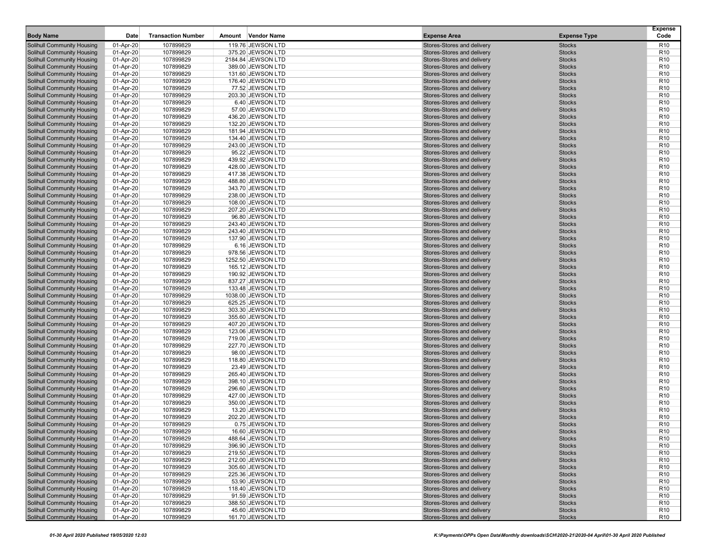| <b>Body Name</b>                                                       | Date                   | <b>Transaction Number</b> | Amount | Vendor Name                            | <b>Expense Area</b>                                      | <b>Expense Type</b>            | <b>Expense</b><br>Code             |
|------------------------------------------------------------------------|------------------------|---------------------------|--------|----------------------------------------|----------------------------------------------------------|--------------------------------|------------------------------------|
| <b>Solihull Community Housing</b>                                      | 01-Apr-20              | 107899829                 |        | 119.76 JEWSON LTD                      | Stores-Stores and delivery                               | <b>Stocks</b>                  | R <sub>10</sub>                    |
| <b>Solihull Community Housing</b>                                      | 01-Apr-20              | 107899829                 |        | 375.20 JEWSON LTD                      | Stores-Stores and delivery                               | <b>Stocks</b>                  | R <sub>10</sub>                    |
| <b>Solihull Community Housing</b>                                      | 01-Apr-20              | 107899829                 |        | 2184.84 JEWSON LTD                     | Stores-Stores and delivery                               | <b>Stocks</b>                  | R <sub>10</sub>                    |
| <b>Solihull Community Housing</b>                                      | 01-Apr-20              | 107899829                 |        | 389.00 JEWSON LTD                      | Stores-Stores and delivery                               | <b>Stocks</b>                  | R <sub>10</sub>                    |
| <b>Solihull Community Housing</b>                                      | 01-Apr-20              | 107899829                 |        | 131.60 JEWSON LTD                      | Stores-Stores and delivery                               | <b>Stocks</b>                  | R <sub>10</sub>                    |
| <b>Solihull Community Housing</b>                                      | 01-Apr-20              | 107899829                 |        | 176.40 JEWSON LTD                      | Stores-Stores and delivery                               | <b>Stocks</b>                  | R <sub>10</sub>                    |
| <b>Solihull Community Housing</b>                                      | 01-Apr-20              | 107899829                 |        | 77.52 JEWSON LTD                       | Stores-Stores and delivery                               | <b>Stocks</b>                  | R <sub>10</sub>                    |
| <b>Solihull Community Housing</b><br><b>Solihull Community Housing</b> | 01-Apr-20<br>01-Apr-20 | 107899829<br>107899829    |        | 203.30 JEWSON LTD<br>6.40 JEWSON LTD   | Stores-Stores and delivery<br>Stores-Stores and delivery | <b>Stocks</b><br><b>Stocks</b> | R <sub>10</sub><br>R <sub>10</sub> |
| <b>Solihull Community Housing</b>                                      | 01-Apr-20              | 107899829                 |        | 57.00 JEWSON LTD                       | Stores-Stores and delivery                               | <b>Stocks</b>                  | R <sub>10</sub>                    |
| <b>Solihull Community Housing</b>                                      | 01-Apr-20              | 107899829                 |        | 436.20 JEWSON LTD                      | Stores-Stores and delivery                               | <b>Stocks</b>                  | R <sub>10</sub>                    |
| <b>Solihull Community Housing</b>                                      | 01-Apr-20              | 107899829                 |        | 132.20 JEWSON LTD                      | Stores-Stores and delivery                               | <b>Stocks</b>                  | R <sub>10</sub>                    |
| <b>Solihull Community Housing</b>                                      | 01-Apr-20              | 107899829                 |        | 181.94 JEWSON LTD                      | Stores-Stores and delivery                               | <b>Stocks</b>                  | R <sub>10</sub>                    |
| <b>Solihull Community Housing</b>                                      | 01-Apr-20              | 107899829                 |        | 134.40 JEWSON LTD                      | Stores-Stores and delivery                               | <b>Stocks</b>                  | R <sub>10</sub>                    |
| <b>Solihull Community Housing</b>                                      | 01-Apr-20              | 107899829                 |        | 243.00 JEWSON LTD                      | Stores-Stores and delivery                               | <b>Stocks</b>                  | R <sub>10</sub>                    |
| <b>Solihull Community Housing</b>                                      | 01-Apr-20              | 107899829                 |        | 95.22 JEWSON LTD                       | Stores-Stores and delivery                               | <b>Stocks</b>                  | R <sub>10</sub>                    |
| <b>Solihull Community Housing</b>                                      | 01-Apr-20              | 107899829                 |        | 439.92 JEWSON LTD                      | Stores-Stores and delivery                               | <b>Stocks</b>                  | R <sub>10</sub>                    |
| <b>Solihull Community Housing</b>                                      | 01-Apr-20              | 107899829                 |        | 428.00 JEWSON LTD                      | Stores-Stores and delivery                               | <b>Stocks</b>                  | R <sub>10</sub>                    |
| <b>Solihull Community Housing</b>                                      | 01-Apr-20              | 107899829                 |        | 417.38 JEWSON LTD                      | Stores-Stores and delivery                               | <b>Stocks</b>                  | R <sub>10</sub>                    |
| Solihull Community Housing                                             | 01-Apr-20              | 107899829                 |        | 488.80 JEWSON LTD                      | Stores-Stores and delivery                               | <b>Stocks</b>                  | R <sub>10</sub>                    |
| <b>Solihull Community Housing</b>                                      | 01-Apr-20              | 107899829                 |        | 343.70 JEWSON LTD                      | Stores-Stores and delivery                               | <b>Stocks</b>                  | R <sub>10</sub>                    |
| <b>Solihull Community Housing</b>                                      | 01-Apr-20              | 107899829                 |        | 238.00 JEWSON LTD                      | Stores-Stores and delivery                               | <b>Stocks</b>                  | R <sub>10</sub>                    |
| <b>Solihull Community Housing</b>                                      | 01-Apr-20              | 107899829                 |        | 108.00 JEWSON LTD                      | Stores-Stores and delivery                               | <b>Stocks</b>                  | R <sub>10</sub>                    |
| <b>Solihull Community Housing</b>                                      | 01-Apr-20              | 107899829                 |        | 207.20 JEWSON LTD                      | Stores-Stores and delivery                               | <b>Stocks</b><br><b>Stocks</b> | R <sub>10</sub>                    |
| <b>Solihull Community Housing</b>                                      | 01-Apr-20              | 107899829<br>107899829    |        | 96.80 JEWSON LTD<br>243.40 JEWSON LTD  | Stores-Stores and delivery<br>Stores-Stores and delivery | <b>Stocks</b>                  | R <sub>10</sub><br>R <sub>10</sub> |
| <b>Solihull Community Housing</b><br><b>Solihull Community Housing</b> | 01-Apr-20<br>01-Apr-20 | 107899829                 |        | 243.40 JEWSON LTD                      | Stores-Stores and delivery                               | <b>Stocks</b>                  | R <sub>10</sub>                    |
| <b>Solihull Community Housing</b>                                      | 01-Apr-20              | 107899829                 |        | 137.90 JEWSON LTD                      | Stores-Stores and delivery                               | <b>Stocks</b>                  | R <sub>10</sub>                    |
| <b>Solihull Community Housing</b>                                      | 01-Apr-20              | 107899829                 |        | 6.16 JEWSON LTD                        | Stores-Stores and delivery                               | <b>Stocks</b>                  | R <sub>10</sub>                    |
| <b>Solihull Community Housing</b>                                      | 01-Apr-20              | 107899829                 |        | 978.56 JEWSON LTD                      | Stores-Stores and delivery                               | <b>Stocks</b>                  | R <sub>10</sub>                    |
| <b>Solihull Community Housing</b>                                      | 01-Apr-20              | 107899829                 |        | 1252.50 JEWSON LTD                     | Stores-Stores and delivery                               | <b>Stocks</b>                  | R <sub>10</sub>                    |
| <b>Solihull Community Housing</b>                                      | 01-Apr-20              | 107899829                 |        | 165.12 JEWSON LTD                      | Stores-Stores and delivery                               | <b>Stocks</b>                  | R <sub>10</sub>                    |
| <b>Solihull Community Housing</b>                                      | 01-Apr-20              | 107899829                 |        | 190.92 JEWSON LTD                      | Stores-Stores and delivery                               | <b>Stocks</b>                  | R <sub>10</sub>                    |
| <b>Solihull Community Housing</b>                                      | 01-Apr-20              | 107899829                 |        | 837.27 JEWSON LTD                      | Stores-Stores and delivery                               | <b>Stocks</b>                  | R <sub>10</sub>                    |
| <b>Solihull Community Housing</b>                                      | 01-Apr-20              | 107899829                 |        | 133.48 JEWSON LTD                      | Stores-Stores and delivery                               | <b>Stocks</b>                  | R <sub>10</sub>                    |
| <b>Solihull Community Housing</b>                                      | 01-Apr-20              | 107899829                 |        | 1038.00 JEWSON LTD                     | Stores-Stores and delivery                               | <b>Stocks</b>                  | R <sub>10</sub>                    |
| <b>Solihull Community Housing</b>                                      | 01-Apr-20              | 107899829                 |        | 625.25 JEWSON LTD                      | Stores-Stores and delivery                               | <b>Stocks</b>                  | R <sub>10</sub>                    |
| <b>Solihull Community Housing</b>                                      | 01-Apr-20              | 107899829                 |        | 303.30 JEWSON LTD                      | Stores-Stores and delivery                               | <b>Stocks</b>                  | R <sub>10</sub>                    |
| <b>Solihull Community Housing</b>                                      | 01-Apr-20              | 107899829                 |        | 355.60 JEWSON LTD                      | Stores-Stores and delivery                               | <b>Stocks</b>                  | R <sub>10</sub>                    |
| <b>Solihull Community Housing</b><br><b>Solihull Community Housing</b> | 01-Apr-20<br>01-Apr-20 | 107899829<br>107899829    |        | 407.20 JEWSON LTD<br>123.06 JEWSON LTD | Stores-Stores and delivery<br>Stores-Stores and delivery | <b>Stocks</b><br><b>Stocks</b> | R <sub>10</sub><br>R <sub>10</sub> |
| <b>Solihull Community Housing</b>                                      | 01-Apr-20              | 107899829                 |        | 719.00 JEWSON LTD                      | Stores-Stores and delivery                               | <b>Stocks</b>                  | R <sub>10</sub>                    |
| <b>Solihull Community Housing</b>                                      | 01-Apr-20              | 107899829                 |        | 227.70 JEWSON LTD                      | Stores-Stores and delivery                               | <b>Stocks</b>                  | R <sub>10</sub>                    |
| <b>Solihull Community Housing</b>                                      | 01-Apr-20              | 107899829                 |        | 98.00 JEWSON LTD                       | Stores-Stores and delivery                               | <b>Stocks</b>                  | R <sub>10</sub>                    |
| Solihull Community Housing                                             | 01-Apr-20              | 107899829                 |        | 118.80 JEWSON LTD                      | Stores-Stores and delivery                               | <b>Stocks</b>                  | R <sub>10</sub>                    |
| <b>Solihull Community Housing</b>                                      | 01-Apr-20              | 107899829                 |        | 23.49 JEWSON LTD                       | Stores-Stores and delivery                               | <b>Stocks</b>                  | R <sub>10</sub>                    |
| <b>Solihull Community Housing</b>                                      | 01-Apr-20              | 107899829                 |        | 265.40 JEWSON LTD                      | Stores-Stores and delivery                               | <b>Stocks</b>                  | R <sub>10</sub>                    |
| <b>Solihull Community Housing</b>                                      | 01-Apr-20              | 107899829                 |        | 398.10 JEWSON LTD                      | Stores-Stores and delivery                               | <b>Stocks</b>                  | R <sub>10</sub>                    |
| <b>Solihull Community Housing</b>                                      | 01-Apr-20              | 107899829                 |        | 296.60 JEWSON LTD                      | Stores-Stores and delivery                               | <b>Stocks</b>                  | R <sub>10</sub>                    |
| <b>Solihull Community Housing</b>                                      | 01-Apr-20              | 107899829                 |        | 427.00 JEWSON LTD                      | Stores-Stores and delivery                               | <b>Stocks</b>                  | R <sub>10</sub>                    |
| <b>Solihull Community Housing</b>                                      | 01-Apr-20              | 107899829                 |        | 350.00 JEWSON LTD                      | Stores-Stores and delivery                               | <b>Stocks</b>                  | R <sub>10</sub>                    |
| <b>Solihull Community Housing</b>                                      | 01-Apr-20              | 107899829                 |        | 13.20 JEWSON LTD                       | Stores-Stores and delivery                               | <b>Stocks</b>                  | R <sub>10</sub>                    |
| <b>Solihull Community Housing</b>                                      | 01-Apr-20              | 107899829                 |        | 202.20 JEWSON LTD                      | Stores-Stores and delivery                               | <b>Stocks</b>                  | R <sub>10</sub>                    |
| <b>Solihull Community Housing</b>                                      | 01-Apr-20              | 107899829                 |        | 0.75 JEWSON LTD                        | Stores-Stores and delivery                               | <b>Stocks</b>                  | R <sub>10</sub>                    |
| Solihull Community Housing<br><b>Solihull Community Housing</b>        | 01-Apr-20              | 107899829                 |        | 16.60 JEWSON LTD<br>488.64 JEWSON LTD  | Stores-Stores and delivery<br>Stores-Stores and delivery | <b>Stocks</b>                  | R <sub>10</sub><br>R <sub>10</sub> |
| <b>Solihull Community Housing</b>                                      | 01-Apr-20<br>01-Apr-20 | 107899829<br>107899829    |        | 396.90 JEWSON LTD                      | Stores-Stores and delivery                               | <b>Stocks</b><br><b>Stocks</b> | R <sub>10</sub>                    |
| <b>Solihull Community Housing</b>                                      | 01-Apr-20              | 107899829                 |        | 219.50 JEWSON LTD                      | Stores-Stores and delivery                               | <b>Stocks</b>                  | R <sub>10</sub>                    |
| <b>Solihull Community Housing</b>                                      | 01-Apr-20              | 107899829                 |        | 212.00 JEWSON LTD                      | Stores-Stores and delivery                               | <b>Stocks</b>                  | R <sub>10</sub>                    |
| <b>Solihull Community Housing</b>                                      | 01-Apr-20              | 107899829                 |        | 305.60 JEWSON LTD                      | Stores-Stores and delivery                               | <b>Stocks</b>                  | R <sub>10</sub>                    |
| <b>Solihull Community Housing</b>                                      | 01-Apr-20              | 107899829                 |        | 225.36 JEWSON LTD                      | Stores-Stores and delivery                               | <b>Stocks</b>                  | R <sub>10</sub>                    |
| <b>Solihull Community Housing</b>                                      | 01-Apr-20              | 107899829                 |        | 53.90 JEWSON LTD                       | Stores-Stores and delivery                               | <b>Stocks</b>                  | R <sub>10</sub>                    |
| <b>Solihull Community Housing</b>                                      | 01-Apr-20              | 107899829                 |        | 118.40 JEWSON LTD                      | Stores-Stores and delivery                               | <b>Stocks</b>                  | R <sub>10</sub>                    |
| <b>Solihull Community Housing</b>                                      | 01-Apr-20              | 107899829                 |        | 91.59 JEWSON LTD                       | Stores-Stores and delivery                               | <b>Stocks</b>                  | R <sub>10</sub>                    |
| <b>Solihull Community Housing</b>                                      | 01-Apr-20              | 107899829                 |        | 388.50 JEWSON LTD                      | Stores-Stores and delivery                               | <b>Stocks</b>                  | R <sub>10</sub>                    |
| <b>Solihull Community Housing</b>                                      | 01-Apr-20              | 107899829                 |        | 45.60 JEWSON LTD                       | Stores-Stores and delivery                               | <b>Stocks</b>                  | R <sub>10</sub>                    |
| <b>Solihull Community Housing</b>                                      | 01-Apr-20              | 107899829                 |        | 161.70 JEWSON LTD                      | Stores-Stores and delivery                               | <b>Stocks</b>                  | R <sub>10</sub>                    |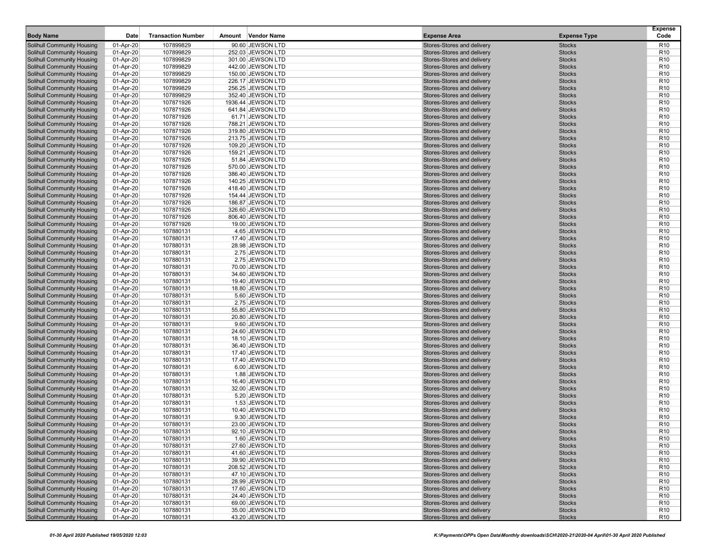| <b>Body Name</b>                                                       | Date                   | <b>Transaction Number</b> | Amount | Vendor Name                            | <b>Expense Area</b>                                      | <b>Expense Type</b>            | <b>Expense</b><br>Code             |
|------------------------------------------------------------------------|------------------------|---------------------------|--------|----------------------------------------|----------------------------------------------------------|--------------------------------|------------------------------------|
| <b>Solihull Community Housing</b>                                      | 01-Apr-20              | 107899829                 |        | 90.60 JEWSON LTD                       | Stores-Stores and delivery                               | <b>Stocks</b>                  | R <sub>10</sub>                    |
| <b>Solihull Community Housing</b>                                      | 01-Apr-20              | 107899829                 |        | 252.03 JEWSON LTD                      | Stores-Stores and delivery                               | <b>Stocks</b>                  | R <sub>10</sub>                    |
| <b>Solihull Community Housing</b>                                      | 01-Apr-20              | 107899829                 |        | 301.00 JEWSON LTD                      | Stores-Stores and delivery                               | <b>Stocks</b>                  | R <sub>10</sub>                    |
| <b>Solihull Community Housing</b>                                      | 01-Apr-20              | 107899829                 |        | 442.00 JEWSON LTD                      | Stores-Stores and delivery                               | <b>Stocks</b>                  | R <sub>10</sub>                    |
| <b>Solihull Community Housing</b>                                      | 01-Apr-20              | 107899829                 |        | 150.00 JEWSON LTD                      | Stores-Stores and delivery                               | <b>Stocks</b>                  | R <sub>10</sub>                    |
| <b>Solihull Community Housing</b>                                      | 01-Apr-20              | 107899829                 |        | 226.17 JEWSON LTD                      | Stores-Stores and delivery                               | <b>Stocks</b>                  | R <sub>10</sub>                    |
| <b>Solihull Community Housing</b>                                      | 01-Apr-20              | 107899829                 |        | 256.25 JEWSON LTD                      | Stores-Stores and delivery                               | <b>Stocks</b>                  | R <sub>10</sub>                    |
| <b>Solihull Community Housing</b>                                      | 01-Apr-20              | 107899829                 |        | 352.40 JEWSON LTD                      | Stores-Stores and delivery                               | <b>Stocks</b>                  | R <sub>10</sub>                    |
| <b>Solihull Community Housing</b>                                      | 01-Apr-20              | 107871926                 |        | 1936.44 JEWSON LTD                     | Stores-Stores and delivery                               | <b>Stocks</b>                  | R <sub>10</sub>                    |
| <b>Solihull Community Housing</b>                                      | 01-Apr-20              | 107871926                 |        | 641.84 JEWSON LTD                      | Stores-Stores and delivery                               | <b>Stocks</b>                  | R <sub>10</sub>                    |
| <b>Solihull Community Housing</b>                                      | 01-Apr-20              | 107871926                 |        | 61.71 JEWSON LTD                       | Stores-Stores and delivery                               | <b>Stocks</b>                  | R <sub>10</sub>                    |
| <b>Solihull Community Housing</b><br><b>Solihull Community Housing</b> | 01-Apr-20              | 107871926                 |        | 788.21 JEWSON LTD                      | Stores-Stores and delivery<br>Stores-Stores and delivery | <b>Stocks</b><br><b>Stocks</b> | R <sub>10</sub>                    |
|                                                                        | 01-Apr-20              | 107871926                 |        | 319.80 JEWSON LTD                      |                                                          | <b>Stocks</b>                  | R <sub>10</sub>                    |
| <b>Solihull Community Housing</b><br><b>Solihull Community Housing</b> | 01-Apr-20<br>01-Apr-20 | 107871926<br>107871926    |        | 213.75 JEWSON LTD<br>109.20 JEWSON LTD | Stores-Stores and delivery<br>Stores-Stores and delivery | <b>Stocks</b>                  | R <sub>10</sub><br>R <sub>10</sub> |
| <b>Solihull Community Housing</b>                                      | 01-Apr-20              | 107871926                 |        | 159.21 JEWSON LTD                      | Stores-Stores and delivery                               | <b>Stocks</b>                  | R <sub>10</sub>                    |
| <b>Solihull Community Housing</b>                                      | 01-Apr-20              | 107871926                 |        | 51.84 JEWSON LTD                       | Stores-Stores and delivery                               | <b>Stocks</b>                  | R <sub>10</sub>                    |
| <b>Solihull Community Housing</b>                                      | 01-Apr-20              | 107871926                 |        | 570.00 JEWSON LTD                      | Stores-Stores and delivery                               | <b>Stocks</b>                  | R <sub>10</sub>                    |
| <b>Solihull Community Housing</b>                                      | 01-Apr-20              | 107871926                 |        | 386.40 JEWSON LTD                      | Stores-Stores and delivery                               | <b>Stocks</b>                  | R <sub>10</sub>                    |
| Solihull Community Housing                                             | 01-Apr-20              | 107871926                 |        | 140.25 JEWSON LTD                      | Stores-Stores and delivery                               | <b>Stocks</b>                  | R <sub>10</sub>                    |
| <b>Solihull Community Housing</b>                                      | 01-Apr-20              | 107871926                 |        | 418.40 JEWSON LTD                      | Stores-Stores and delivery                               | <b>Stocks</b>                  | R <sub>10</sub>                    |
| <b>Solihull Community Housing</b>                                      | 01-Apr-20              | 107871926                 |        | 154.44 JEWSON LTD                      | Stores-Stores and delivery                               | <b>Stocks</b>                  | R <sub>10</sub>                    |
| <b>Solihull Community Housing</b>                                      | 01-Apr-20              | 107871926                 |        | 186.87 JEWSON LTD                      | Stores-Stores and delivery                               | <b>Stocks</b>                  | R <sub>10</sub>                    |
| <b>Solihull Community Housing</b>                                      | 01-Apr-20              | 107871926                 |        | 326.60 JEWSON LTD                      | Stores-Stores and delivery                               | <b>Stocks</b>                  | R <sub>10</sub>                    |
| <b>Solihull Community Housing</b>                                      | 01-Apr-20              | 107871926                 |        | 806.40 JEWSON LTD                      | Stores-Stores and delivery                               | <b>Stocks</b>                  | R <sub>10</sub>                    |
| <b>Solihull Community Housing</b>                                      | 01-Apr-20              | 107871926                 |        | 19.00 JEWSON LTD                       | Stores-Stores and delivery                               | <b>Stocks</b>                  | R <sub>10</sub>                    |
| <b>Solihull Community Housing</b>                                      | 01-Apr-20              | 107880131                 |        | 4.65 JEWSON LTD                        | Stores-Stores and delivery                               | <b>Stocks</b>                  | R <sub>10</sub>                    |
| <b>Solihull Community Housing</b>                                      | 01-Apr-20              | 107880131                 |        | 17.40 JEWSON LTD                       | Stores-Stores and delivery                               | <b>Stocks</b>                  | R <sub>10</sub>                    |
| <b>Solihull Community Housing</b>                                      | 01-Apr-20              | 107880131                 |        | 28.98 JEWSON LTD                       | Stores-Stores and delivery                               | <b>Stocks</b>                  | R <sub>10</sub>                    |
| <b>Solihull Community Housing</b>                                      | 01-Apr-20              | 107880131                 |        | 2.75 JEWSON LTD                        | Stores-Stores and delivery                               | <b>Stocks</b>                  | R <sub>10</sub>                    |
| <b>Solihull Community Housing</b>                                      | 01-Apr-20              | 107880131                 |        | 2.75 JEWSON LTD                        | Stores-Stores and delivery                               | <b>Stocks</b>                  | R <sub>10</sub>                    |
| <b>Solihull Community Housing</b>                                      | 01-Apr-20              | 107880131                 |        | 70.00 JEWSON LTD                       | Stores-Stores and delivery                               | <b>Stocks</b>                  | R <sub>10</sub>                    |
| <b>Solihull Community Housing</b>                                      | 01-Apr-20              | 107880131                 |        | 34.60 JEWSON LTD                       | Stores-Stores and delivery                               | <b>Stocks</b>                  | R <sub>10</sub>                    |
| <b>Solihull Community Housing</b>                                      | 01-Apr-20              | 107880131                 |        | 19.40 JEWSON LTD                       | Stores-Stores and delivery                               | <b>Stocks</b>                  | R <sub>10</sub>                    |
| <b>Solihull Community Housing</b>                                      | 01-Apr-20              | 107880131                 |        | 18.80 JEWSON LTD                       | Stores-Stores and delivery                               | <b>Stocks</b>                  | R <sub>10</sub>                    |
| <b>Solihull Community Housing</b>                                      | 01-Apr-20              | 107880131                 |        | 5.60 JEWSON LTD                        | Stores-Stores and delivery                               | <b>Stocks</b>                  | R <sub>10</sub>                    |
| <b>Solihull Community Housing</b>                                      | 01-Apr-20              | 107880131                 |        | 2.75 JEWSON LTD                        | Stores-Stores and delivery                               | <b>Stocks</b>                  | R <sub>10</sub>                    |
| <b>Solihull Community Housing</b>                                      | 01-Apr-20              | 107880131                 |        | 55.80 JEWSON LTD                       | Stores-Stores and delivery                               | <b>Stocks</b>                  | R <sub>10</sub>                    |
| <b>Solihull Community Housing</b>                                      | 01-Apr-20              | 107880131                 |        | 20.80 JEWSON LTD                       | Stores-Stores and delivery                               | <b>Stocks</b>                  | R <sub>10</sub>                    |
| <b>Solihull Community Housing</b>                                      | 01-Apr-20              | 107880131                 |        | 9.60 JEWSON LTD                        | Stores-Stores and delivery                               | <b>Stocks</b>                  | R <sub>10</sub>                    |
| <b>Solihull Community Housing</b>                                      | 01-Apr-20              | 107880131                 |        | 24.60 JEWSON LTD                       | Stores-Stores and delivery                               | <b>Stocks</b>                  | R <sub>10</sub>                    |
| <b>Solihull Community Housing</b>                                      | 01-Apr-20              | 107880131                 |        | 18.10 JEWSON LTD                       | Stores-Stores and delivery                               | <b>Stocks</b>                  | R <sub>10</sub>                    |
| <b>Solihull Community Housing</b>                                      | 01-Apr-20              | 107880131                 |        | 36.40 JEWSON LTD                       | Stores-Stores and delivery                               | <b>Stocks</b>                  | R <sub>10</sub>                    |
| <b>Solihull Community Housing</b>                                      | 01-Apr-20              | 107880131                 |        | 17.40 JEWSON LTD                       | Stores-Stores and delivery<br>Stores-Stores and delivery | <b>Stocks</b><br><b>Stocks</b> | R <sub>10</sub><br>R <sub>10</sub> |
| Solihull Community Housing<br><b>Solihull Community Housing</b>        | 01-Apr-20              | 107880131<br>107880131    |        | 17.40 JEWSON LTD<br>6.00 JEWSON LTD    | Stores-Stores and delivery                               | <b>Stocks</b>                  | R <sub>10</sub>                    |
| <b>Solihull Community Housing</b>                                      | 01-Apr-20<br>01-Apr-20 | 107880131                 |        | 1.88 JEWSON LTD                        | Stores-Stores and delivery                               | <b>Stocks</b>                  | R <sub>10</sub>                    |
| <b>Solihull Community Housing</b>                                      | 01-Apr-20              | 107880131                 |        | 16.40 JEWSON LTD                       | Stores-Stores and delivery                               | <b>Stocks</b>                  | R <sub>10</sub>                    |
| <b>Solihull Community Housing</b>                                      | 01-Apr-20              | 107880131                 |        | 32.00 JEWSON LTD                       | Stores-Stores and delivery                               | <b>Stocks</b>                  | R <sub>10</sub>                    |
| <b>Solihull Community Housing</b>                                      | 01-Apr-20              | 107880131                 |        | 5.20 JEWSON LTD                        | Stores-Stores and delivery                               | <b>Stocks</b>                  | R <sub>10</sub>                    |
| <b>Solihull Community Housing</b>                                      | 01-Apr-20              | 107880131                 |        | 1.53 JEWSON LTD                        | Stores-Stores and delivery                               | <b>Stocks</b>                  | R <sub>10</sub>                    |
| <b>Solihull Community Housing</b>                                      | 01-Apr-20              | 107880131                 |        | 10.40 JEWSON LTD                       | Stores-Stores and delivery                               | <b>Stocks</b>                  | R <sub>10</sub>                    |
| <b>Solihull Community Housing</b>                                      | 01-Apr-20              | 107880131                 |        | 9.30 JEWSON LTD                        | Stores-Stores and delivery                               | <b>Stocks</b>                  | R <sub>10</sub>                    |
| <b>Solihull Community Housing</b>                                      | 01-Apr-20              | 107880131                 |        | 23.00 JEWSON LTD                       | Stores-Stores and delivery                               | <b>Stocks</b>                  | R <sub>10</sub>                    |
| Solihull Community Housing                                             | 01-Apr-20              | 107880131                 |        | 92.10 JEWSON LTD                       | Stores-Stores and delivery                               | <b>Stocks</b>                  | R <sub>10</sub>                    |
| <b>Solihull Community Housing</b>                                      | 01-Apr-20              | 107880131                 |        | 1.60 JEWSON LTD                        | Stores-Stores and delivery                               | <b>Stocks</b>                  | R <sub>10</sub>                    |
| <b>Solihull Community Housing</b>                                      | 01-Apr-20              | 107880131                 |        | 27.60 JEWSON LTD                       | Stores-Stores and delivery                               | <b>Stocks</b>                  | R <sub>10</sub>                    |
| <b>Solihull Community Housing</b>                                      | 01-Apr-20              | 107880131                 |        | 41.60 JEWSON LTD                       | Stores-Stores and delivery                               | <b>Stocks</b>                  | R <sub>10</sub>                    |
| <b>Solihull Community Housing</b>                                      | 01-Apr-20              | 107880131                 |        | 39.90 JEWSON LTD                       | Stores-Stores and delivery                               | <b>Stocks</b>                  | R <sub>10</sub>                    |
| <b>Solihull Community Housing</b>                                      | 01-Apr-20              | 107880131                 |        | 208.52 JEWSON LTD                      | Stores-Stores and delivery                               | <b>Stocks</b>                  | R <sub>10</sub>                    |
| <b>Solihull Community Housing</b>                                      | 01-Apr-20              | 107880131                 |        | 47.10 JEWSON LTD                       | Stores-Stores and delivery                               | <b>Stocks</b>                  | R <sub>10</sub>                    |
| <b>Solihull Community Housing</b>                                      | 01-Apr-20              | 107880131                 |        | 28.99 JEWSON LTD                       | Stores-Stores and delivery                               | <b>Stocks</b>                  | R <sub>10</sub>                    |
| <b>Solihull Community Housing</b>                                      | 01-Apr-20              | 107880131                 |        | 17.60 JEWSON LTD                       | Stores-Stores and delivery                               | <b>Stocks</b>                  | R <sub>10</sub>                    |
| <b>Solihull Community Housing</b>                                      | 01-Apr-20              | 107880131                 |        | 24.40 JEWSON LTD                       | Stores-Stores and delivery                               | <b>Stocks</b>                  | R <sub>10</sub>                    |
| <b>Solihull Community Housing</b>                                      | 01-Apr-20              | 107880131                 |        | 69.00 JEWSON LTD                       | Stores-Stores and delivery                               | <b>Stocks</b>                  | R <sub>10</sub>                    |
| <b>Solihull Community Housing</b>                                      | 01-Apr-20              | 107880131                 |        | 35.00 JEWSON LTD                       | Stores-Stores and delivery                               | <b>Stocks</b>                  | R <sub>10</sub>                    |
| <b>Solihull Community Housing</b>                                      | 01-Apr-20              | 107880131                 |        | 43.20 JEWSON LTD                       | Stores-Stores and delivery                               | <b>Stocks</b>                  | R <sub>10</sub>                    |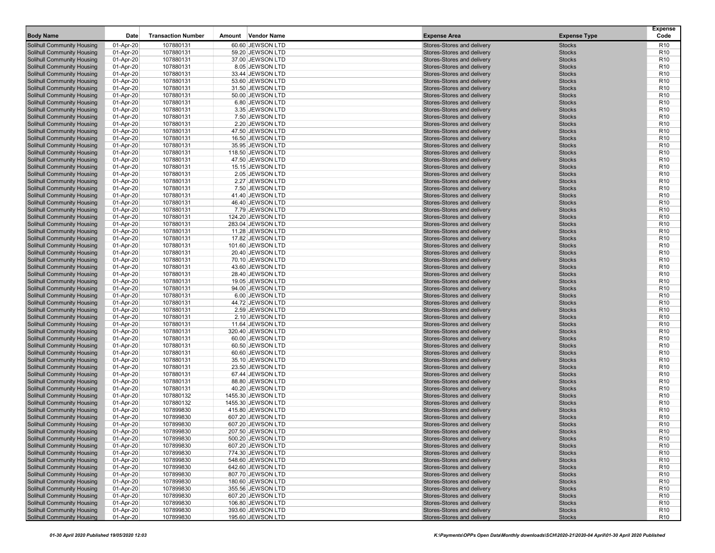| <b>Body Name</b>                                                       | Date                   | <b>Transaction Number</b> | Amount | Vendor Name                            | <b>Expense Area</b>                                      | <b>Expense Type</b>            | <b>Expense</b><br>Code             |
|------------------------------------------------------------------------|------------------------|---------------------------|--------|----------------------------------------|----------------------------------------------------------|--------------------------------|------------------------------------|
| <b>Solihull Community Housing</b>                                      | 01-Apr-20              | 107880131                 |        | 60.60 JEWSON LTD                       | Stores-Stores and delivery                               | <b>Stocks</b>                  | R <sub>10</sub>                    |
| <b>Solihull Community Housing</b>                                      | 01-Apr-20              | 107880131                 |        | 59.20 JEWSON LTD                       | Stores-Stores and delivery                               | <b>Stocks</b>                  | R <sub>10</sub>                    |
| <b>Solihull Community Housing</b>                                      | 01-Apr-20              | 107880131                 |        | 37.00 JEWSON LTD                       | Stores-Stores and delivery                               | <b>Stocks</b>                  | R <sub>10</sub>                    |
| <b>Solihull Community Housing</b>                                      | 01-Apr-20              | 107880131                 |        | 8.05 JEWSON LTD                        | Stores-Stores and delivery                               | <b>Stocks</b>                  | R <sub>10</sub>                    |
| <b>Solihull Community Housing</b>                                      | 01-Apr-20              | 107880131                 |        | 33.44 JEWSON LTD                       | Stores-Stores and delivery                               | <b>Stocks</b>                  | R <sub>10</sub>                    |
| <b>Solihull Community Housing</b>                                      | 01-Apr-20              | 107880131                 |        | 53.60 JEWSON LTD                       | Stores-Stores and delivery                               | <b>Stocks</b>                  | R <sub>10</sub>                    |
| <b>Solihull Community Housing</b>                                      | 01-Apr-20              | 107880131                 |        | 31.50 JEWSON LTD                       | Stores-Stores and delivery                               | <b>Stocks</b>                  | R <sub>10</sub>                    |
| <b>Solihull Community Housing</b>                                      | 01-Apr-20              | 107880131                 |        | 50.00 JEWSON LTD                       | Stores-Stores and delivery                               | <b>Stocks</b>                  | R <sub>10</sub>                    |
| <b>Solihull Community Housing</b>                                      | 01-Apr-20              | 107880131                 |        | 6.80 JEWSON LTD                        | Stores-Stores and delivery                               | <b>Stocks</b>                  | R <sub>10</sub>                    |
| <b>Solihull Community Housing</b>                                      | 01-Apr-20              | 107880131                 |        | 3.35 JEWSON LTD                        | Stores-Stores and delivery                               | <b>Stocks</b>                  | R <sub>10</sub>                    |
| <b>Solihull Community Housing</b>                                      | 01-Apr-20              | 107880131                 |        | 7.50 JEWSON LTD                        | Stores-Stores and delivery                               | <b>Stocks</b>                  | R <sub>10</sub>                    |
| <b>Solihull Community Housing</b><br><b>Solihull Community Housing</b> | 01-Apr-20              | 107880131                 |        | 2.20 JEWSON LTD                        | Stores-Stores and delivery                               | <b>Stocks</b><br><b>Stocks</b> | R <sub>10</sub>                    |
| <b>Solihull Community Housing</b>                                      | 01-Apr-20<br>01-Apr-20 | 107880131<br>107880131    |        | 47.50 JEWSON LTD<br>16.50 JEWSON LTD   | Stores-Stores and delivery<br>Stores-Stores and delivery | <b>Stocks</b>                  | R <sub>10</sub><br>R <sub>10</sub> |
| <b>Solihull Community Housing</b>                                      | 01-Apr-20              | 107880131                 |        | 35.95 JEWSON LTD                       | Stores-Stores and delivery                               | <b>Stocks</b>                  | R <sub>10</sub>                    |
| <b>Solihull Community Housing</b>                                      | 01-Apr-20              | 107880131                 |        | 118.50 JEWSON LTD                      | Stores-Stores and delivery                               | <b>Stocks</b>                  | R <sub>10</sub>                    |
| <b>Solihull Community Housing</b>                                      | 01-Apr-20              | 107880131                 |        | 47.50 JEWSON LTD                       | Stores-Stores and delivery                               | <b>Stocks</b>                  | R <sub>10</sub>                    |
| <b>Solihull Community Housing</b>                                      | 01-Apr-20              | 107880131                 |        | 15.15 JEWSON LTD                       | Stores-Stores and delivery                               | <b>Stocks</b>                  | R <sub>10</sub>                    |
| <b>Solihull Community Housing</b>                                      | 01-Apr-20              | 107880131                 |        | 2.05 JEWSON LTD                        | Stores-Stores and delivery                               | <b>Stocks</b>                  | R <sub>10</sub>                    |
| Solihull Community Housing                                             | 01-Apr-20              | 107880131                 |        | 2.27 JEWSON LTD                        | Stores-Stores and delivery                               | <b>Stocks</b>                  | R <sub>10</sub>                    |
| <b>Solihull Community Housing</b>                                      | 01-Apr-20              | 107880131                 |        | 7.50 JEWSON LTD                        | Stores-Stores and delivery                               | <b>Stocks</b>                  | R <sub>10</sub>                    |
| <b>Solihull Community Housing</b>                                      | 01-Apr-20              | 107880131                 |        | 41.40 JEWSON LTD                       | Stores-Stores and delivery                               | <b>Stocks</b>                  | R <sub>10</sub>                    |
| <b>Solihull Community Housing</b>                                      | 01-Apr-20              | 107880131                 |        | 46.40 JEWSON LTD                       | Stores-Stores and delivery                               | <b>Stocks</b>                  | R <sub>10</sub>                    |
| <b>Solihull Community Housing</b>                                      | 01-Apr-20              | 107880131                 |        | 7.79 JEWSON LTD                        | Stores-Stores and delivery                               | <b>Stocks</b>                  | R <sub>10</sub>                    |
| <b>Solihull Community Housing</b>                                      | 01-Apr-20              | 107880131                 |        | 124.20 JEWSON LTD                      | Stores-Stores and delivery                               | <b>Stocks</b>                  | R <sub>10</sub>                    |
| <b>Solihull Community Housing</b>                                      | 01-Apr-20              | 107880131                 |        | 283.04 JEWSON LTD                      | Stores-Stores and delivery                               | <b>Stocks</b>                  | R <sub>10</sub>                    |
| <b>Solihull Community Housing</b>                                      | 01-Apr-20              | 107880131                 |        | 11.28 JEWSON LTD                       | Stores-Stores and delivery                               | <b>Stocks</b>                  | R <sub>10</sub>                    |
| <b>Solihull Community Housing</b>                                      | 01-Apr-20              | 107880131                 |        | 17.82 JEWSON LTD                       | Stores-Stores and delivery                               | <b>Stocks</b>                  | R <sub>10</sub>                    |
| <b>Solihull Community Housing</b>                                      | 01-Apr-20              | 107880131                 |        | 101.60 JEWSON LTD                      | Stores-Stores and delivery                               | <b>Stocks</b>                  | R <sub>10</sub>                    |
| <b>Solihull Community Housing</b>                                      | 01-Apr-20              | 107880131                 |        | 20.40 JEWSON LTD                       | Stores-Stores and delivery                               | <b>Stocks</b>                  | R <sub>10</sub>                    |
| <b>Solihull Community Housing</b>                                      | 01-Apr-20              | 107880131                 |        | 70.10 JEWSON LTD                       | Stores-Stores and delivery                               | <b>Stocks</b>                  | R <sub>10</sub>                    |
| <b>Solihull Community Housing</b>                                      | 01-Apr-20              | 107880131                 |        | 43.60 JEWSON LTD                       | Stores-Stores and delivery                               | <b>Stocks</b>                  | R <sub>10</sub>                    |
| <b>Solihull Community Housing</b>                                      | 01-Apr-20              | 107880131                 |        | 28.40 JEWSON LTD                       | Stores-Stores and delivery                               | <b>Stocks</b>                  | R <sub>10</sub>                    |
| <b>Solihull Community Housing</b>                                      | 01-Apr-20              | 107880131                 |        | 19.05 JEWSON LTD                       | Stores-Stores and delivery                               | <b>Stocks</b>                  | R <sub>10</sub>                    |
| <b>Solihull Community Housing</b>                                      | 01-Apr-20              | 107880131                 |        | 94.00 JEWSON LTD                       | Stores-Stores and delivery                               | <b>Stocks</b>                  | R <sub>10</sub>                    |
| <b>Solihull Community Housing</b>                                      | 01-Apr-20              | 107880131                 |        | 6.00 JEWSON LTD<br>44.72 JEWSON LTD    | Stores-Stores and delivery<br>Stores-Stores and delivery | <b>Stocks</b><br><b>Stocks</b> | R <sub>10</sub><br>R <sub>10</sub> |
| <b>Solihull Community Housing</b><br><b>Solihull Community Housing</b> | 01-Apr-20<br>01-Apr-20 | 107880131<br>107880131    |        | 2.59 JEWSON LTD                        | Stores-Stores and delivery                               | <b>Stocks</b>                  | R <sub>10</sub>                    |
| <b>Solihull Community Housing</b>                                      | 01-Apr-20              | 107880131                 |        | 2.10 JEWSON LTD                        | Stores-Stores and delivery                               | <b>Stocks</b>                  | R <sub>10</sub>                    |
| <b>Solihull Community Housing</b>                                      | 01-Apr-20              | 107880131                 |        | 11.64 JEWSON LTD                       | Stores-Stores and delivery                               | <b>Stocks</b>                  | R <sub>10</sub>                    |
| <b>Solihull Community Housing</b>                                      | 01-Apr-20              | 107880131                 |        | 320.40 JEWSON LTD                      | Stores-Stores and delivery                               | <b>Stocks</b>                  | R <sub>10</sub>                    |
| <b>Solihull Community Housing</b>                                      | 01-Apr-20              | 107880131                 |        | 60.00 JEWSON LTD                       | Stores-Stores and delivery                               | <b>Stocks</b>                  | R <sub>10</sub>                    |
| <b>Solihull Community Housing</b>                                      | 01-Apr-20              | 107880131                 |        | 60.50 JEWSON LTD                       | Stores-Stores and delivery                               | <b>Stocks</b>                  | R <sub>10</sub>                    |
| <b>Solihull Community Housing</b>                                      | 01-Apr-20              | 107880131                 |        | 60.60 JEWSON LTD                       | Stores-Stores and delivery                               | <b>Stocks</b>                  | R <sub>10</sub>                    |
| Solihull Community Housing                                             | 01-Apr-20              | 107880131                 |        | 35.10 JEWSON LTD                       | Stores-Stores and delivery                               | <b>Stocks</b>                  | R <sub>10</sub>                    |
| <b>Solihull Community Housing</b>                                      | 01-Apr-20              | 107880131                 |        | 23.50 JEWSON LTD                       | Stores-Stores and delivery                               | <b>Stocks</b>                  | R <sub>10</sub>                    |
| <b>Solihull Community Housing</b>                                      | 01-Apr-20              | 107880131                 |        | 67.44 JEWSON LTD                       | Stores-Stores and delivery                               | <b>Stocks</b>                  | R <sub>10</sub>                    |
| <b>Solihull Community Housing</b>                                      | 01-Apr-20              | 107880131                 |        | 88.80 JEWSON LTD                       | Stores-Stores and delivery                               | <b>Stocks</b>                  | R <sub>10</sub>                    |
| <b>Solihull Community Housing</b>                                      | 01-Apr-20              | 107880131                 |        | 40.20 JEWSON LTD                       | Stores-Stores and delivery                               | <b>Stocks</b>                  | R <sub>10</sub>                    |
| <b>Solihull Community Housing</b>                                      | 01-Apr-20              | 107880132                 |        | 1455.30 JEWSON LTD                     | Stores-Stores and delivery                               | <b>Stocks</b>                  | R <sub>10</sub>                    |
| <b>Solihull Community Housing</b>                                      | 01-Apr-20              | 107880132                 |        | 1455.30 JEWSON LTD                     | Stores-Stores and delivery                               | <b>Stocks</b>                  | R <sub>10</sub>                    |
| <b>Solihull Community Housing</b>                                      | 01-Apr-20              | 107899830                 |        | 415.80 JEWSON LTD                      | Stores-Stores and delivery                               | <b>Stocks</b>                  | R <sub>10</sub>                    |
| <b>Solihull Community Housing</b>                                      | 01-Apr-20              | 107899830                 |        | 607.20 JEWSON LTD                      | Stores-Stores and delivery                               | <b>Stocks</b>                  | R <sub>10</sub>                    |
| <b>Solihull Community Housing</b>                                      | 01-Apr-20              | 107899830                 |        | 607.20 JEWSON LTD                      | Stores-Stores and delivery                               | <b>Stocks</b>                  | R <sub>10</sub>                    |
| Solihull Community Housing                                             | 01-Apr-20              | 107899830                 |        | 207.50 JEWSON LTD                      | Stores-Stores and delivery                               | <b>Stocks</b>                  | R <sub>10</sub>                    |
| <b>Solihull Community Housing</b>                                      | 01-Apr-20              | 107899830                 |        | 500.20 JEWSON LTD<br>607.20 JEWSON LTD | Stores-Stores and delivery                               | <b>Stocks</b>                  | R <sub>10</sub>                    |
| <b>Solihull Community Housing</b><br><b>Solihull Community Housing</b> | 01-Apr-20<br>01-Apr-20 | 107899830<br>107899830    |        | 774.30 JEWSON LTD                      | Stores-Stores and delivery<br>Stores-Stores and delivery | <b>Stocks</b><br><b>Stocks</b> | R <sub>10</sub><br>R <sub>10</sub> |
| <b>Solihull Community Housing</b>                                      | 01-Apr-20              | 107899830                 |        | 548.60 JEWSON LTD                      | Stores-Stores and delivery                               | <b>Stocks</b>                  | R <sub>10</sub>                    |
| <b>Solihull Community Housing</b>                                      | 01-Apr-20              | 107899830                 |        | 642.60 JEWSON LTD                      | Stores-Stores and delivery                               | <b>Stocks</b>                  | R <sub>10</sub>                    |
| <b>Solihull Community Housing</b>                                      | 01-Apr-20              | 107899830                 |        | 807.70 JEWSON LTD                      | Stores-Stores and delivery                               | <b>Stocks</b>                  | R <sub>10</sub>                    |
| <b>Solihull Community Housing</b>                                      | 01-Apr-20              | 107899830                 |        | 180.60 JEWSON LTD                      | Stores-Stores and delivery                               | <b>Stocks</b>                  | R <sub>10</sub>                    |
| <b>Solihull Community Housing</b>                                      | 01-Apr-20              | 107899830                 |        | 355.56 JEWSON LTD                      | Stores-Stores and delivery                               | <b>Stocks</b>                  | R <sub>10</sub>                    |
| <b>Solihull Community Housing</b>                                      | 01-Apr-20              | 107899830                 |        | 607.20 JEWSON LTD                      | Stores-Stores and delivery                               | <b>Stocks</b>                  | R <sub>10</sub>                    |
| <b>Solihull Community Housing</b>                                      | 01-Apr-20              | 107899830                 |        | 106.80 JEWSON LTD                      | Stores-Stores and delivery                               | <b>Stocks</b>                  | R <sub>10</sub>                    |
| <b>Solihull Community Housing</b>                                      | 01-Apr-20              | 107899830                 |        | 393.60 JEWSON LTD                      | Stores-Stores and delivery                               | <b>Stocks</b>                  | R <sub>10</sub>                    |
| <b>Solihull Community Housing</b>                                      | 01-Apr-20              | 107899830                 |        | 195.60 JEWSON LTD                      | Stores-Stores and delivery                               | <b>Stocks</b>                  | R <sub>10</sub>                    |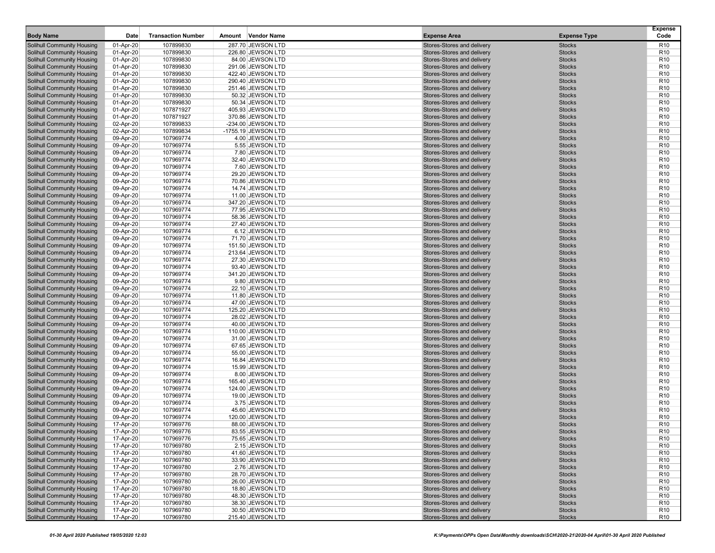| <b>Body Name</b>                                                       | Date                   | <b>Transaction Number</b> | <b>Vendor Name</b><br>Amount              | <b>Expense Area</b>                                      | <b>Expense Type</b>            | <b>Expense</b><br>Code             |
|------------------------------------------------------------------------|------------------------|---------------------------|-------------------------------------------|----------------------------------------------------------|--------------------------------|------------------------------------|
| <b>Solihull Community Housing</b>                                      | 01-Apr-20              | 107899830                 | 287.70 JEWSON LTD                         | Stores-Stores and delivery                               | <b>Stocks</b>                  | R <sub>10</sub>                    |
| <b>Solihull Community Housing</b>                                      | 01-Apr-20              | 107899830                 | 226.80 JEWSON LTD                         | Stores-Stores and delivery                               | <b>Stocks</b>                  | R <sub>10</sub>                    |
| <b>Solihull Community Housing</b>                                      | 01-Apr-20              | 107899830                 | 84.00 JEWSON LTD                          | Stores-Stores and delivery                               | <b>Stocks</b>                  | R <sub>10</sub>                    |
| <b>Solihull Community Housing</b>                                      | 01-Apr-20              | 107899830                 | 291.06 JEWSON LTD                         | Stores-Stores and delivery                               | <b>Stocks</b>                  | R <sub>10</sub>                    |
| <b>Solihull Community Housing</b>                                      | 01-Apr-20              | 107899830                 | 422.40 JEWSON LTD                         | Stores-Stores and delivery                               | <b>Stocks</b>                  | R <sub>10</sub>                    |
| <b>Solihull Community Housing</b>                                      | 01-Apr-20              | 107899830                 | 290.40 JEWSON LTD                         | Stores-Stores and delivery                               | <b>Stocks</b>                  | R <sub>10</sub>                    |
| <b>Solihull Community Housing</b>                                      | 01-Apr-20              | 107899830                 | 251.46 JEWSON LTD                         | Stores-Stores and delivery                               | <b>Stocks</b>                  | R <sub>10</sub>                    |
| <b>Solihull Community Housing</b>                                      | 01-Apr-20              | 107899830                 | 50.32 JEWSON LTD                          | Stores-Stores and delivery                               | <b>Stocks</b>                  | R <sub>10</sub>                    |
| <b>Solihull Community Housing</b>                                      | 01-Apr-20              | 107899830                 | 50.34 JEWSON LTD                          | Stores-Stores and delivery                               | <b>Stocks</b>                  | R <sub>10</sub>                    |
| <b>Solihull Community Housing</b>                                      | 01-Apr-20              | 107871927                 | 405.93 JEWSON LTD                         | Stores-Stores and delivery                               | <b>Stocks</b>                  | R <sub>10</sub>                    |
| <b>Solihull Community Housing</b>                                      | 01-Apr-20              | 107871927                 | 370.86 JEWSON LTD                         | Stores-Stores and delivery                               | <b>Stocks</b>                  | R <sub>10</sub><br>R <sub>10</sub> |
| <b>Solihull Community Housing</b><br><b>Solihull Community Housing</b> | 02-Apr-20              | 107899833<br>107899834    | -234.00 JEWSON LTD<br>-1755.19 JEWSON LTD | Stores-Stores and delivery<br>Stores-Stores and delivery | <b>Stocks</b><br><b>Stocks</b> | R <sub>10</sub>                    |
| <b>Solihull Community Housing</b>                                      | 02-Apr-20<br>09-Apr-20 | 107969774                 | 4.00 JEWSON LTD                           | Stores-Stores and delivery                               | <b>Stocks</b>                  | R <sub>10</sub>                    |
| <b>Solihull Community Housing</b>                                      | 09-Apr-20              | 107969774                 | 5.55 JEWSON LTD                           | Stores-Stores and delivery                               | <b>Stocks</b>                  | R <sub>10</sub>                    |
| <b>Solihull Community Housing</b>                                      | 09-Apr-20              | 107969774                 | 7.80 JEWSON LTD                           | Stores-Stores and delivery                               | <b>Stocks</b>                  | R <sub>10</sub>                    |
| <b>Solihull Community Housing</b>                                      | 09-Apr-20              | 107969774                 | 32.40 JEWSON LTD                          | Stores-Stores and delivery                               | <b>Stocks</b>                  | R <sub>10</sub>                    |
| <b>Solihull Community Housing</b>                                      | 09-Apr-20              | 107969774                 | 7.60 JEWSON LTD                           | Stores-Stores and delivery                               | <b>Stocks</b>                  | R <sub>10</sub>                    |
| <b>Solihull Community Housing</b>                                      | 09-Apr-20              | 107969774                 | 29.20 JEWSON LTD                          | Stores-Stores and delivery                               | <b>Stocks</b>                  | R <sub>10</sub>                    |
| Solihull Community Housing                                             | 09-Apr-20              | 107969774                 | 70.86 JEWSON LTD                          | Stores-Stores and delivery                               | <b>Stocks</b>                  | R <sub>10</sub>                    |
| <b>Solihull Community Housing</b>                                      | 09-Apr-20              | 107969774                 | 14.74 JEWSON LTD                          | Stores-Stores and delivery                               | <b>Stocks</b>                  | R <sub>10</sub>                    |
| <b>Solihull Community Housing</b>                                      | 09-Apr-20              | 107969774                 | 11.00 JEWSON LTD                          | Stores-Stores and delivery                               | <b>Stocks</b>                  | R <sub>10</sub>                    |
| <b>Solihull Community Housing</b>                                      | 09-Apr-20              | 107969774                 | 347.20 JEWSON LTD                         | Stores-Stores and delivery                               | <b>Stocks</b>                  | R <sub>10</sub>                    |
| <b>Solihull Community Housing</b>                                      | 09-Apr-20              | 107969774                 | 77.95 JEWSON LTD                          | Stores-Stores and delivery                               | <b>Stocks</b>                  | R <sub>10</sub>                    |
| <b>Solihull Community Housing</b>                                      | 09-Apr-20              | 107969774                 | 58.36 JEWSON LTD                          | Stores-Stores and delivery                               | <b>Stocks</b>                  | R <sub>10</sub>                    |
| <b>Solihull Community Housing</b>                                      | 09-Apr-20              | 107969774                 | 27.40 JEWSON LTD                          | Stores-Stores and delivery                               | <b>Stocks</b>                  | R <sub>10</sub>                    |
| <b>Solihull Community Housing</b>                                      | 09-Apr-20              | 107969774                 | 6.12 JEWSON LTD                           | Stores-Stores and delivery                               | <b>Stocks</b>                  | R <sub>10</sub>                    |
| <b>Solihull Community Housing</b>                                      | 09-Apr-20              | 107969774                 | 71.70 JEWSON LTD                          | Stores-Stores and delivery                               | <b>Stocks</b>                  | R <sub>10</sub>                    |
| <b>Solihull Community Housing</b>                                      | 09-Apr-20              | 107969774                 | 151.50 JEWSON LTD                         | Stores-Stores and delivery                               | <b>Stocks</b>                  | R <sub>10</sub>                    |
| <b>Solihull Community Housing</b>                                      | 09-Apr-20              | 107969774                 | 213.64 JEWSON LTD                         | Stores-Stores and delivery                               | <b>Stocks</b>                  | R <sub>10</sub>                    |
| <b>Solihull Community Housing</b>                                      | 09-Apr-20              | 107969774                 | 27.30 JEWSON LTD                          | Stores-Stores and delivery                               | <b>Stocks</b>                  | R <sub>10</sub>                    |
| <b>Solihull Community Housing</b><br><b>Solihull Community Housing</b> | 09-Apr-20              | 107969774                 | 93.40 JEWSON LTD                          | Stores-Stores and delivery<br>Stores-Stores and delivery | <b>Stocks</b>                  | R <sub>10</sub><br>R <sub>10</sub> |
| <b>Solihull Community Housing</b>                                      | 09-Apr-20<br>09-Apr-20 | 107969774<br>107969774    | 341.20 JEWSON LTD<br>9.80 JEWSON LTD      | Stores-Stores and delivery                               | <b>Stocks</b><br><b>Stocks</b> | R <sub>10</sub>                    |
| <b>Solihull Community Housing</b>                                      | 09-Apr-20              | 107969774                 | 22.10 JEWSON LTD                          | Stores-Stores and delivery                               | <b>Stocks</b>                  | R <sub>10</sub>                    |
| <b>Solihull Community Housing</b>                                      | 09-Apr-20              | 107969774                 | 11.80 JEWSON LTD                          | Stores-Stores and delivery                               | <b>Stocks</b>                  | R <sub>10</sub>                    |
| <b>Solihull Community Housing</b>                                      | 09-Apr-20              | 107969774                 | 47.00 JEWSON LTD                          | Stores-Stores and delivery                               | <b>Stocks</b>                  | R <sub>10</sub>                    |
| <b>Solihull Community Housing</b>                                      | 09-Apr-20              | 107969774                 | 125.20 JEWSON LTD                         | Stores-Stores and delivery                               | <b>Stocks</b>                  | R <sub>10</sub>                    |
| <b>Solihull Community Housing</b>                                      | 09-Apr-20              | 107969774                 | 28.02 JEWSON LTD                          | Stores-Stores and delivery                               | <b>Stocks</b>                  | R <sub>10</sub>                    |
| <b>Solihull Community Housing</b>                                      | 09-Apr-20              | 107969774                 | 40.00 JEWSON LTD                          | Stores-Stores and delivery                               | <b>Stocks</b>                  | R <sub>10</sub>                    |
| <b>Solihull Community Housing</b>                                      | 09-Apr-20              | 107969774                 | 110.00 JEWSON LTD                         | Stores-Stores and delivery                               | <b>Stocks</b>                  | R <sub>10</sub>                    |
| <b>Solihull Community Housing</b>                                      | 09-Apr-20              | 107969774                 | 31.00 JEWSON LTD                          | Stores-Stores and delivery                               | <b>Stocks</b>                  | R <sub>10</sub>                    |
| <b>Solihull Community Housing</b>                                      | 09-Apr-20              | 107969774                 | 67.65 JEWSON LTD                          | Stores-Stores and delivery                               | <b>Stocks</b>                  | R <sub>10</sub>                    |
| <b>Solihull Community Housing</b>                                      | 09-Apr-20              | 107969774                 | 55.00 JEWSON LTD                          | Stores-Stores and delivery                               | <b>Stocks</b>                  | R <sub>10</sub>                    |
| Solihull Community Housing                                             | 09-Apr-20              | 107969774                 | 16.84 JEWSON LTD                          | Stores-Stores and delivery                               | <b>Stocks</b>                  | R <sub>10</sub>                    |
| <b>Solihull Community Housing</b>                                      | 09-Apr-20              | 107969774                 | 15.99 JEWSON LTD                          | Stores-Stores and delivery                               | <b>Stocks</b>                  | R <sub>10</sub>                    |
| <b>Solihull Community Housing</b>                                      | 09-Apr-20              | 107969774                 | 8.00 JEWSON LTD                           | Stores-Stores and delivery                               | <b>Stocks</b>                  | R <sub>10</sub>                    |
| <b>Solihull Community Housing</b>                                      | 09-Apr-20              | 107969774                 | 165.40 JEWSON LTD                         | Stores-Stores and delivery                               | <b>Stocks</b>                  | R <sub>10</sub>                    |
| <b>Solihull Community Housing</b>                                      | 09-Apr-20              | 107969774                 | 124.00 JEWSON LTD                         | Stores-Stores and delivery                               | <b>Stocks</b><br><b>Stocks</b> | R <sub>10</sub><br>R <sub>10</sub> |
| <b>Solihull Community Housing</b><br><b>Solihull Community Housing</b> | 09-Apr-20<br>09-Apr-20 | 107969774<br>107969774    | 19.00 JEWSON LTD<br>3.75 JEWSON LTD       | Stores-Stores and delivery<br>Stores-Stores and delivery | <b>Stocks</b>                  | R <sub>10</sub>                    |
| <b>Solihull Community Housing</b>                                      | 09-Apr-20              | 107969774                 | 45.60 JEWSON LTD                          | Stores-Stores and delivery                               | <b>Stocks</b>                  | R <sub>10</sub>                    |
| <b>Solihull Community Housing</b>                                      | 09-Apr-20              | 107969774                 | 120.00 JEWSON LTD                         | Stores-Stores and delivery                               | <b>Stocks</b>                  | R <sub>10</sub>                    |
| <b>Solihull Community Housing</b>                                      | 17-Apr-20              | 107969776                 | 88.00 JEWSON LTD                          | Stores-Stores and delivery                               | <b>Stocks</b>                  | R <sub>10</sub>                    |
| Solihull Community Housing                                             | 17-Apr-20              | 107969776                 | 83.55 JEWSON LTD                          | Stores-Stores and delivery                               | Stocks                         | R <sub>10</sub>                    |
| <b>Solihull Community Housing</b>                                      | 17-Apr-20              | 107969776                 | 75.65 JEWSON LTD                          | Stores-Stores and delivery                               | <b>Stocks</b>                  | R <sub>10</sub>                    |
| <b>Solihull Community Housing</b>                                      | 17-Apr-20              | 107969780                 | 2.15 JEWSON LTD                           | Stores-Stores and delivery                               | <b>Stocks</b>                  | R <sub>10</sub>                    |
| <b>Solihull Community Housing</b>                                      | 17-Apr-20              | 107969780                 | 41.60 JEWSON LTD                          | Stores-Stores and delivery                               | <b>Stocks</b>                  | R <sub>10</sub>                    |
| <b>Solihull Community Housing</b>                                      | 17-Apr-20              | 107969780                 | 33.90 JEWSON LTD                          | Stores-Stores and delivery                               | <b>Stocks</b>                  | R <sub>10</sub>                    |
| <b>Solihull Community Housing</b>                                      | 17-Apr-20              | 107969780                 | 2.76 JEWSON LTD                           | Stores-Stores and delivery                               | <b>Stocks</b>                  | R <sub>10</sub>                    |
| <b>Solihull Community Housing</b>                                      | 17-Apr-20              | 107969780                 | 28.70 JEWSON LTD                          | Stores-Stores and delivery                               | <b>Stocks</b>                  | R <sub>10</sub>                    |
| <b>Solihull Community Housing</b>                                      | 17-Apr-20              | 107969780                 | 26.00 JEWSON LTD                          | Stores-Stores and delivery                               | <b>Stocks</b>                  | R <sub>10</sub>                    |
| <b>Solihull Community Housing</b>                                      | 17-Apr-20              | 107969780                 | 18.80 JEWSON LTD                          | Stores-Stores and delivery                               | <b>Stocks</b>                  | R <sub>10</sub>                    |
| <b>Solihull Community Housing</b>                                      | 17-Apr-20              | 107969780                 | 48.30 JEWSON LTD                          | Stores-Stores and delivery                               | <b>Stocks</b>                  | R <sub>10</sub>                    |
| <b>Solihull Community Housing</b>                                      | 17-Apr-20              | 107969780                 | 38.30 JEWSON LTD                          | Stores-Stores and delivery                               | <b>Stocks</b>                  | R <sub>10</sub>                    |
| <b>Solihull Community Housing</b>                                      | 17-Apr-20              | 107969780                 | 30.50 JEWSON LTD                          | Stores-Stores and delivery                               | <b>Stocks</b>                  | R <sub>10</sub>                    |
| <b>Solihull Community Housing</b>                                      | 17-Apr-20              | 107969780                 | 215.40 JEWSON LTD                         | Stores-Stores and delivery                               | <b>Stocks</b>                  | R <sub>10</sub>                    |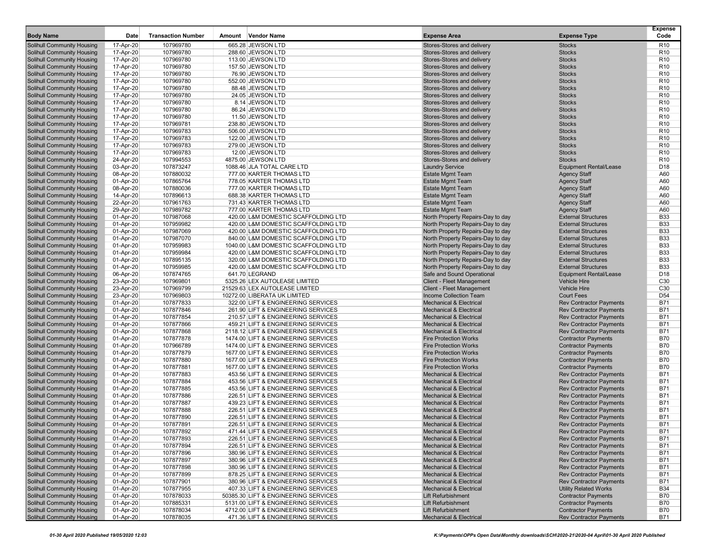| <b>Body Name</b>                                         | Date                   | <b>Transaction Number</b> | <b>Vendor Name</b><br>Amount                                             | <b>Expense Area</b>                                                      | <b>Expense Type</b>                                              | <b>Expense</b><br>Code             |
|----------------------------------------------------------|------------------------|---------------------------|--------------------------------------------------------------------------|--------------------------------------------------------------------------|------------------------------------------------------------------|------------------------------------|
| <b>Solihull Community Housing</b>                        | 17-Apr-20              | 107969780                 | 665.28 JEWSON LTD                                                        | Stores-Stores and delivery                                               | <b>Stocks</b>                                                    | R <sub>10</sub>                    |
| Solihull Community Housing                               | 17-Apr-20              | 107969780                 | 288.60 JEWSON LTD                                                        | Stores-Stores and delivery                                               | <b>Stocks</b>                                                    | R <sub>10</sub>                    |
| Solihull Community Housing                               | 17-Apr-20              | 107969780                 | 113.00 JEWSON LTD                                                        | Stores-Stores and delivery                                               | <b>Stocks</b>                                                    | R <sub>10</sub>                    |
| Solihull Community Housing                               | 17-Apr-20              | 107969780                 | 157.50 JEWSON LTD                                                        | Stores-Stores and delivery                                               | <b>Stocks</b>                                                    | R <sub>10</sub>                    |
| <b>Solihull Community Housing</b>                        | 17-Apr-20              | 107969780                 | 76.90 JEWSON LTD                                                         | Stores-Stores and delivery                                               | <b>Stocks</b>                                                    | R <sub>10</sub>                    |
| Solihull Community Housing                               | 17-Apr-20              | 107969780                 | 552.00 JEWSON LTD                                                        | Stores-Stores and delivery                                               | <b>Stocks</b>                                                    | R <sub>10</sub>                    |
| <b>Solihull Community Housing</b>                        | 17-Apr-20              | 107969780                 | 88.48 JEWSON LTD                                                         | Stores-Stores and delivery                                               | <b>Stocks</b>                                                    | R <sub>10</sub>                    |
| Solihull Community Housing                               | 17-Apr-20              | 107969780                 | 24.05 JEWSON LTD                                                         | Stores-Stores and delivery                                               | <b>Stocks</b>                                                    | R <sub>10</sub>                    |
| Solihull Community Housing                               | 17-Apr-20              | 107969780                 | 8.14 JEWSON LTD                                                          | Stores-Stores and delivery                                               | <b>Stocks</b>                                                    | R <sub>10</sub>                    |
| Solihull Community Housing                               | 17-Apr-20              | 107969780                 | 86.24 JEWSON LTD                                                         | Stores-Stores and delivery                                               | <b>Stocks</b>                                                    | R <sub>10</sub>                    |
| Solihull Community Housing                               | 17-Apr-20              | 107969780                 | 11.50 JEWSON LTD                                                         | Stores-Stores and delivery                                               | <b>Stocks</b>                                                    | R <sub>10</sub>                    |
| Solihull Community Housing<br>Solihull Community Housing | 17-Apr-20              | 107969781<br>107969783    | 238.80 JEWSON LTD<br>506.00 JEWSON LTD                                   | Stores-Stores and delivery<br>Stores-Stores and delivery                 | <b>Stocks</b><br><b>Stocks</b>                                   | R <sub>10</sub><br>R <sub>10</sub> |
| Solihull Community Housing                               | 17-Apr-20<br>17-Apr-20 | 107969783                 | 122.00 JEWSON LTD                                                        | Stores-Stores and delivery                                               | <b>Stocks</b>                                                    | R <sub>10</sub>                    |
| Solihull Community Housing                               | 17-Apr-20              | 107969783                 | 279.00 JEWSON LTD                                                        | Stores-Stores and delivery                                               | <b>Stocks</b>                                                    | R <sub>10</sub>                    |
| Solihull Community Housing                               | 17-Apr-20              | 107969783                 | 12.00 JEWSON LTD                                                         | Stores-Stores and delivery                                               | <b>Stocks</b>                                                    | R <sub>10</sub>                    |
| <b>Solihull Community Housing</b>                        | 24-Apr-20              | 107994553                 | 4875.00 JEWSON LTD                                                       | Stores-Stores and delivery                                               | <b>Stocks</b>                                                    | R <sub>10</sub>                    |
| Solihull Community Housing                               | 03-Apr-20              | 107873247                 | 1088.46 JLA TOTAL CARE LTD                                               | <b>Laundry Service</b>                                                   | <b>Equipment Rental/Lease</b>                                    | D18                                |
| Solihull Community Housing                               | 08-Apr-20              | 107880032                 | 777.00 KARTER THOMAS LTD                                                 | <b>Estate Mgmt Team</b>                                                  | <b>Agency Staff</b>                                              | A60                                |
| <b>Solihull Community Housing</b>                        | 01-Apr-20              | 107865764                 | 778.05 KARTER THOMAS LTD                                                 | <b>Estate Mgmt Team</b>                                                  | <b>Agency Staff</b>                                              | A60                                |
| Solihull Community Housing                               | 08-Apr-20              | 107880036                 | 777.00 KARTER THOMAS LTD                                                 | <b>Estate Mgmt Team</b>                                                  | <b>Agency Staff</b>                                              | A60                                |
| Solihull Community Housing                               | 14-Apr-20              | 107896613                 | 688.38 KARTER THOMAS LTD                                                 | <b>Estate Mgmt Team</b>                                                  | <b>Agency Staff</b>                                              | A60                                |
| Solihull Community Housing                               | 22-Apr-20              | 107961763                 | 731.43 KARTER THOMAS LTD                                                 | <b>Estate Mgmt Team</b>                                                  | <b>Agency Staff</b>                                              | A60                                |
| <b>Solihull Community Housing</b>                        | 29-Apr-20              | 107989782                 | 777.00 KARTER THOMAS LTD                                                 | <b>Estate Mgmt Team</b>                                                  | <b>Agency Staff</b>                                              | A60                                |
| Solihull Community Housing                               | 01-Apr-20              | 107987068                 | 420.00 L&M DOMESTIC SCAFFOLDING LTD                                      | North Property Repairs-Day to day                                        | <b>External Structures</b>                                       | <b>B33</b>                         |
| <b>Solihull Community Housing</b>                        | 01-Apr-20              | 107959982                 | 420.00 L&M DOMESTIC SCAFFOLDING LTD                                      | North Property Repairs-Day to day                                        | <b>External Structures</b>                                       | <b>B33</b>                         |
| Solihull Community Housing                               | 01-Apr-20              | 107987069                 | 420.00 L&M DOMESTIC SCAFFOLDING LTD                                      | North Property Repairs-Day to day                                        | <b>External Structures</b>                                       | <b>B33</b>                         |
| Solihull Community Housing                               | 01-Apr-20              | 107987070                 | 840.00 L&M DOMESTIC SCAFFOLDING LTD                                      | North Property Repairs-Day to day                                        | <b>External Structures</b>                                       | <b>B33</b>                         |
| Solihull Community Housing                               | 01-Apr-20              | 107959983                 | 1040.00 L&M DOMESTIC SCAFFOLDING LTD                                     | North Property Repairs-Day to day                                        | <b>External Structures</b>                                       | <b>B33</b>                         |
| Solihull Community Housing                               | 01-Apr-20              | 107959984                 | 420.00 L&M DOMESTIC SCAFFOLDING LTD                                      | North Property Repairs-Day to day                                        | <b>External Structures</b>                                       | <b>B33</b>                         |
| Solihull Community Housing                               | 01-Apr-20              | 107895135                 | 320.00 L&M DOMESTIC SCAFFOLDING LTD                                      | North Property Repairs-Day to day                                        | <b>External Structures</b>                                       | <b>B33</b>                         |
| Solihull Community Housing                               | 01-Apr-20              | 107959985                 | 420.00 L&M DOMESTIC SCAFFOLDING LTD                                      | North Property Repairs-Day to day                                        | <b>External Structures</b>                                       | <b>B33</b>                         |
| <b>Solihull Community Housing</b>                        | 06-Apr-20              | 107874765                 | 641.70 LEGRAND                                                           | Safe and Sound Operational                                               | Equipment Rental/Lease                                           | D18                                |
| <b>Solihull Community Housing</b>                        | 23-Apr-20              | 107969801                 | 5325.26 LEX AUTOLEASE LIMITED                                            | Client - Fleet Management                                                | <b>Vehicle Hire</b>                                              | C30                                |
| Solihull Community Housing                               | 23-Apr-20              | 107969799                 | 21529.63 LEX AUTOLEASE LIMITED                                           | Client - Fleet Management                                                | <b>Vehicle Hire</b>                                              | C30                                |
| Solihull Community Housing                               | 23-Apr-20              | 107969803                 | 10272.00 LIBERATA UK LIMITED                                             | Income Collection Team                                                   | <b>Court Fees</b>                                                | D <sub>54</sub><br><b>B71</b>      |
| Solihull Community Housing<br>Solihull Community Housing | 01-Apr-20              | 107877833<br>107877846    | 322.00 LIFT & ENGINEERING SERVICES<br>261.90 LIFT & ENGINEERING SERVICES | <b>Mechanical &amp; Electrical</b><br><b>Mechanical &amp; Electrical</b> | <b>Rev Contractor Payments</b><br><b>Rev Contractor Payments</b> | <b>B71</b>                         |
| Solihull Community Housing                               | 01-Apr-20<br>01-Apr-20 | 107877854                 | 210.57 LIFT & ENGINEERING SERVICES                                       | <b>Mechanical &amp; Electrical</b>                                       | <b>Rev Contractor Payments</b>                                   | <b>B71</b>                         |
| Solihull Community Housing                               | 01-Apr-20              | 107877866                 | 459.21 LIFT & ENGINEERING SERVICES                                       | <b>Mechanical &amp; Electrical</b>                                       | <b>Rev Contractor Payments</b>                                   | <b>B71</b>                         |
| Solihull Community Housing                               | 01-Apr-20              | 107877868                 | 2118.12 LIFT & ENGINEERING SERVICES                                      | <b>Mechanical &amp; Electrical</b>                                       | <b>Rev Contractor Payments</b>                                   | <b>B71</b>                         |
| Solihull Community Housing                               | 01-Apr-20              | 107877878                 | 1474.00 LIFT & ENGINEERING SERVICES                                      | <b>Fire Protection Works</b>                                             | <b>Contractor Payments</b>                                       | <b>B70</b>                         |
| Solihull Community Housing                               | 01-Apr-20              | 107966789                 | 1474.00 LIFT & ENGINEERING SERVICES                                      | <b>Fire Protection Works</b>                                             | <b>Contractor Payments</b>                                       | <b>B70</b>                         |
| Solihull Community Housing                               | 01-Apr-20              | 107877879                 | 1677.00 LIFT & ENGINEERING SERVICES                                      | <b>Fire Protection Works</b>                                             | <b>Contractor Payments</b>                                       | <b>B70</b>                         |
| Solihull Community Housing                               | 01-Apr-20              | 107877880                 | 1677.00 LIFT & ENGINEERING SERVICES                                      | <b>Fire Protection Works</b>                                             | <b>Contractor Payments</b>                                       | <b>B70</b>                         |
| Solihull Community Housing                               | 01-Apr-20              | 107877881                 | 1677.00 LIFT & ENGINEERING SERVICES                                      | <b>Fire Protection Works</b>                                             | <b>Contractor Payments</b>                                       | <b>B70</b>                         |
| Solihull Community Housing                               | 01-Apr-20              | 107877883                 | 453.56 LIFT & ENGINEERING SERVICES                                       | <b>Mechanical &amp; Electrical</b>                                       | <b>Rev Contractor Payments</b>                                   | <b>B71</b>                         |
| <b>Solihull Community Housing</b>                        | 01-Apr-20              | 107877884                 | 453.56 LIFT & ENGINEERING SERVICES                                       | <b>Mechanical &amp; Electrical</b>                                       | <b>Rev Contractor Payments</b>                                   | <b>B71</b>                         |
| <b>Solihull Community Housing</b>                        | 01-Apr-20              | 107877885                 | 453.56 LIFT & ENGINEERING SERVICES                                       | <b>Mechanical &amp; Electrical</b>                                       | <b>Rev Contractor Payments</b>                                   | <b>B71</b>                         |
| Solihull Community Housing                               | 01-Apr-20              | 107877886                 | 226.51 LIFT & ENGINEERING SERVICES                                       | <b>Mechanical &amp; Electrical</b>                                       | <b>Rev Contractor Payments</b>                                   | <b>B71</b>                         |
| Solihull Community Housing                               | 01-Apr-20              | 107877887                 | 439.23 LIFT & ENGINEERING SERVICES                                       | <b>Mechanical &amp; Electrical</b>                                       | <b>Rev Contractor Payments</b>                                   | <b>B71</b>                         |
| Solihull Community Housing                               | 01-Apr-20              | 107877888                 | 226.51 LIFT & ENGINEERING SERVICES                                       | <b>Mechanical &amp; Electrical</b>                                       | <b>Rev Contractor Payments</b>                                   | <b>B71</b>                         |
| Solihull Community Housing                               | 01-Apr-20              | 107877890                 | 226.51 LIFT & ENGINEERING SERVICES                                       | <b>Mechanical &amp; Electrical</b>                                       | <b>Rev Contractor Payments</b>                                   | <b>B71</b>                         |
| Solihull Community Housing                               | 01-Apr-20              | 107877891                 | 226.51 LIFT & ENGINEERING SERVICES                                       | <b>Mechanical &amp; Electrical</b>                                       | <b>Rev Contractor Payments</b>                                   | <b>B71</b>                         |
| Solihull Community Housing                               | 01-Apr-20              | 107877892                 | 471.44 LIFT & ENGINEERING SERVICES                                       | Mechanical & Electrical                                                  | <b>Rev Contractor Payments</b>                                   | B71                                |
| Solihull Community Housing                               | 01-Apr-20              | 107877893                 | 226.51 LIFT & ENGINEERING SERVICES                                       | <b>Mechanical &amp; Electrical</b>                                       | <b>Rev Contractor Payments</b>                                   | <b>B71</b>                         |
| Solihull Community Housing                               | 01-Apr-20              | 107877894<br>107877896    | 226.51 LIFT & ENGINEERING SERVICES                                       | Mechanical & Electrical                                                  | <b>Rev Contractor Payments</b><br><b>Rev Contractor Payments</b> | <b>B71</b><br><b>B71</b>           |
| Solihull Community Housing<br>Solihull Community Housing | 01-Apr-20              | 107877897                 | 380.96 LIFT & ENGINEERING SERVICES<br>380.96 LIFT & ENGINEERING SERVICES | <b>Mechanical &amp; Electrical</b><br><b>Mechanical &amp; Electrical</b> | <b>Rev Contractor Payments</b>                                   | <b>B71</b>                         |
| Solihull Community Housing                               | 01-Apr-20<br>01-Apr-20 | 107877898                 | 380.96 LIFT & ENGINEERING SERVICES                                       | <b>Mechanical &amp; Electrical</b>                                       | <b>Rev Contractor Payments</b>                                   | <b>B71</b>                         |
| Solihull Community Housing                               | 01-Apr-20              | 107877899                 | 878.25 LIFT & ENGINEERING SERVICES                                       | <b>Mechanical &amp; Electrical</b>                                       | <b>Rev Contractor Payments</b>                                   | <b>B71</b>                         |
| Solihull Community Housing                               | 01-Apr-20              | 107877901                 | 380.96 LIFT & ENGINEERING SERVICES                                       | <b>Mechanical &amp; Electrical</b>                                       | <b>Rev Contractor Payments</b>                                   | <b>B71</b>                         |
| Solihull Community Housing                               | 01-Apr-20              | 107877955                 | 407.33 LIFT & ENGINEERING SERVICES                                       | <b>Mechanical &amp; Electrical</b>                                       | <b>Utility Related Works</b>                                     | <b>B34</b>                         |
| Solihull Community Housing                               | 01-Apr-20              | 107878033                 | 50385.30 LIFT & ENGINEERING SERVICES                                     | Lift Refurbishment                                                       | <b>Contractor Payments</b>                                       | <b>B70</b>                         |
| Solihull Community Housing                               | 01-Apr-20              | 107885331                 | 5131.00 LIFT & ENGINEERING SERVICES                                      | Lift Refurbishment                                                       | <b>Contractor Payments</b>                                       | <b>B70</b>                         |
| Solihull Community Housing                               | 01-Apr-20              | 107878034                 | 4712.00 LIFT & ENGINEERING SERVICES                                      | <b>Lift Refurbishment</b>                                                | <b>Contractor Payments</b>                                       | <b>B70</b>                         |
| Solihull Community Housing                               | 01-Apr-20              | 107878035                 | 471.36 LIFT & ENGINEERING SERVICES                                       | <b>Mechanical &amp; Electrical</b>                                       | <b>Rev Contractor Payments</b>                                   | B71                                |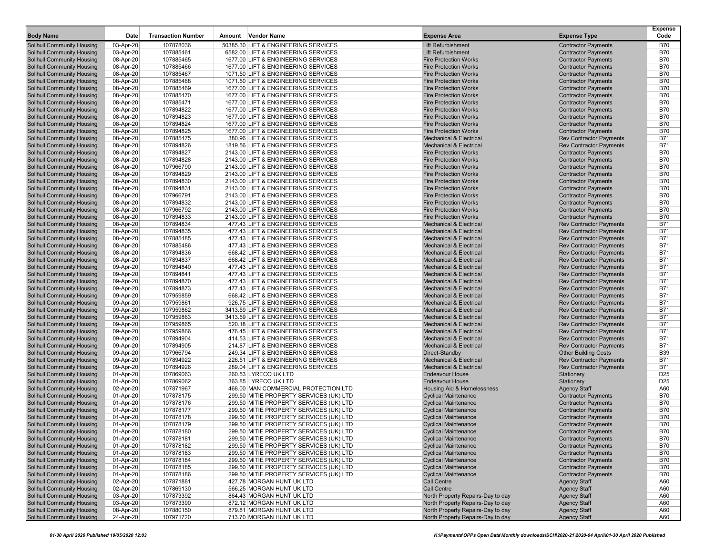| <b>Body Name</b>                                                       | Date                   | <b>Transaction Number</b> | Vendor Name<br>Amount                                                              | <b>Expense Area</b>                                                      | <b>Expense Type</b>                                              | <b>Expense</b><br>Code   |
|------------------------------------------------------------------------|------------------------|---------------------------|------------------------------------------------------------------------------------|--------------------------------------------------------------------------|------------------------------------------------------------------|--------------------------|
| <b>Solihull Community Housing</b>                                      | 03-Apr-20              | 107878036                 | 50385.30 LIFT & ENGINEERING SERVICES                                               | Lift Refurbishment                                                       | <b>Contractor Payments</b>                                       | <b>B70</b>               |
| <b>Solihull Community Housing</b>                                      | 03-Apr-20              | 107885461                 | 6582.00 LIFT & ENGINEERING SERVICES                                                | <b>Lift Refurbishment</b>                                                | <b>Contractor Payments</b>                                       | <b>B70</b>               |
| <b>Solihull Community Housing</b>                                      | 08-Apr-20              | 107885465                 | 1677.00 LIFT & ENGINEERING SERVICES                                                | <b>Fire Protection Works</b>                                             | <b>Contractor Payments</b>                                       | <b>B70</b>               |
| <b>Solihull Community Housing</b>                                      | 08-Apr-20              | 107885466                 | 1677.00 LIFT & ENGINEERING SERVICES                                                | <b>Fire Protection Works</b>                                             | <b>Contractor Payments</b>                                       | <b>B70</b>               |
| <b>Solihull Community Housing</b>                                      | 08-Apr-20              | 107885467                 | 1071.50 LIFT & ENGINEERING SERVICES                                                | <b>Fire Protection Works</b>                                             | <b>Contractor Payments</b>                                       | <b>B70</b>               |
| <b>Solihull Community Housing</b>                                      | 08-Apr-20              | 107885468                 | 1071.50 LIFT & ENGINEERING SERVICES                                                | <b>Fire Protection Works</b>                                             | <b>Contractor Payments</b>                                       | <b>B70</b>               |
| <b>Solihull Community Housing</b>                                      | 08-Apr-20              | 107885469                 | 1677.00 LIFT & ENGINEERING SERVICES                                                | <b>Fire Protection Works</b>                                             | <b>Contractor Payments</b>                                       | <b>B70</b>               |
| <b>Solihull Community Housing</b>                                      | 08-Apr-20              | 107885470                 | 1677.00 LIFT & ENGINEERING SERVICES                                                | <b>Fire Protection Works</b>                                             | <b>Contractor Payments</b>                                       | <b>B70</b>               |
| <b>Solihull Community Housing</b>                                      | 08-Apr-20              | 107885471                 | 1677.00 LIFT & ENGINEERING SERVICES                                                | <b>Fire Protection Works</b>                                             | <b>Contractor Payments</b>                                       | <b>B70</b>               |
| <b>Solihull Community Housing</b>                                      | 08-Apr-20              | 107894822                 | 1677.00 LIFT & ENGINEERING SERVICES                                                | <b>Fire Protection Works</b>                                             | <b>Contractor Payments</b>                                       | <b>B70</b>               |
| <b>Solihull Community Housing</b>                                      | 08-Apr-20              | 107894823<br>107894824    | 1677.00 LIFT & ENGINEERING SERVICES                                                | <b>Fire Protection Works</b><br><b>Fire Protection Works</b>             | <b>Contractor Payments</b>                                       | <b>B70</b><br><b>B70</b> |
| <b>Solihull Community Housing</b><br><b>Solihull Community Housing</b> | 08-Apr-20<br>08-Apr-20 | 107894825                 | 1677.00 LIFT & ENGINEERING SERVICES<br>1677.00 LIFT & ENGINEERING SERVICES         | <b>Fire Protection Works</b>                                             | <b>Contractor Payments</b><br><b>Contractor Payments</b>         | <b>B70</b>               |
| <b>Solihull Community Housing</b>                                      | 08-Apr-20              | 107885475                 | 380.96 LIFT & ENGINEERING SERVICES                                                 | <b>Mechanical &amp; Electrica</b>                                        | <b>Rev Contractor Payments</b>                                   | <b>B71</b>               |
| <b>Solihull Community Housing</b>                                      | 08-Apr-20              | 107894826                 | 1819.56 LIFT & ENGINEERING SERVICES                                                | <b>Mechanical &amp; Electrical</b>                                       | <b>Rev Contractor Payments</b>                                   | <b>B71</b>               |
| <b>Solihull Community Housing</b>                                      | 08-Apr-20              | 107894827                 | 2143.00 LIFT & ENGINEERING SERVICES                                                | <b>Fire Protection Works</b>                                             | <b>Contractor Payments</b>                                       | <b>B70</b>               |
| <b>Solihull Community Housing</b>                                      | 08-Apr-20              | 107894828                 | 2143.00 LIFT & ENGINEERING SERVICES                                                | <b>Fire Protection Works</b>                                             | <b>Contractor Payments</b>                                       | <b>B70</b>               |
| <b>Solihull Community Housing</b>                                      | 08-Apr-20              | 107966790                 | 2143.00 LIFT & ENGINEERING SERVICES                                                | <b>Fire Protection Works</b>                                             | <b>Contractor Payments</b>                                       | <b>B70</b>               |
| <b>Solihull Community Housing</b>                                      | 08-Apr-20              | 107894829                 | 2143.00 LIFT & ENGINEERING SERVICES                                                | <b>Fire Protection Works</b>                                             | <b>Contractor Payments</b>                                       | <b>B70</b>               |
| <b>Solihull Community Housing</b>                                      | 08-Apr-20              | 107894830                 | 2143.00 LIFT & ENGINEERING SERVICES                                                | <b>Fire Protection Works</b>                                             | <b>Contractor Payments</b>                                       | <b>B70</b>               |
| <b>Solihull Community Housing</b>                                      | 08-Apr-20              | 107894831                 | 2143.00 LIFT & ENGINEERING SERVICES                                                | <b>Fire Protection Works</b>                                             | <b>Contractor Payments</b>                                       | <b>B70</b>               |
| <b>Solihull Community Housing</b>                                      | 08-Apr-20              | 107966791                 | 2143.00 LIFT & ENGINEERING SERVICES                                                | <b>Fire Protection Works</b>                                             | <b>Contractor Payments</b>                                       | <b>B70</b>               |
| <b>Solihull Community Housing</b>                                      | 08-Apr-20              | 107894832                 | 2143.00 LIFT & ENGINEERING SERVICES                                                | <b>Fire Protection Works</b>                                             | <b>Contractor Payments</b>                                       | <b>B70</b>               |
| <b>Solihull Community Housing</b>                                      | 08-Apr-20              | 107966792                 | 2143.00 LIFT & ENGINEERING SERVICES                                                | <b>Fire Protection Works</b>                                             | <b>Contractor Payments</b>                                       | <b>B70</b>               |
| <b>Solihull Community Housing</b>                                      | 08-Apr-20              | 107894833                 | 2143.00 LIFT & ENGINEERING SERVICES                                                | <b>Fire Protection Works</b>                                             | <b>Contractor Payments</b>                                       | <b>B70</b>               |
| <b>Solihull Community Housing</b>                                      | 08-Apr-20              | 107894834                 | 477.43 LIFT & ENGINEERING SERVICES                                                 | <b>Mechanical &amp; Electrical</b>                                       | <b>Rev Contractor Payments</b>                                   | <b>B71</b>               |
| <b>Solihull Community Housing</b>                                      | 08-Apr-20              | 107894835                 | 477.43 LIFT & ENGINEERING SERVICES                                                 | <b>Mechanical &amp; Electrical</b>                                       | <b>Rev Contractor Payments</b>                                   | <b>B71</b>               |
| <b>Solihull Community Housing</b>                                      | 08-Apr-20              | 107885485                 | 477.43 LIFT & ENGINEERING SERVICES                                                 | <b>Mechanical &amp; Electrical</b>                                       | <b>Rev Contractor Payments</b>                                   | <b>B71</b>               |
| <b>Solihull Community Housing</b>                                      | 08-Apr-20              | 107885486                 | 477.43 LIFT & ENGINEERING SERVICES                                                 | <b>Mechanical &amp; Electrical</b>                                       | <b>Rev Contractor Payments</b>                                   | <b>B71</b>               |
| <b>Solihull Community Housing</b>                                      | 08-Apr-20              | 107894836                 | 668.42 LIFT & ENGINEERING SERVICES                                                 | <b>Mechanical &amp; Electrical</b>                                       | <b>Rev Contractor Payments</b>                                   | <b>B71</b>               |
| <b>Solihull Community Housing</b>                                      | 08-Apr-20              | 107894837                 | 668.42 LIFT & ENGINEERING SERVICES                                                 | <b>Mechanical &amp; Electrical</b>                                       | <b>Rev Contractor Payments</b>                                   | <b>B71</b>               |
| <b>Solihull Community Housing</b>                                      | 09-Apr-20              | 107894840                 | 477.43 LIFT & ENGINEERING SERVICES                                                 | <b>Mechanical &amp; Electrical</b>                                       | <b>Rev Contractor Payments</b>                                   | B71                      |
| <b>Solihull Community Housing</b>                                      | 09-Apr-20              | 107894841                 | 477.43 LIFT & ENGINEERING SERVICES                                                 | <b>Mechanical &amp; Electrical</b>                                       | <b>Rev Contractor Payments</b>                                   | <b>B71</b>               |
| <b>Solihull Community Housing</b>                                      | 09-Apr-20              | 107894870                 | 477.43 LIFT & ENGINEERING SERVICES                                                 | <b>Mechanical &amp; Electrical</b>                                       | <b>Rev Contractor Payments</b>                                   | <b>B71</b>               |
| <b>Solihull Community Housing</b>                                      | 09-Apr-20              | 107894873                 | 477.43 LIFT & ENGINEERING SERVICES                                                 | <b>Mechanical &amp; Electrical</b>                                       | <b>Rev Contractor Payments</b>                                   | <b>B71</b>               |
| <b>Solihull Community Housing</b>                                      | 09-Apr-20              | 107959859                 | 668.42 LIFT & ENGINEERING SERVICES                                                 | <b>Mechanical &amp; Electrical</b>                                       | <b>Rev Contractor Payments</b>                                   | <b>B71</b><br><b>B71</b> |
| <b>Solihull Community Housing</b><br><b>Solihull Community Housing</b> | 09-Apr-20<br>09-Apr-20 | 107959861<br>107959862    | 926.75 LIFT & ENGINEERING SERVICES<br>3413.59 LIFT & ENGINEERING SERVICES          | <b>Mechanical &amp; Electrical</b><br><b>Mechanical &amp; Electrical</b> | <b>Rev Contractor Payments</b><br><b>Rev Contractor Payments</b> | <b>B71</b>               |
| <b>Solihull Community Housing</b>                                      | 09-Apr-20              | 107959863                 | 3413.59 LIFT & ENGINEERING SERVICES                                                | <b>Mechanical &amp; Electrical</b>                                       | <b>Rev Contractor Payments</b>                                   | <b>B71</b>               |
| <b>Solihull Community Housing</b>                                      | 09-Apr-20              | 107959865                 | 520.18 LIFT & ENGINEERING SERVICES                                                 | <b>Mechanical &amp; Electrical</b>                                       | <b>Rev Contractor Payments</b>                                   | <b>B71</b>               |
| <b>Solihull Community Housing</b>                                      | 09-Apr-20              | 107959866                 | 476.45 LIFT & ENGINEERING SERVICES                                                 | <b>Mechanical &amp; Electrical</b>                                       | <b>Rev Contractor Payments</b>                                   | <b>B71</b>               |
| <b>Solihull Community Housing</b>                                      | 09-Apr-20              | 107894904                 | 414.53 LIFT & ENGINEERING SERVICES                                                 | <b>Mechanical &amp; Electrical</b>                                       | <b>Rev Contractor Payments</b>                                   | <b>B71</b>               |
| <b>Solihull Community Housing</b>                                      | 09-Apr-20              | 107894905                 | 214.87 LIFT & ENGINEERING SERVICES                                                 | <b>Mechanical &amp; Electrical</b>                                       | <b>Rev Contractor Payments</b>                                   | <b>B71</b>               |
| <b>Solihull Community Housing</b>                                      | 09-Apr-20              | 107966794                 | 249.34 LIFT & ENGINEERING SERVICES                                                 | Direct-Standby                                                           | <b>Other Building Costs</b>                                      | <b>B39</b>               |
| <b>Solihull Community Housing</b>                                      | 09-Apr-20              | 107894922                 | 226.51 LIFT & ENGINEERING SERVICES                                                 | <b>Mechanical &amp; Electrical</b>                                       | <b>Rev Contractor Payments</b>                                   | <b>B71</b>               |
| <b>Solihull Community Housing</b>                                      | 09-Apr-20              | 107894926                 | 289.04 LIFT & ENGINEERING SERVICES                                                 | <b>Mechanical &amp; Electrical</b>                                       | <b>Rev Contractor Payments</b>                                   | <b>B71</b>               |
| <b>Solihull Community Housing</b>                                      | 01-Apr-20              | 107869063                 | 260.53 LYRECO UK LTD                                                               | <b>Endeavour House</b>                                                   | Stationery                                                       | D <sub>25</sub>          |
| <b>Solihull Community Housing</b>                                      | 01-Apr-20              | 107869062                 | 363.85 LYRECO UK LTD                                                               | <b>Endeavour House</b>                                                   | Stationery                                                       | D <sub>25</sub>          |
| <b>Solihull Community Housing</b>                                      | 02-Apr-20              | 107871967                 | 468.00 MAN COMMERCIAL PROTECTION LTD                                               | <b>Housing Aid &amp; Homelessness</b>                                    | <b>Agency Staff</b>                                              | A60                      |
| <b>Solihull Community Housing</b>                                      | 01-Apr-20              | 107878175                 | 299.50 MITIE PROPERTY SERVICES (UK) LTD                                            | <b>Cyclical Maintenance</b>                                              | <b>Contractor Payments</b>                                       | <b>B70</b>               |
| <b>Solihull Community Housing</b>                                      | 01-Apr-20              | 107878176                 | 299.50 MITIE PROPERTY SERVICES (UK) LTD                                            | <b>Cyclical Maintenance</b>                                              | <b>Contractor Payments</b>                                       | <b>B70</b>               |
| <b>Solihull Community Housing</b>                                      | 01-Apr-20              | 107878177                 | 299.50 MITIE PROPERTY SERVICES (UK) LTD                                            | <b>Cyclical Maintenance</b>                                              | <b>Contractor Payments</b>                                       | <b>B70</b>               |
| <b>Solihull Community Housing</b>                                      | 01-Apr-20              | 107878178                 | 299.50 MITIE PROPERTY SERVICES (UK) LTD                                            | <b>Cyclical Maintenance</b>                                              | <b>Contractor Payments</b>                                       | <b>B70</b>               |
| <b>Solihull Community Housing</b>                                      | 01-Apr-20              | 107878179                 | 299.50 MITIE PROPERTY SERVICES (UK) LTD                                            | <b>Cyclical Maintenance</b>                                              | <b>Contractor Payments</b>                                       | <b>B70</b>               |
| <b>Solihull Community Housing</b>                                      | 01-Apr-20              | 107878180                 | 299.50 MITIE PROPERTY SERVICES (UK) LTD                                            | <b>Cyclical Maintenance</b>                                              | <b>Contractor Payments</b>                                       | B70                      |
| <b>Solihull Community Housing</b>                                      | 01-Apr-20              | 107878181                 | 299.50 MITIE PROPERTY SERVICES (UK) LTD                                            | <b>Cyclical Maintenance</b>                                              | <b>Contractor Payments</b>                                       | <b>B70</b>               |
| Solihull Community Housing                                             | 01-Apr-20              | 107878182                 | 299.50 MITIE PROPERTY SERVICES (UK) LTD                                            | <b>Cyclical Maintenance</b>                                              | <b>Contractor Payments</b>                                       | <b>B70</b>               |
| <b>Solihull Community Housing</b><br><b>Solihull Community Housing</b> | 01-Apr-20              | 107878183                 | 299.50 MITIE PROPERTY SERVICES (UK) LTD<br>299.50 MITIE PROPERTY SERVICES (UK) LTD | <b>Cyclical Maintenance</b><br><b>Cyclical Maintenance</b>               | <b>Contractor Payments</b><br><b>Contractor Payments</b>         | <b>B70</b><br><b>B70</b> |
|                                                                        | 01-Apr-20              | 107878184                 |                                                                                    |                                                                          |                                                                  |                          |
| <b>Solihull Community Housing</b><br><b>Solihull Community Housing</b> | 01-Apr-20<br>01-Apr-20 | 107878185<br>107878186    | 299.50 MITIE PROPERTY SERVICES (UK) LTD<br>299.50 MITIE PROPERTY SERVICES (UK) LTD | <b>Cyclical Maintenance</b><br><b>Cyclical Maintenance</b>               | <b>Contractor Payments</b><br><b>Contractor Payments</b>         | <b>B70</b><br><b>B70</b> |
| <b>Solihull Community Housing</b>                                      | 02-Apr-20              | 107871881                 | 427.78 MORGAN HUNT UK LTD                                                          | Call Centre                                                              | <b>Agency Staff</b>                                              | A60                      |
| <b>Solihull Community Housing</b>                                      | 02-Apr-20              | 107869130                 | 566.25 MORGAN HUNT UK LTD                                                          | <b>Call Centre</b>                                                       | <b>Agency Staff</b>                                              | A60                      |
| <b>Solihull Community Housing</b>                                      | 03-Apr-20              | 107873392                 | 864.43 MORGAN HUNT UK LTD                                                          | North Property Repairs-Day to day                                        | <b>Agency Staff</b>                                              | A60                      |
| <b>Solihull Community Housing</b>                                      | 03-Apr-20              | 107873390                 | 872.12 MORGAN HUNT UK LTD                                                          | North Property Repairs-Day to day                                        | <b>Agency Staff</b>                                              | A60                      |
| <b>Solihull Community Housing</b>                                      | 08-Apr-20              | 107880150                 | 879.81 MORGAN HUNT UK LTD                                                          | North Property Repairs-Day to day                                        | <b>Agency Staff</b>                                              | A60                      |
| <b>Solihull Community Housing</b>                                      | 24-Apr-20              | 107971720                 | 713.70 MORGAN HUNT UK LTD                                                          | North Property Repairs-Day to day                                        | <b>Agency Staff</b>                                              | A60                      |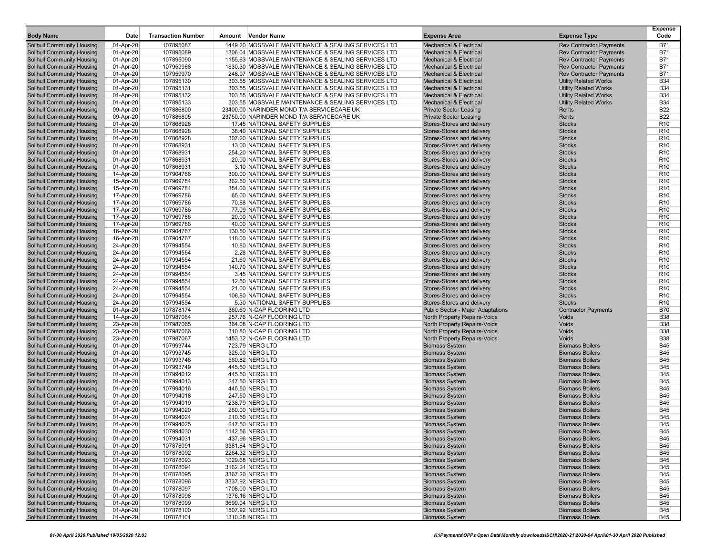| <b>Body Name</b>                  | Date      | <b>Transaction Number</b> | Amount Vendor Name                                  | <b>Expense Area</b>                | <b>Expense Type</b>            | <b>Expense</b><br>Code |
|-----------------------------------|-----------|---------------------------|-----------------------------------------------------|------------------------------------|--------------------------------|------------------------|
| <b>Solihull Community Housing</b> | 01-Apr-20 | 107895087                 | 1449.20 MOSSVALE MAINTENANCE & SEALING SERVICES LTD | <b>Mechanical &amp; Electrical</b> | <b>Rev Contractor Payments</b> | <b>B71</b>             |
| Solihull Community Housing        | 01-Apr-20 | 107895089                 | 1306.04 MOSSVALE MAINTENANCE & SEALING SERVICES LTD | <b>Mechanical &amp; Electrical</b> | <b>Rev Contractor Payments</b> | <b>B71</b>             |
| Solihull Community Housing        | 01-Apr-20 | 107895090                 | 1155.63 MOSSVALE MAINTENANCE & SEALING SERVICES LTD | <b>Mechanical &amp; Electrical</b> | <b>Rev Contractor Payments</b> | <b>B71</b>             |
| Solihull Community Housing        | 01-Apr-20 | 107959968                 | 1830.30 MOSSVALE MAINTENANCE & SEALING SERVICES LTD | <b>Mechanical &amp; Electrical</b> | <b>Rev Contractor Payments</b> | <b>B71</b>             |
| Solihull Community Housing        | 01-Apr-20 | 107959970                 | 248.97 MOSSVALE MAINTENANCE & SEALING SERVICES LTD  | <b>Mechanical &amp; Electrical</b> | <b>Rev Contractor Payments</b> | <b>B71</b>             |
| Solihull Community Housing        | 01-Apr-20 | 107895130                 | 303.55 MOSSVALE MAINTENANCE & SEALING SERVICES LTD  | <b>Mechanical &amp; Electrical</b> | <b>Utility Related Works</b>   | <b>B34</b>             |
| <b>Solihull Community Housing</b> | 01-Apr-20 | 107895131                 | 303.55 MOSSVALE MAINTENANCE & SEALING SERVICES LTD  | <b>Mechanical &amp; Electrical</b> | <b>Utility Related Works</b>   | <b>B34</b>             |
| Solihull Community Housing        | 01-Apr-20 | 107895132                 | 303.55 MOSSVALE MAINTENANCE & SEALING SERVICES LTD  | <b>Mechanical &amp; Electrical</b> | <b>Utility Related Works</b>   | <b>B34</b>             |
| <b>Solihull Community Housing</b> | 01-Apr-20 | 107895133                 | 303.55 MOSSVALE MAINTENANCE & SEALING SERVICES LTD  | <b>Mechanical &amp; Electrical</b> | <b>Utility Related Works</b>   | <b>B34</b>             |
| <b>Solihull Community Housing</b> | 09-Apr-20 | 107886800                 | 23400.00 NARINDER MOND T/A SERVICECARE UK           | <b>Private Sector Leasing</b>      | Rents                          | <b>B22</b>             |
| <b>Solihull Community Housing</b> | 09-Apr-20 | 107886805                 | 23750.00 NARINDER MOND T/A SERVICECARE UK           | <b>Private Sector Leasing</b>      | Rents                          | <b>B22</b>             |
| Solihull Community Housing        | 01-Apr-20 | 107868928                 | 17.45 NATIONAL SAFETY SUPPLIES                      | Stores-Stores and delivery         | <b>Stocks</b>                  | R <sub>10</sub>        |
| <b>Solihull Community Housing</b> | 01-Apr-20 | 107868928                 | 38.40 NATIONAL SAFETY SUPPLIES                      | Stores-Stores and delivery         | <b>Stocks</b>                  | R <sub>10</sub>        |
| <b>Solihull Community Housing</b> | 01-Apr-20 | 107868928                 | 307.20 NATIONAL SAFETY SUPPLIES                     | Stores-Stores and delivery         | <b>Stocks</b>                  | R <sub>10</sub>        |
| Solihull Community Housing        | 01-Apr-20 | 107868931                 | 13.00 NATIONAL SAFETY SUPPLIES                      | Stores-Stores and delivery         | <b>Stocks</b>                  | R <sub>10</sub>        |
| <b>Solihull Community Housing</b> | 01-Apr-20 | 107868931                 | 254.20 NATIONAL SAFETY SUPPLIES                     | Stores-Stores and delivery         | <b>Stocks</b>                  | R <sub>10</sub>        |
| Solihull Community Housing        | 01-Apr-20 | 107868931                 | 20.00 NATIONAL SAFETY SUPPLIES                      | Stores-Stores and delivery         | <b>Stocks</b>                  | R <sub>10</sub>        |
| Solihull Community Housing        | 01-Apr-20 | 107868931                 | 3.10 NATIONAL SAFETY SUPPLIES                       | Stores-Stores and delivery         | <b>Stocks</b>                  | R <sub>10</sub>        |
| Solihull Community Housing        | 14-Apr-20 | 107904766                 | 300.00 NATIONAL SAFETY SUPPLIES                     | Stores-Stores and delivery         | <b>Stocks</b>                  | R <sub>10</sub>        |
| Solihull Community Housing        | 15-Apr-20 | 107969784                 | 362.50 NATIONAL SAFETY SUPPLIES                     | Stores-Stores and delivery         | <b>Stocks</b>                  | R <sub>10</sub>        |
| <b>Solihull Community Housing</b> | 15-Apr-20 | 107969784                 | 354.00 NATIONAL SAFETY SUPPLIES                     | Stores-Stores and delivery         | <b>Stocks</b>                  | R <sub>10</sub>        |
| Solihull Community Housing        | 17-Apr-20 | 107969786                 | 65.00 NATIONAL SAFETY SUPPLIES                      | Stores-Stores and delivery         | <b>Stocks</b>                  | R <sub>10</sub>        |
| <b>Solihull Community Housing</b> | 17-Apr-20 | 107969786                 | 70.88 NATIONAL SAFETY SUPPLIES                      | Stores-Stores and delivery         | <b>Stocks</b>                  | R <sub>10</sub>        |
| <b>Solihull Community Housing</b> | 17-Apr-20 | 107969786                 | 77.09 NATIONAL SAFETY SUPPLIES                      | Stores-Stores and delivery         | <b>Stocks</b>                  | R <sub>10</sub>        |
| Solihull Community Housing        | 17-Apr-20 | 107969786                 | 20.00 NATIONAL SAFETY SUPPLIES                      | Stores-Stores and delivery         | <b>Stocks</b>                  | R <sub>10</sub>        |
| Solihull Community Housing        | 17-Apr-20 | 107969786                 | 40.00 NATIONAL SAFETY SUPPLIES                      | Stores-Stores and delivery         | <b>Stocks</b>                  | R <sub>10</sub>        |
| <b>Solihull Community Housing</b> | 16-Apr-20 | 107904767                 | 130.50 NATIONAL SAFETY SUPPLIES                     | Stores-Stores and delivery         | <b>Stocks</b>                  | R <sub>10</sub>        |
| Solihull Community Housing        | 16-Apr-20 | 107904767                 | 118.00 NATIONAL SAFETY SUPPLIES                     | Stores-Stores and delivery         | <b>Stocks</b>                  | R <sub>10</sub>        |
| Solihull Community Housing        | 24-Apr-20 | 107994554                 | 10.80 NATIONAL SAFETY SUPPLIES                      | Stores-Stores and delivery         | <b>Stocks</b>                  | R <sub>10</sub>        |
| Solihull Community Housing        | 24-Apr-20 | 107994554                 | 2.28 NATIONAL SAFETY SUPPLIES                       | Stores-Stores and delivery         | <b>Stocks</b>                  | R <sub>10</sub>        |
| Solihull Community Housing        | 24-Apr-20 | 107994554                 | 21.60 NATIONAL SAFETY SUPPLIES                      | Stores-Stores and delivery         | <b>Stocks</b>                  | R <sub>10</sub>        |
| <b>Solihull Community Housing</b> | 24-Apr-20 | 107994554                 | 140.70 NATIONAL SAFETY SUPPLIES                     | Stores-Stores and delivery         | <b>Stocks</b>                  | R <sub>10</sub>        |
| Solihull Community Housing        | 24-Apr-20 | 107994554                 | 3.45 NATIONAL SAFETY SUPPLIES                       | Stores-Stores and delivery         | <b>Stocks</b>                  | R <sub>10</sub>        |
| <b>Solihull Community Housing</b> | 24-Apr-20 | 107994554                 | 12.50 NATIONAL SAFETY SUPPLIES                      | Stores-Stores and delivery         | <b>Stocks</b>                  | R <sub>10</sub>        |
| <b>Solihull Community Housing</b> | 24-Apr-20 | 107994554                 | 21.00 NATIONAL SAFETY SUPPLIES                      | Stores-Stores and delivery         | <b>Stocks</b>                  | R <sub>10</sub>        |
| <b>Solihull Community Housing</b> | 24-Apr-20 | 107994554                 | 106.80 NATIONAL SAFETY SUPPLIES                     | Stores-Stores and delivery         | <b>Stocks</b>                  | R <sub>10</sub>        |
| Solihull Community Housing        | 24-Apr-20 | 107994554                 | 5.30 NATIONAL SAFETY SUPPLIES                       | Stores-Stores and delivery         | <b>Stocks</b>                  | R <sub>10</sub>        |
| Solihull Community Housing        | 01-Apr-20 | 107878174                 | 360.60 N-CAP FLOORING LTD                           | Public Sector - Major Adaptations  | <b>Contractor Payments</b>     | <b>B70</b>             |
| Solihull Community Housing        | 14-Apr-20 | 107987064                 | 257.76 N-CAP FLOORING LTD                           | North Property Repairs-Voids       | Voids                          | <b>B38</b>             |
| Solihull Community Housing        | 23-Apr-20 | 107987065                 | 364.08 N-CAP FLOORING LTD                           | North Property Repairs-Voids       | Voids                          | <b>B38</b>             |
| Solihull Community Housing        | 23-Apr-20 | 107987066                 | 310.80 N-CAP FLOORING LTD                           | North Property Repairs-Voids       | Voids                          | <b>B38</b>             |
| Solihull Community Housing        | 23-Apr-20 | 107987067                 | 1453.32 N-CAP FLOORING LTD                          | North Property Repairs-Voids       | Voids                          | <b>B38</b>             |
| Solihull Community Housing        | 01-Apr-20 | 107993744                 | 723.79 NERG LTD                                     | <b>Biomass System</b>              | <b>Biomass Boilers</b>         | <b>B45</b>             |
| Solihull Community Housing        | 01-Apr-20 | 107993745                 | 325.00 NERG LTD                                     | <b>Biomass System</b>              | <b>Biomass Boilers</b>         | <b>B45</b>             |
| Solihull Community Housing        | 01-Apr-20 | 107993748                 | 560.82 NERG LTD                                     | <b>Biomass System</b>              | <b>Biomass Boilers</b>         | <b>B45</b>             |
| <b>Solihull Community Housing</b> | 01-Apr-20 | 107993749                 | 445.50 NERG LTD                                     | <b>Biomass System</b>              | <b>Biomass Boilers</b>         | <b>B45</b>             |
| Solihull Community Housing        | 01-Apr-20 | 107994012                 | 445.50 NERG LTD                                     | <b>Biomass System</b>              | <b>Biomass Boilers</b>         | <b>B45</b>             |
| <b>Solihull Community Housing</b> | 01-Apr-20 | 107994013                 | 247.50 NERG LTD                                     | <b>Biomass System</b>              | <b>Biomass Boilers</b>         | <b>B45</b>             |
| <b>Solihull Community Housing</b> | 01-Apr-20 | 107994016                 | 445.50 NERG LTD                                     | <b>Biomass System</b>              | <b>Biomass Boilers</b>         | <b>B45</b>             |
| Solihull Community Housing        | 01-Apr-20 | 107994018                 | 247.50 NERG LTD                                     | <b>Biomass System</b>              | <b>Biomass Boilers</b>         | <b>B45</b>             |
| Solihull Community Housing        | 01-Apr-20 | 107994019                 | 1238.79 NERG LTD                                    | <b>Biomass System</b>              | <b>Biomass Boilers</b>         | <b>B45</b>             |
| Solihull Community Housing        | 01-Apr-20 | 107994020                 | 260.00 NERG LTD                                     | <b>Biomass System</b>              | <b>Biomass Boilers</b>         | <b>B45</b>             |
| Solihull Community Housing        | 01-Apr-20 | 107994024                 | 210.50 NERG LTD                                     | <b>Biomass System</b>              | <b>Biomass Boilers</b>         | <b>B45</b>             |
| Solihull Community Housing        | 01-Apr-20 | 107994025                 | 247.50 NERG LTD                                     | <b>Biomass System</b>              | <b>Biomass Boilers</b>         | <b>B45</b>             |
| Solihull Community Housing        | 01-Apr-20 | 107994030                 | 1142.56 NERG LID                                    | <b>Biomass System</b>              | <b>Biomass Boilers</b>         | <b>B45</b>             |
| Solihull Community Housing        | 01-Apr-20 | 107994031                 | 437.96 NERG LTD                                     | <b>Biomass System</b>              | <b>Biomass Boilers</b>         | <b>B45</b>             |
| Solihull Community Housing        | 01-Apr-20 | 107878091                 | 3381.84 NERG LTD                                    | <b>Biomass System</b>              | <b>Biomass Boilers</b>         | <b>B45</b>             |
| Solihull Community Housing        | 01-Apr-20 | 107878092                 | 2264.32 NERG LTD                                    | <b>Biomass System</b>              | <b>Biomass Boilers</b>         | <b>B45</b>             |
| Solihull Community Housing        | 01-Apr-20 | 107878093                 | 1029.68 NERG LTD                                    | <b>Biomass System</b>              | <b>Biomass Boilers</b>         | <b>B45</b>             |
| <b>Solihull Community Housing</b> | 01-Apr-20 | 107878094                 | 3162.24 NERG LTD                                    | <b>Biomass System</b>              | <b>Biomass Boilers</b>         | <b>B45</b>             |
| Solihull Community Housing        | 01-Apr-20 | 107878095                 | 3367.20 NERG LTD                                    | <b>Biomass System</b>              | <b>Biomass Boilers</b>         | <b>B45</b>             |
| Solihull Community Housing        | 01-Apr-20 | 107878096                 | 3337.92 NERG LTD                                    | <b>Biomass System</b>              | <b>Biomass Boilers</b>         | <b>B45</b>             |
| Solihull Community Housing        | 01-Apr-20 | 107878097                 | 1708.00 NERG LTD                                    | <b>Biomass System</b>              | <b>Biomass Boilers</b>         | <b>B45</b>             |
| Solihull Community Housing        | 01-Apr-20 | 107878098                 | 1376.16 NERG LTD                                    | <b>Biomass System</b>              | <b>Biomass Boilers</b>         | <b>B45</b>             |
| Solihull Community Housing        | 01-Apr-20 | 107878099                 | 3699.04 NERG LTD                                    | <b>Biomass System</b>              | <b>Biomass Boilers</b>         | <b>B45</b>             |
| Solihull Community Housing        | 01-Apr-20 | 107878100                 | 1507.92 NERG LTD                                    | <b>Biomass System</b>              | <b>Biomass Boilers</b>         | <b>B45</b>             |
| Solihull Community Housing        | 01-Apr-20 | 107878101                 | 1310.28 NERG LTD                                    | <b>Biomass System</b>              | <b>Biomass Boilers</b>         | <b>B45</b>             |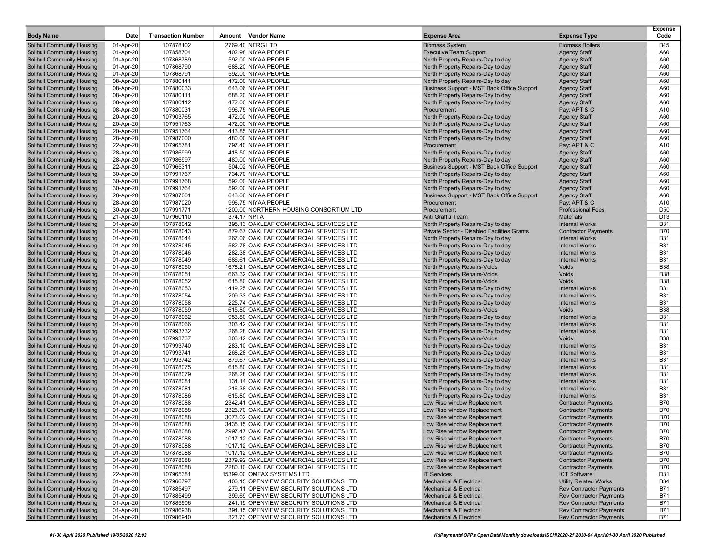| <b>Body Name</b>                                         | Date                   | <b>Transaction Number</b> | Amount Vendor Name                                                               | <b>Expense Area</b>                                                    | <b>Expense Type</b>                            | <b>Expense</b><br>Code   |
|----------------------------------------------------------|------------------------|---------------------------|----------------------------------------------------------------------------------|------------------------------------------------------------------------|------------------------------------------------|--------------------------|
| <b>Solihull Community Housing</b>                        | 01-Apr-20              | 107878102                 | 2769.40 NERG LTD                                                                 | <b>Biomass System</b>                                                  | <b>Biomass Boilers</b>                         | <b>B45</b>               |
| Solihull Community Housing                               | 01-Apr-20              | 107858704                 | 402.98 NIYAA PEOPLE                                                              | <b>Executive Team Support</b>                                          | <b>Agency Staff</b>                            | A60                      |
| Solihull Community Housing                               | 01-Apr-20              | 107868789                 | 592.00 NIYAA PEOPLE                                                              | North Property Repairs-Day to day                                      | <b>Agency Staff</b>                            | A60                      |
| Solihull Community Housing                               | 01-Apr-20              | 107868790                 | 688.20 NIYAA PEOPLE                                                              | North Property Repairs-Day to day                                      | <b>Agency Staff</b>                            | A60                      |
| Solihull Community Housing                               | 01-Apr-20              | 107868791                 | 592.00 NIYAA PEOPLE                                                              | North Property Repairs-Day to day                                      | <b>Agency Staff</b>                            | A60                      |
| Solihull Community Housing                               | 08-Apr-20              | 107880141                 | 472.00 NIYAA PEOPLE                                                              | North Property Repairs-Day to day                                      | <b>Agency Staff</b>                            | A60                      |
| <b>Solihull Community Housing</b>                        | 08-Apr-20              | 107880033                 | 643.06 NIYAA PEOPLE                                                              | Business Support - MST Back Office Support                             | <b>Agency Staff</b>                            | A60                      |
| Solihull Community Housing                               | 08-Apr-20              | 107880111                 | 688.20 NIYAA PEOPLE                                                              | North Property Repairs-Day to day                                      | <b>Agency Staff</b>                            | A60                      |
| Solihull Community Housing                               | 08-Apr-20              | 107880112                 | 472.00 NIYAA PEOPLE                                                              | North Property Repairs-Day to day                                      | <b>Agency Staff</b>                            | A60                      |
| Solihull Community Housing                               | 08-Apr-20              | 107880031                 | 996.75 NIYAA PEOPLE                                                              | Procurement                                                            | Pay: APT & C                                   | A10                      |
| Solihull Community Housing                               | 20-Apr-20              | 107903765                 | 472.00 NIYAA PEOPLE                                                              | North Property Repairs-Day to day                                      | <b>Agency Staff</b>                            | A60                      |
| Solihull Community Housing                               | 20-Apr-20              | 107951763                 | 472.00 NIYAA PEOPLE                                                              | North Property Repairs-Day to day                                      | <b>Agency Staff</b>                            | A60                      |
| Solihull Community Housing                               | 20-Apr-20              | 107951764                 | 413.85 NIYAA PEOPLE                                                              | North Property Repairs-Day to day                                      | <b>Agency Staff</b>                            | A60                      |
| Solihull Community Housing                               | 28-Apr-20              | 107987000                 | 480.00 NIYAA PEOPLE                                                              | North Property Repairs-Day to day                                      | <b>Agency Staff</b>                            | A60                      |
| Solihull Community Housing                               | 22-Apr-20              | 107965781                 | 797.40 NIYAA PEOPLE                                                              | Procurement                                                            | Pay: APT & C                                   | A10                      |
| <b>Solihull Community Housing</b>                        | 28-Apr-20              | 107986999                 | 418.50 NIYAA PEOPLE                                                              | North Property Repairs-Day to day                                      | <b>Agency Staff</b>                            | A60                      |
| Solihull Community Housing                               | 28-Apr-20              | 107986997                 | 480.00 NIYAA PEOPLE                                                              | North Property Repairs-Day to day                                      | <b>Agency Staff</b>                            | A60                      |
| Solihull Community Housing                               | 22-Apr-20              | 107965311                 | 504.02 NIYAA PEOPLE                                                              | Business Support - MST Back Office Support                             | <b>Agency Staff</b>                            | A60                      |
| Solihull Community Housing                               | 30-Apr-20              | 107991767                 | 734.70 NIYAA PEOPLE                                                              | North Property Repairs-Day to day                                      | <b>Agency Staff</b>                            | A60                      |
| Solihull Community Housing                               | 30-Apr-20              | 107991768                 | 592.00 NIYAA PEOPLE                                                              | North Property Repairs-Day to day                                      | <b>Agency Staff</b>                            | A60<br>A60               |
| Solihull Community Housing                               | 30-Apr-20              | 107991764                 | 592.00 NIYAA PEOPLE<br>643.06 NIYAA PEOPLE                                       | North Property Repairs-Day to day                                      | <b>Agency Staff</b>                            | A60                      |
| Solihull Community Housing<br>Solihull Community Housing | 28-Apr-20<br>28-Apr-20 | 107987001<br>107987020    | 996.75 NIYAA PEOPLE                                                              | Business Support - MST Back Office Support<br>Procurement              | <b>Agency Staff</b><br>Pay: APT & C            | A10                      |
| Solihull Community Housing                               | 30-Apr-20              | 107991771                 | 1200.00 NORTHERN HOUSING CONSORTIUM LTD                                          | Procurement                                                            | <b>Professional Fees</b>                       | D <sub>50</sub>          |
| Solihull Community Housing                               | 21-Apr-20              | 107960110                 | 374.17 NPTA                                                                      | Anti Graffiti Team                                                     | <b>Materials</b>                               | D <sub>13</sub>          |
| Solihull Community Housing                               | 01-Apr-20              | 107878042                 | 395.13 OAKLEAF COMMERCIAL SERVICES LTD                                           | North Property Repairs-Day to day                                      | <b>Internal Works</b>                          | <b>B31</b>               |
| <b>Solihull Community Housing</b>                        | 01-Apr-20              | 107878043                 | 879.67 OAKLEAF COMMERCIAL SERVICES LTD                                           | Private Sector - Disabled Facilities Grants                            | <b>Contractor Payments</b>                     | <b>B70</b>               |
| Solihull Community Housing                               | 01-Apr-20              | 107878044                 | 267.06 OAKLEAF COMMERCIAL SERVICES LTD                                           | North Property Repairs-Day to day                                      | <b>Internal Works</b>                          | <b>B31</b>               |
| Solihull Community Housing                               | 01-Apr-20              | 107878045                 | 582.78 OAKLEAF COMMERCIAL SERVICES LTD                                           | North Property Repairs-Day to day                                      | <b>Internal Works</b>                          | <b>B31</b>               |
| Solihull Community Housing                               | 01-Apr-20              | 107878046                 | 282.38 OAKLEAF COMMERCIAL SERVICES LTD                                           | North Property Repairs-Day to day                                      | <b>Internal Works</b>                          | <b>B31</b>               |
| Solihull Community Housing                               | 01-Apr-20              | 107878049                 | 686.61 OAKLEAF COMMERCIAL SERVICES LTD                                           | North Property Repairs-Day to day                                      | <b>Internal Works</b>                          | <b>B31</b>               |
| Solihull Community Housing                               | 01-Apr-20              | 107878050                 | 1678.21 OAKLEAF COMMERCIAL SERVICES LTD                                          | North Property Repairs-Voids                                           | Voids                                          | <b>B38</b>               |
| <b>Solihull Community Housing</b>                        | 01-Apr-20              | 107878051                 | 663.32 OAKLEAF COMMERCIAL SERVICES LTD                                           | North Property Repairs-Voids                                           | Voids                                          | <b>B38</b>               |
| Solihull Community Housing                               | 01-Apr-20              | 107878052                 | 615.80 OAKLEAF COMMERCIAL SERVICES LTD                                           | <b>North Property Repairs-Voids</b>                                    | Voids                                          | <b>B38</b>               |
| Solihull Community Housing                               | 01-Apr-20              | 107878053                 | 1419.25 OAKLEAF COMMERCIAL SERVICES LTD                                          | North Property Repairs-Day to day                                      | <b>Internal Works</b>                          | <b>B31</b>               |
| Solihull Community Housing                               | 01-Apr-20              | 107878054                 | 209.33 OAKLEAF COMMERCIAL SERVICES LTD                                           | North Property Repairs-Day to day                                      | <b>Internal Works</b>                          | <b>B31</b>               |
| Solihull Community Housing                               | 01-Apr-20              | 107878058                 | 225.74 OAKLEAF COMMERCIAL SERVICES LTD                                           | North Property Repairs-Day to day                                      | <b>Internal Works</b>                          | <b>B31</b>               |
| Solihull Community Housing                               | 01-Apr-20              | 107878059                 | 615.80 OAKLEAF COMMERCIAL SERVICES LTD                                           | North Property Repairs-Voids                                           | Voids                                          | <b>B38</b>               |
| Solihull Community Housing                               | 01-Apr-20              | 107878062                 | 953.80 OAKLEAF COMMERCIAL SERVICES LTD                                           | North Property Repairs-Day to day                                      | <b>Internal Works</b>                          | <b>B31</b>               |
| Solihull Community Housing                               | 01-Apr-20              | 107878066                 | 303.42 OAKLEAF COMMERCIAL SERVICES LTD                                           | North Property Repairs-Day to day                                      | <b>Internal Works</b>                          | <b>B31</b>               |
| <b>Solihull Community Housing</b>                        | 01-Apr-20              | 107993732                 | 268.28 OAKLEAF COMMERCIAL SERVICES LTD                                           | North Property Repairs-Day to day                                      | <b>Internal Works</b>                          | <b>B31</b>               |
| Solihull Community Housing                               | 01-Apr-20              | 107993737                 | 303.42 OAKLEAF COMMERCIAL SERVICES LTD                                           | North Property Repairs-Voids                                           | Voids                                          | <b>B38</b>               |
| Solihull Community Housing                               | 01-Apr-20              | 107993740                 | 283.10 OAKLEAF COMMERCIAL SERVICES LTD                                           | North Property Repairs-Day to day                                      | <b>Internal Works</b>                          | <b>B31</b>               |
| Solihull Community Housing                               | 01-Apr-20              | 107993741                 | 268.28 OAKLEAF COMMERCIAL SERVICES LTD                                           | North Property Repairs-Day to day                                      | <b>Internal Works</b>                          | <b>B31</b>               |
| Solihull Community Housing                               | 01-Apr-20              | 107993742                 | 879.67 OAKLEAF COMMERCIAL SERVICES LTD                                           | North Property Repairs-Day to day                                      | <b>Internal Works</b>                          | <b>B31</b>               |
| Solihull Community Housing                               | 01-Apr-20              | 107878075                 | 615.80 OAKLEAF COMMERCIAL SERVICES LTD                                           | North Property Repairs-Day to day                                      | <b>Internal Works</b>                          | <b>B31</b><br><b>B31</b> |
| Solihull Community Housing<br>Solihull Community Housing | 01-Apr-20<br>01-Apr-20 | 107878079<br>107878081    | 268.28 OAKLEAF COMMERCIAL SERVICES LTD<br>134.14 OAKLEAF COMMERCIAL SERVICES LTD | North Property Repairs-Day to day<br>North Property Repairs-Day to day | <b>Internal Works</b><br><b>Internal Works</b> | <b>B31</b>               |
| <b>Solihull Community Housing</b>                        | 01-Apr-20              | 107878081                 | 216.38 OAKLEAF COMMERCIAL SERVICES LTD                                           | North Property Repairs-Day to day                                      | <b>Internal Works</b>                          | <b>B31</b>               |
| Solihull Community Housing                               | 01-Apr-20              | 107878086                 | 615.80 OAKLEAF COMMERCIAL SERVICES LTD                                           | North Property Repairs-Day to day                                      | <b>Internal Works</b>                          | <b>B31</b>               |
| Solihull Community Housing                               | 01-Apr-20              | 107878088                 | 2342.41 OAKLEAF COMMERCIAL SERVICES LTD                                          | Low Rise window Replacement                                            | <b>Contractor Payments</b>                     | <b>B70</b>               |
| Solihull Community Housing                               | 01-Apr-20              | 107878088                 | 2326.70 OAKLEAF COMMERCIAL SERVICES LTD                                          | Low Rise window Replacement                                            | <b>Contractor Payments</b>                     | <b>B70</b>               |
| Solihull Community Housing                               | 01-Apr-20              | 107878088                 | 3073.02 OAKLEAF COMMERCIAL SERVICES LTD                                          | Low Rise window Replacement                                            | <b>Contractor Payments</b>                     | <b>B70</b>               |
| Solihull Community Housing                               | 01-Apr-20              | 107878088                 | 3435.15 OAKLEAF COMMERCIAL SERVICES LTD                                          | Low Rise window Replacement                                            | <b>Contractor Payments</b>                     | <b>B70</b>               |
| Solihull Community Housing                               | 01-Apr-20              | 107878088                 | 2997.47 OAKLEAF COMMERCIAL SERVICES LTD                                          | Low Rise window Replacement                                            | <b>Contractor Payments</b>                     | B70                      |
| Solihull Community Housing                               | 01-Apr-20              | 107878088                 | 1017.12 OAKLEAF COMMERCIAL SERVICES LTD                                          | Low Rise window Replacement                                            | <b>Contractor Payments</b>                     | <b>B70</b>               |
| Solihull Community Housing                               | 01-Apr-20              | 107878088                 | 1017.12 OAKLEAF COMMERCIAL SERVICES LTD                                          | Low Rise window Replacement                                            | <b>Contractor Payments</b>                     | <b>B70</b>               |
| Solihull Community Housing                               | 01-Apr-20              | 107878088                 | 1017.12 OAKLEAF COMMERCIAL SERVICES LTD                                          | Low Rise window Replacement                                            | <b>Contractor Payments</b>                     | <b>B70</b>               |
| Solihull Community Housing                               | 01-Apr-20              | 107878088                 | 2379.92 OAKLEAF COMMERCIAL SERVICES LTD                                          | Low Rise window Replacement                                            | <b>Contractor Payments</b>                     | <b>B70</b>               |
| Solihull Community Housing                               | 01-Apr-20              | 107878088                 | 2280.10 OAKLEAF COMMERCIAL SERVICES LTD                                          | Low Rise window Replacement                                            | <b>Contractor Payments</b>                     | <b>B70</b>               |
| Solihull Community Housing                               | 22-Apr-20              | 107965381                 | 15399.00 OMFAX SYSTEMS LTD                                                       | <b>IT Services</b>                                                     | <b>ICT Software</b>                            | D31                      |
| Solihull Community Housing                               | 01-Apr-20              | 107966797                 | 400.15 OPENVIEW SECURITY SOLUTIONS LTD                                           | <b>Mechanical &amp; Electrical</b>                                     | <b>Utility Related Works</b>                   | <b>B34</b>               |
| Solihull Community Housing                               | 01-Apr-20              | 107885497                 | 279.11 OPENVIEW SECURITY SOLUTIONS LTD                                           | <b>Mechanical &amp; Electrical</b>                                     | <b>Rev Contractor Payments</b>                 | <b>B71</b>               |
| Solihull Community Housing                               | 01-Apr-20              | 107885499                 | 399.69 OPENVIEW SECURITY SOLUTIONS LTD                                           | <b>Mechanical &amp; Electrical</b>                                     | <b>Rev Contractor Payments</b>                 | B71                      |
| Solihull Community Housing                               | 01-Apr-20              | 107885506                 | 241.19 OPENVIEW SECURITY SOLUTIONS LTD                                           | <b>Mechanical &amp; Electrical</b>                                     | <b>Rev Contractor Payments</b>                 | B71                      |
| Solihull Community Housing                               | 01-Apr-20              | 107986938                 | 394.15 OPENVIEW SECURITY SOLUTIONS LTD                                           | <b>Mechanical &amp; Electrical</b>                                     | <b>Rev Contractor Payments</b>                 | <b>B71</b>               |
| Solihull Community Housing                               | 01-Apr-20              | 107986940                 | 323.73 OPENVIEW SECURITY SOLUTIONS LTD                                           | <b>Mechanical &amp; Electrical</b>                                     | <b>Rev Contractor Payments</b>                 | B71                      |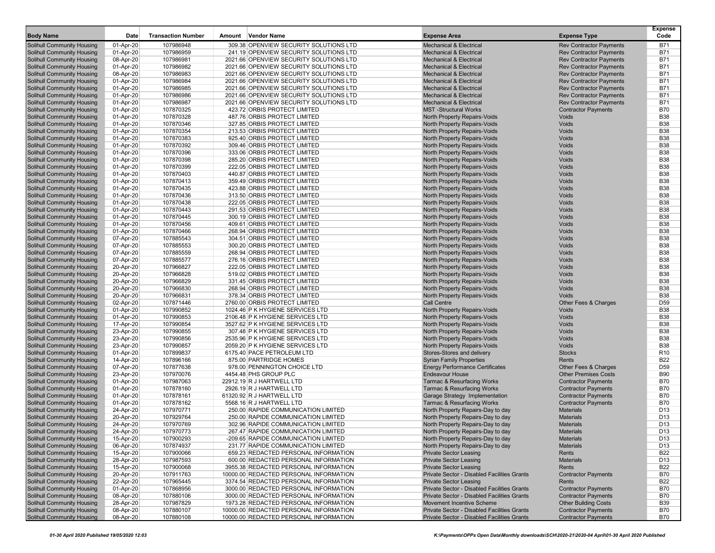| <b>Body Name</b>                                         | Date                   | <b>Transaction Number</b> | Amount | Vendor Name                                                  | <b>Expense Area</b>                                          | <b>Expense Type</b>                                      | <b>Expense</b><br>Code   |
|----------------------------------------------------------|------------------------|---------------------------|--------|--------------------------------------------------------------|--------------------------------------------------------------|----------------------------------------------------------|--------------------------|
| <b>Solihull Community Housing</b>                        | 01-Apr-20              | 107986948                 |        | 309.38 OPENVIEW SECURITY SOLUTIONS LTD                       | <b>Mechanical &amp; Electrical</b>                           | <b>Rev Contractor Payments</b>                           | <b>B71</b>               |
| Solihull Community Housing                               | 01-Apr-20              | 107986959                 |        | 241.19 OPENVIEW SECURITY SOLUTIONS LTD                       | <b>Mechanical &amp; Electrical</b>                           | <b>Rev Contractor Payments</b>                           | <b>B71</b>               |
| Solihull Community Housing                               | 08-Apr-20              | 107986981                 |        | 2021.66 OPENVIEW SECURITY SOLUTIONS LTD                      | <b>Mechanical &amp; Electrical</b>                           | <b>Rev Contractor Payments</b>                           | <b>B71</b>               |
| Solihull Community Housing                               | 01-Apr-20              | 107986982                 |        | 2021.66 OPENVIEW SECURITY SOLUTIONS LTD                      | <b>Mechanical &amp; Electrical</b>                           | <b>Rev Contractor Payments</b>                           | <b>B71</b>               |
| <b>Solihull Community Housing</b>                        | 08-Apr-20              | 107986983                 |        | 2021.66 OPENVIEW SECURITY SOLUTIONS LTD                      | <b>Mechanical &amp; Electrical</b>                           | <b>Rev Contractor Payments</b>                           | <b>B71</b>               |
| Solihull Community Housing                               | 01-Apr-20              | 107986984                 |        | 2021.66 OPENVIEW SECURITY SOLUTIONS LTD                      | <b>Mechanical &amp; Electrical</b>                           | <b>Rev Contractor Payments</b>                           | <b>B71</b>               |
| Solihull Community Housing                               | 01-Apr-20              | 107986985                 |        | 2021.66 OPENVIEW SECURITY SOLUTIONS LTD                      | <b>Mechanical &amp; Electrical</b>                           | <b>Rev Contractor Payments</b>                           | <b>B71</b>               |
| Solihull Community Housing                               | 01-Apr-20              | 107986986                 |        | 2021.66 OPENVIEW SECURITY SOLUTIONS LTD                      | <b>Mechanical &amp; Electrical</b>                           | <b>Rev Contractor Payments</b>                           | <b>B71</b>               |
| Solihull Community Housing                               | 01-Apr-20              | 107986987                 |        | 2021.66 OPENVIEW SECURITY SOLUTIONS LTD                      | <b>Mechanical &amp; Electrical</b>                           | <b>Rev Contractor Payments</b>                           | <b>B71</b>               |
| Solihull Community Housing                               | 01-Apr-20              | 107870325                 |        | 423.72 ORBIS PROTECT LIMITED<br>487.76 ORBIS PROTECT LIMITED | <b>MST</b> -Structural Works                                 | <b>Contractor Payments</b>                               | <b>B70</b><br><b>B38</b> |
| Solihull Community Housing<br>Solihull Community Housing | 01-Apr-20<br>01-Apr-20 | 107870328<br>107870346    |        | 327.85 ORBIS PROTECT LIMITED                                 | North Property Repairs-Voids<br>North Property Repairs-Voids | Voids<br>Voids                                           | <b>B38</b>               |
| Solihull Community Housing                               | 01-Apr-20              | 107870354                 |        | 213.53 ORBIS PROTECT LIMITED                                 | North Property Repairs-Voids                                 | Voids                                                    | <b>B38</b>               |
| Solihull Community Housing                               | 01-Apr-20              | 107870383                 |        | 925.40 ORBIS PROTECT LIMITED                                 | North Property Repairs-Voids                                 | Voids                                                    | <b>B38</b>               |
| <b>Solihull Community Housing</b>                        | 01-Apr-20              | 107870392                 |        | 309.46 ORBIS PROTECT LIMITED                                 | North Property Repairs-Voids                                 | Voids                                                    | <b>B38</b>               |
| <b>Solihull Community Housing</b>                        | 01-Apr-20              | 107870396                 |        | 333.06 ORBIS PROTECT LIMITED                                 | North Property Repairs-Voids                                 | Voids                                                    | <b>B38</b>               |
| <b>Solihull Community Housing</b>                        | 01-Apr-20              | 107870398                 |        | 285.20 ORBIS PROTECT LIMITED                                 | North Property Repairs-Voids                                 | Voids                                                    | <b>B38</b>               |
| Solihull Community Housing                               | 01-Apr-20              | 107870399                 |        | 222.05 ORBIS PROTECT LIMITED                                 | North Property Repairs-Voids                                 | Voids                                                    | <b>B38</b>               |
| <b>Solihull Community Housing</b>                        | 01-Apr-20              | 107870403                 |        | 440.87 ORBIS PROTECT LIMITED                                 | North Property Repairs-Voids                                 | Voids                                                    | <b>B38</b>               |
| <b>Solihull Community Housing</b>                        | 01-Apr-20              | 107870413                 |        | 359.49 ORBIS PROTECT LIMITED                                 | North Property Repairs-Voids                                 | Voids                                                    | <b>B38</b>               |
| Solihull Community Housing                               | 01-Apr-20              | 107870435                 |        | 423.88 ORBIS PROTECT LIMITED                                 | North Property Repairs-Voids                                 | Voids                                                    | <b>B38</b>               |
| Solihull Community Housing                               | 01-Apr-20              | 107870436                 |        | 313.50 ORBIS PROTECT LIMITED                                 | North Property Repairs-Voids                                 | Voids                                                    | <b>B38</b>               |
| Solihull Community Housing                               | 01-Apr-20              | 107870438                 |        | 222.05 ORBIS PROTECT LIMITED                                 | North Property Repairs-Voids                                 | Voids                                                    | <b>B38</b>               |
| Solihull Community Housing                               | 01-Apr-20              | 107870443                 |        | 291.53 ORBIS PROTECT LIMITED                                 | North Property Repairs-Voids                                 | Voids                                                    | <b>B38</b>               |
| Solihull Community Housing                               | 01-Apr-20              | 107870445                 |        | 300.19 ORBIS PROTECT LIMITED                                 | North Property Repairs-Voids                                 | Voids                                                    | <b>B38</b>               |
| Solihull Community Housing                               | 01-Apr-20              | 107870456                 |        | 409.61 ORBIS PROTECT LIMITED                                 | North Property Repairs-Voids                                 | Voids                                                    | <b>B38</b>               |
| <b>Solihull Community Housing</b>                        | 01-Apr-20              | 107870466                 |        | 268.94 ORBIS PROTECT LIMITED                                 | <b>North Property Repairs-Voids</b>                          | Voids                                                    | <b>B38</b>               |
| Solihull Community Housing                               | 07-Apr-20              | 107885543                 |        | 304.51 ORBIS PROTECT LIMITED                                 | North Property Repairs-Voids                                 | Voids                                                    | <b>B38</b>               |
| Solihull Community Housing                               | 07-Apr-20              | 107885553                 |        | 300.20 ORBIS PROTECT LIMITED                                 | North Property Repairs-Voids                                 | Voids                                                    | <b>B38</b>               |
| <b>Solihull Community Housing</b>                        | 07-Apr-20              | 107885559                 |        | 268.94 ORBIS PROTECT LIMITED                                 | <b>North Property Repairs-Voids</b>                          | Voids                                                    | <b>B38</b>               |
| Solihull Community Housing                               | 07-Apr-20              | 107885577<br>107966827    |        | 276.16 ORBIS PROTECT LIMITED                                 | North Property Repairs-Voids                                 | Voids<br>Voids                                           | <b>B38</b><br><b>B38</b> |
| Solihull Community Housing<br>Solihull Community Housing | 20-Apr-20<br>20-Apr-20 | 107966828                 |        | 222.05 ORBIS PROTECT LIMITED<br>519.02 ORBIS PROTECT LIMITED | North Property Repairs-Voids<br>North Property Repairs-Voids | Voids                                                    | <b>B38</b>               |
| Solihull Community Housing                               | 20-Apr-20              | 107966829                 |        | 331.45 ORBIS PROTECT LIMITED                                 | North Property Repairs-Voids                                 | Voids                                                    | <b>B38</b>               |
| Solihull Community Housing                               | 20-Apr-20              | 107966830                 |        | 268.94 ORBIS PROTECT LIMITED                                 | North Property Repairs-Voids                                 | Voids                                                    | <b>B38</b>               |
| Solihull Community Housing                               | 20-Apr-20              | 107966831                 |        | 378.34 ORBIS PROTECT LIMITED                                 | North Property Repairs-Voids                                 | Voids                                                    | <b>B38</b>               |
| Solihull Community Housing                               | 02-Apr-20              | 107871446                 |        | 2760.00 ORBIS PROTECT LIMITED                                | <b>Call Centre</b>                                           | Other Fees & Charges                                     | D <sub>59</sub>          |
| Solihull Community Housing                               | 01-Apr-20              | 107990852                 |        | 1024.46 P K HYGIENE SERVICES LTD                             | North Property Repairs-Voids                                 | Voids                                                    | <b>B38</b>               |
| Solihull Community Housing                               | 01-Apr-20              | 107990853                 |        | 2106.48 P K HYGIENE SERVICES LTD                             | North Property Repairs-Voids                                 | Voids                                                    | <b>B38</b>               |
| Solihull Community Housing                               | 17-Apr-20              | 107990854                 |        | 3527.62 P K HYGIENE SERVICES LTD                             | North Property Repairs-Voids                                 | Voids                                                    | <b>B38</b>               |
| <b>Solihull Community Housing</b>                        | 23-Apr-20              | 107990855                 |        | 307.48 P K HYGIENE SERVICES LTD                              | North Property Repairs-Voids                                 | Voids                                                    | <b>B38</b>               |
| Solihull Community Housing                               | 23-Apr-20              | 107990856                 |        | 2535.96 P K HYGIENE SERVICES LTD                             | North Property Repairs-Voids                                 | Voids                                                    | <b>B38</b>               |
| Solihull Community Housing                               | 23-Apr-20              | 107990857                 |        | 2059.20 P K HYGIENE SERVICES LTD                             | North Property Repairs-Voids                                 | Voids                                                    | <b>B38</b>               |
| <b>Solihull Community Housing</b>                        | 01-Apr-20              | 107899837                 |        | 6175.40 PACE PETROLEUM LTD                                   | Stores-Stores and delivery                                   | <b>Stocks</b>                                            | R <sub>10</sub>          |
| <b>Solihull Community Housing</b>                        | 14-Apr-20              | 107896166                 |        | 875.00 PARTRIDGE HOMES                                       | <b>Syrian Family Properties</b>                              | Rents                                                    | <b>B22</b>               |
| Solihull Community Housing                               | 07-Apr-20              | 107877638                 |        | 978.00 PENNINGTON CHOICE LTD                                 | <b>Energy Performance Certificates</b>                       | Other Fees & Charges                                     | D <sub>59</sub>          |
| Solihull Community Housing                               | 23-Apr-20              | 107970076                 |        | 4454.48 PHS GROUP PLC                                        | <b>Endeavour House</b>                                       | <b>Other Premises Costs</b>                              | <b>B90</b>               |
| <b>Solihull Community Housing</b>                        | 01-Apr-20              | 107987063                 |        | 22912.19 R J HARTWELL LTD                                    | <b>Tarmac &amp; Resurfacing Works</b>                        | <b>Contractor Payments</b>                               | <b>B70</b>               |
| Solihull Community Housing<br>Solihull Community Housing | 01-Apr-20              | 107878160<br>107878161    |        | 2926.19 R J HARTWELL LTD<br>61320.92 R J HARTWELL LTD        | Tarmac & Resurfacing Works<br>Garage Strategy Implementation | <b>Contractor Payments</b><br><b>Contractor Payments</b> | <b>B70</b><br><b>B70</b> |
| <b>Solihull Community Housing</b>                        | 01-Apr-20<br>01-Apr-20 | 107878162                 |        | 5568.16 R J HARTWELL LTD                                     | <b>Tarmac &amp; Resurfacing Works</b>                        | <b>Contractor Payments</b>                               | <b>B70</b>               |
| Solihull Community Housing                               | 24-Apr-20              | 107970771                 |        | 250.00 RAPIDE COMMUNICATION LIMITED                          | North Property Repairs-Day to day                            | <b>Materials</b>                                         | D <sub>13</sub>          |
| Solihull Community Housing                               | 20-Apr-20              | 107929764                 |        | 250.00 RAPIDE COMMUNICATION LIMITED                          | North Property Repairs-Day to day                            | <b>Materials</b>                                         | D <sub>13</sub>          |
| Solihull Community Housing                               | 24-Apr-20              | 107970769                 |        | 302.96 RAPIDE COMMUNICATION LIMITED                          | North Property Repairs-Day to day                            | <b>Materials</b>                                         | D <sub>13</sub>          |
| Solihull Community Housing                               | 24-Apr-20              | 107970773                 |        | 267.47 RAPIDE COMMUNICATION LIMITED                          | North Property Repairs-Day to day                            | <b>Materials</b>                                         | D <sub>13</sub>          |
| Solihull Community Housing                               | 15-Apr-20              | 107900293                 |        | -209.65 RAPIDE COMMUNICATION LIMITED                         | North Property Repairs-Day to day                            | <b>Materials</b>                                         | D13                      |
| Solihull Community Housing                               | 06-Apr-20              | 107874937                 |        | 231.77 RAPIDE COMMUNICATION LIMITED                          | North Property Repairs-Day to day                            | <b>Materials</b>                                         | D <sub>13</sub>          |
| Solihull Community Housing                               | 15-Apr-20              | 107900066                 |        | 659.23 REDACTED PERSONAL INFORMATION                         | <b>Private Sector Leasing</b>                                | Rents                                                    | <b>B22</b>               |
| Solihull Community Housing                               | 28-Apr-20              | 107987593                 |        | 600.00 REDACTED PERSONAL INFORMATION                         | <b>Private Sector Leasing</b>                                | <b>Materials</b>                                         | D <sub>13</sub>          |
| Solihull Community Housing                               | 15-Apr-20              | 107900068                 |        | 3955.38 REDACTED PERSONAL INFORMATION                        | <b>Private Sector Leasing</b>                                | Rents                                                    | <b>B22</b>               |
| Solihull Community Housing                               | 20-Apr-20              | 107911763                 |        | 10000.00 REDACTED PERSONAL INFORMATION                       | Private Sector - Disabled Facilities Grants                  | <b>Contractor Payments</b>                               | <b>B70</b>               |
| Solihull Community Housing                               | 22-Apr-20              | 107965445                 |        | 3374.54 REDACTED PERSONAL INFORMATION                        | <b>Private Sector Leasing</b>                                | Rents                                                    | <b>B22</b>               |
| Solihull Community Housing                               | 01-Apr-20              | 107868956                 |        | 3000.00 REDACTED PERSONAL INFORMATION                        | Private Sector - Disabled Facilities Grants                  | <b>Contractor Payments</b>                               | <b>B70</b>               |
| Solihull Community Housing                               | 08-Apr-20              | 107880106                 |        | 3000.00 REDACTED PERSONAL INFORMATION                        | Private Sector - Disabled Facilities Grants                  | <b>Contractor Payments</b>                               | <b>B70</b>               |
| Solihull Community Housing                               | 28-Apr-20              | 107987829                 |        | 1973.28 REDACTED PERSONAL INFORMATION                        | <b>Movement Incentive Scheme</b>                             | <b>Other Building Costs</b>                              | <b>B39</b>               |
| Solihull Community Housing                               | 08-Apr-20              | 107880107                 |        | 10000.00 REDACTED PERSONAL INFORMATION                       | Private Sector - Disabled Facilities Grants                  | <b>Contractor Payments</b>                               | <b>B70</b>               |
| Solihull Community Housing                               | 08-Apr-20              | 107880108                 |        | 10000.00 REDACTED PERSONAL INFORMATION                       | Private Sector - Disabled Facilities Grants                  | <b>Contractor Payments</b>                               | <b>B70</b>               |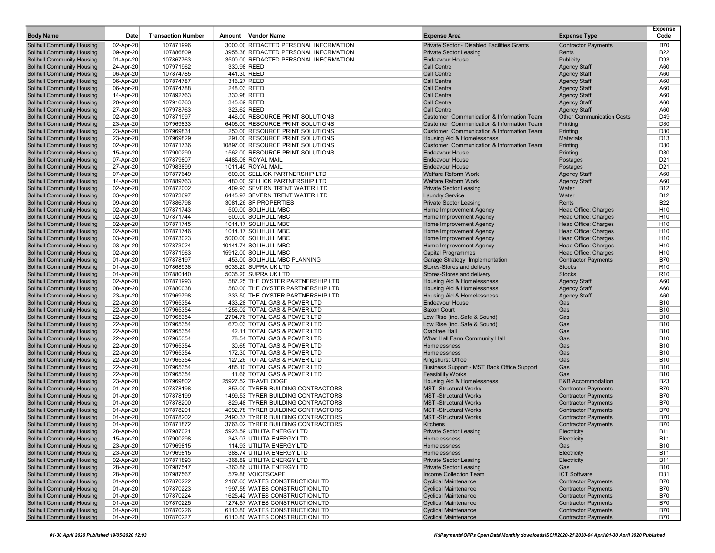| <b>Body Name</b>                                         | Date                   | <b>Transaction Number</b> | Amount Vendor Name                                                   | <b>Expense Area</b>                                                                 | <b>Expense Type</b>              | <b>Expense</b><br>Code   |
|----------------------------------------------------------|------------------------|---------------------------|----------------------------------------------------------------------|-------------------------------------------------------------------------------------|----------------------------------|--------------------------|
| <b>Solihull Community Housing</b>                        | 02-Apr-20              | 107871996                 | 3000.00 REDACTED PERSONAL INFORMATION                                | Private Sector - Disabled Facilities Grants                                         | <b>Contractor Payments</b>       | <b>B70</b>               |
| Solihull Community Housing                               | 09-Apr-20              | 107886809                 | 3955.38 REDACTED PERSONAL INFORMATION                                | <b>Private Sector Leasing</b>                                                       | Rents                            | <b>B22</b>               |
| Solihull Community Housing                               | 01-Apr-20              | 107867763                 | 3500.00 REDACTED PERSONAL INFORMATION                                | <b>Endeavour House</b>                                                              | Publicity                        | D93                      |
| Solihull Community Housing                               | 24-Apr-20              | 107971962                 | 330.98 REED                                                          | <b>Call Centre</b>                                                                  | <b>Agency Staff</b>              | A60                      |
| Solihull Community Housing                               | 06-Apr-20              | 107874785                 | 441.30 REED                                                          | <b>Call Centre</b>                                                                  | <b>Agency Staff</b>              | A60                      |
| Solihull Community Housing                               | 06-Apr-20              | 107874787                 | 316.27 REED                                                          | <b>Call Centre</b>                                                                  | <b>Agency Staff</b>              | A60                      |
| <b>Solihull Community Housing</b>                        | 06-Apr-20              | 107874788                 | 248.03 REED                                                          | Call Centre                                                                         | <b>Agency Staff</b>              | A60                      |
| Solihull Community Housing                               | 14-Apr-20              | 107892763                 | 330.98 REED                                                          | <b>Call Centre</b>                                                                  | <b>Agency Staff</b>              | A60                      |
| Solihull Community Housing                               | 20-Apr-20              | 107916763                 | 345.69 REED                                                          | <b>Call Centre</b>                                                                  | <b>Agency Staff</b>              | A60                      |
| Solihull Community Housing                               | 27-Apr-20              | 107978763                 | 323.62 REED                                                          | <b>Call Centre</b>                                                                  | <b>Agency Staff</b>              | A60                      |
| <b>Solihull Community Housing</b>                        | 02-Apr-20              | 107871997                 | 446.00 RESOURCE PRINT SOLUTIONS                                      | Customer, Communication & Information Team                                          | <b>Other Communication Costs</b> | D49                      |
| Solihull Community Housing                               | 23-Apr-20              | 107969833                 | 6406.00 RESOURCE PRINT SOLUTIONS                                     | Customer, Communication & Information Team                                          | Printing                         | D80                      |
| Solihull Community Housing                               | 23-Apr-20              | 107969831                 | 250.00 RESOURCE PRINT SOLUTIONS                                      | Customer, Communication & Information Team                                          | Printing                         | D80                      |
| <b>Solihull Community Housing</b>                        | 23-Apr-20              | 107969829                 | 291.00 RESOURCE PRINT SOLUTIONS<br>10897.00 RESOURCE PRINT SOLUTIONS | <b>Housing Aid &amp; Homelessness</b><br>Customer, Communication & Information Team | <b>Materials</b><br>Printing     | D <sub>13</sub><br>D80   |
| Solihull Community Housing<br>Solihull Community Housing | 02-Apr-20<br>15-Apr-20 | 107871736<br>107900290    | 1562.00 RESOURCE PRINT SOLUTIONS                                     | <b>Endeavour House</b>                                                              | Printing                         | D80                      |
| Solihull Community Housing                               | 07-Apr-20              | 107879807                 | 4485.08 ROYAL MAIL                                                   | <b>Endeavour House</b>                                                              | Postages                         | D <sub>21</sub>          |
| Solihull Community Housing                               |                        | 107983899                 | 1011.49 ROYAL MAIL                                                   | <b>Endeavour House</b>                                                              | Postages                         | D <sub>21</sub>          |
| Solihull Community Housing                               | 27-Apr-20<br>07-Apr-20 | 107877649                 | 600.00 SELLICK PARTNERSHIP LTD                                       | <b>Welfare Reform Work</b>                                                          | <b>Agency Staff</b>              | A60                      |
| Solihull Community Housing                               | 14-Apr-20              | 107889763                 | 480.00 SELLICK PARTNERSHIP LTD                                       | <b>Welfare Reform Work</b>                                                          | <b>Agency Staff</b>              | A60                      |
| Solihull Community Housing                               | 02-Apr-20              | 107872002                 | 409.93 SEVERN TRENT WATER LTD                                        | <b>Private Sector Leasing</b>                                                       | Water                            | <b>B12</b>               |
| Solihull Community Housing                               | 03-Apr-20              | 107873697                 | 6445.97 SEVERN TRENT WATER LTD                                       | <b>Laundry Service</b>                                                              | Water                            | <b>B12</b>               |
| Solihull Community Housing                               | 09-Apr-20              | 107886798                 | 3081.26 SF PROPERTIES                                                | <b>Private Sector Leasing</b>                                                       | Rents                            | <b>B22</b>               |
| Solihull Community Housing                               | 02-Apr-20              | 107871743                 | 500.00 SOLIHULL MBC                                                  | Home Improvement Agency                                                             | Head Office: Charges             | H <sub>10</sub>          |
| Solihull Community Housing                               | 02-Apr-20              | 107871744                 | 500.00 SOLIHULL MBC                                                  | Home Improvement Agency                                                             | Head Office: Charges             | H <sub>10</sub>          |
| Solihull Community Housing                               | 02-Apr-20              | 107871745                 | 1014.17 SOLIHULL MBC                                                 | Home Improvement Agency                                                             | Head Office: Charges             | H <sub>10</sub>          |
| Solihull Community Housing                               | 02-Apr-20              | 107871746                 | 1014.17 SOLIHULL MBC                                                 | Home Improvement Agency                                                             | <b>Head Office: Charges</b>      | H <sub>10</sub>          |
| Solihull Community Housing                               | 03-Apr-20              | 107873023                 | 5000.00 SOLIHULL MBC                                                 | Home Improvement Agency                                                             | Head Office: Charges             | H <sub>10</sub>          |
| Solihull Community Housing                               | 03-Apr-20              | 107873024                 | 10141.74 SOLIHULL MBC                                                | Home Improvement Agency                                                             | Head Office: Charges             | H <sub>10</sub>          |
| Solihull Community Housing                               | 02-Apr-20              | 107871963                 | 15912.00 SOLIHULL MBC                                                | <b>Capital Programmes</b>                                                           | <b>Head Office: Charges</b>      | H <sub>10</sub>          |
| Solihull Community Housing                               | 01-Apr-20              | 107878197                 | 453.00 SOLIHULL MBC PLANNING                                         | Garage Strategy Implementation                                                      | <b>Contractor Payments</b>       | <b>B70</b>               |
| <b>Solihull Community Housing</b>                        | 01-Apr-20              | 107868938                 | 5035.20 SUPRA UK LTD                                                 | Stores-Stores and delivery                                                          | <b>Stocks</b>                    | R <sub>10</sub>          |
| Solihull Community Housing                               | 01-Apr-20              | 107880140                 | 5035.20 SUPRA UK LTD                                                 | Stores-Stores and delivery                                                          | <b>Stocks</b>                    | R <sub>10</sub>          |
| Solihull Community Housing                               | 02-Apr-20              | 107871993                 | 587.25 THE OYSTER PARTNERSHIP LTD                                    | Housing Aid & Homelessness                                                          | <b>Agency Staff</b>              | A60                      |
| Solihull Community Housing                               | 08-Apr-20              | 107880038                 | 580.00 THE OYSTER PARTNERSHIP LTD                                    | Housing Aid & Homelessness                                                          | <b>Agency Staff</b>              | A60                      |
| Solihull Community Housing                               | 23-Apr-20              | 107969798                 | 333.50 THE OYSTER PARTNERSHIP LTD                                    | Housing Aid & Homelessness                                                          | <b>Agency Staff</b>              | A60                      |
| Solihull Community Housing                               | 22-Apr-20              | 107965354                 | 433.28 TOTAL GAS & POWER LTD                                         | <b>Endeavour House</b>                                                              | Gas                              | <b>B10</b>               |
| Solihull Community Housing                               | 22-Apr-20              | 107965354                 | 1256.02 TOTAL GAS & POWER LTD                                        | <b>Saxon Court</b>                                                                  | Gas                              | <b>B10</b>               |
| Solihull Community Housing                               | 22-Apr-20              | 107965354                 | 2704.76 TOTAL GAS & POWER LTD                                        | Low Rise (inc. Safe & Sound)                                                        | Gas                              | <b>B10</b>               |
| Solihull Community Housing                               | 22-Apr-20              | 107965354                 | 670.03 TOTAL GAS & POWER LTD                                         | Low Rise (inc. Safe & Sound)                                                        | Gas                              | <b>B10</b>               |
| Solihull Community Housing                               | 22-Apr-20              | 107965354                 | 42.11 TOTAL GAS & POWER LTD                                          | <b>Crabtree Hall</b>                                                                | Gas                              | <b>B10</b>               |
| Solihull Community Housing                               | 22-Apr-20              | 107965354                 | 78.54 TOTAL GAS & POWER LTD                                          | Whar Hall Farm Community Hall                                                       | Gas                              | <b>B10</b>               |
| Solihull Community Housing                               | 22-Apr-20              | 107965354                 | 30.65 TOTAL GAS & POWER LTD                                          | Homelessness                                                                        | Gas                              | <b>B10</b>               |
| Solihull Community Housing                               | 22-Apr-20              | 107965354                 | 172.30 TOTAL GAS & POWER LTD                                         | Homelessness                                                                        | Gas                              | <b>B10</b>               |
| Solihull Community Housing                               | 22-Apr-20              | 107965354                 | 127.26 TOTAL GAS & POWER LTD                                         | <b>Kingshurst Office</b>                                                            | Gas                              | <b>B10</b>               |
| Solihull Community Housing                               | 22-Apr-20              | 107965354                 | 485.10 TOTAL GAS & POWER LTD<br>11.66 TOTAL GAS & POWER LTD          | Business Support - MST Back Office Support                                          | Gas<br>Gas                       | <b>B10</b><br><b>B10</b> |
| Solihull Community Housing<br>Solihull Community Housing | 22-Apr-20<br>23-Apr-20 | 107965354<br>107969802    | 25927.52 TRAVELODGE                                                  | <b>Feasibility Works</b><br>Housing Aid & Homelessness                              | <b>B&amp;B Accommodation</b>     | <b>B23</b>               |
| <b>Solihull Community Housing</b>                        | 01-Apr-20              | 107878198                 | 853.00 TYRER BUILDING CONTRACTORS                                    | <b>MST</b> -Structural Works                                                        | <b>Contractor Payments</b>       | <b>B70</b>               |
| Solihull Community Housing                               | 01-Apr-20              | 107878199                 | 1499.53 TYRER BUILDING CONTRACTORS                                   | <b>MST-Structural Works</b>                                                         | <b>Contractor Payments</b>       | <b>B70</b>               |
| Solihull Community Housing                               | 01-Apr-20              | 107878200                 | 829.48 TYRER BUILDING CONTRACTORS                                    | <b>MST-Structural Works</b>                                                         | <b>Contractor Payments</b>       | <b>B70</b>               |
| Solihull Community Housing                               | 01-Apr-20              | 107878201                 | 4092.78 TYRER BUILDING CONTRACTORS                                   | <b>MST-Structural Works</b>                                                         | <b>Contractor Payments</b>       | <b>B70</b>               |
| Solihull Community Housing                               | 01-Apr-20              | 107878202                 | 2490.37 TYRER BUILDING CONTRACTORS                                   | <b>MST-Structural Works</b>                                                         | <b>Contractor Payments</b>       | <b>B70</b>               |
| Solihull Community Housing                               | 01-Apr-20              | 107871872                 | 3763.02 TYRER BUILDING CONTRACTORS                                   | Kitchens                                                                            | <b>Contractor Payments</b>       | <b>B70</b>               |
| Solihull Community Housing                               | 28-Apr-20              | 107987021                 | 5923.59 UTILITA ENERGY LTD                                           | <b>Private Sector Leasing</b>                                                       | <b>Electricity</b>               | <b>B11</b>               |
| Solihull Community Housing                               | 15-Apr-20              | 107900298                 | 343.07 UTILITA ENERGY LTD                                            | Homelessness                                                                        | Electricity                      | <b>B11</b>               |
| Solihull Community Housing                               | 23-Apr-20              | 107969815                 | 114.93 UTILITA ENERGY LTD                                            | <b>Homelessness</b>                                                                 | Gas                              | <b>B10</b>               |
| Solihull Community Housing                               | 23-Apr-20              | 107969815                 | 388.74 UTILITA ENERGY LTD                                            | Homelessness                                                                        | Electricity                      | <b>B11</b>               |
| Solihull Community Housing                               | 02-Apr-20              | 107871893                 | -368.89 UTILITA ENERGY LTD                                           | <b>Private Sector Leasing</b>                                                       | Electricity                      | <b>B11</b>               |
| Solihull Community Housing                               | 28-Apr-20              | 107987547                 | -360.86 UTILITA ENERGY LTD                                           | <b>Private Sector Leasing</b>                                                       | Gas                              | <b>B10</b>               |
| Solihull Community Housing                               | 28-Apr-20              | 107987567                 | 579.88 VOICESCAPE                                                    | Income Collection Team                                                              | <b>ICT Software</b>              | D31                      |
| Solihull Community Housing                               | 01-Apr-20              | 107870222                 | 2107.63 WATES CONSTRUCTION LTD                                       | <b>Cyclical Maintenance</b>                                                         | <b>Contractor Payments</b>       | <b>B70</b>               |
| Solihull Community Housing                               | 01-Apr-20              | 107870223                 | 1997.55 WATES CONSTRUCTION LTD                                       | <b>Cyclical Maintenance</b>                                                         | <b>Contractor Payments</b>       | <b>B70</b>               |
| Solihull Community Housing                               | 01-Apr-20              | 107870224                 | 1625.42 WATES CONSTRUCTION LTD                                       | <b>Cyclical Maintenance</b>                                                         | <b>Contractor Payments</b>       | <b>B70</b>               |
| Solihull Community Housing                               | 01-Apr-20              | 107870225                 | 1274.57 WATES CONSTRUCTION LTD                                       | <b>Cyclical Maintenance</b>                                                         | <b>Contractor Payments</b>       | <b>B70</b>               |
| Solihull Community Housing                               | 01-Apr-20              | 107870226                 | 6110.80 WATES CONSTRUCTION LTD                                       | <b>Cyclical Maintenance</b>                                                         | <b>Contractor Payments</b>       | <b>B70</b>               |
| Solihull Community Housing                               | 01-Apr-20              | 107870227                 | 6110.80 WATES CONSTRUCTION LTD                                       | <b>Cyclical Maintenance</b>                                                         | <b>Contractor Payments</b>       | <b>B70</b>               |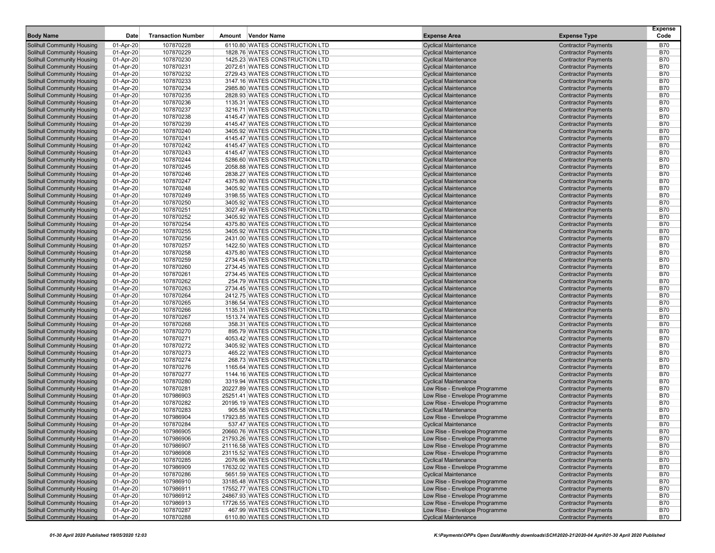| <b>Body Name</b>                                                       | Date                   | <b>Transaction Number</b> | Amount Vendor Name                                               | <b>Expense Area</b>                                          | <b>Expense Type</b>                                      | <b>Expense</b><br>Code   |
|------------------------------------------------------------------------|------------------------|---------------------------|------------------------------------------------------------------|--------------------------------------------------------------|----------------------------------------------------------|--------------------------|
| Solihull Community Housing                                             | 01-Apr-20              | 107870228                 | 6110.80 WATES CONSTRUCTION LTD                                   | <b>Cyclical Maintenance</b>                                  | <b>Contractor Payments</b>                               | <b>B70</b>               |
| <b>Solihull Community Housing</b>                                      | 01-Apr-20              | 107870229                 | 1828.76 WATES CONSTRUCTION LTD                                   | <b>Cyclical Maintenance</b>                                  | <b>Contractor Payments</b>                               | <b>B70</b>               |
| <b>Solihull Community Housing</b>                                      | 01-Apr-20              | 107870230                 | 1425.23 WATES CONSTRUCTION LTD                                   | <b>Cyclical Maintenance</b>                                  | <b>Contractor Payments</b>                               | <b>B70</b>               |
| <b>Solihull Community Housing</b>                                      | 01-Apr-20              | 107870231                 | 2072.61 WATES CONSTRUCTION LTD                                   | <b>Cyclical Maintenance</b>                                  | <b>Contractor Payments</b>                               | <b>B70</b>               |
| <b>Solihull Community Housing</b>                                      | 01-Apr-20              | 107870232                 | 2729.43 WATES CONSTRUCTION LTD                                   | <b>Cyclical Maintenance</b>                                  | <b>Contractor Payments</b>                               | <b>B70</b>               |
| <b>Solihull Community Housing</b>                                      | 01-Apr-20              | 107870233                 | 3147.16 WATES CONSTRUCTION LTD                                   | <b>Cyclical Maintenance</b>                                  | <b>Contractor Payments</b>                               | <b>B70</b>               |
| <b>Solihull Community Housing</b>                                      | 01-Apr-20              | 107870234                 | 2985.80 WATES CONSTRUCTION LTD                                   | <b>Cyclical Maintenance</b>                                  | <b>Contractor Payments</b>                               | <b>B70</b>               |
| <b>Solihull Community Housing</b>                                      | 01-Apr-20              | 107870235                 | 2828.93 WATES CONSTRUCTION LTD                                   | <b>Cyclical Maintenance</b>                                  | <b>Contractor Payments</b>                               | <b>B70</b>               |
| <b>Solihull Community Housing</b>                                      | 01-Apr-20              | 107870236                 | 1135.31 WATES CONSTRUCTION LTD                                   | <b>Cyclical Maintenance</b>                                  | <b>Contractor Payments</b>                               | <b>B70</b>               |
| <b>Solihull Community Housing</b>                                      | 01-Apr-20              | 107870237                 | 3216.71 WATES CONSTRUCTION LTD                                   | <b>Cyclical Maintenance</b>                                  | <b>Contractor Payments</b>                               | <b>B70</b>               |
| Solihull Community Housing                                             | 01-Apr-20              | 107870238                 | 4145.47 WATES CONSTRUCTION LTD                                   | <b>Cyclical Maintenance</b>                                  | <b>Contractor Payments</b>                               | <b>B70</b>               |
| <b>Solihull Community Housing</b>                                      | 01-Apr-20              | 107870239                 | 4145.47 WATES CONSTRUCTION LTD                                   | <b>Cyclical Maintenance</b>                                  | <b>Contractor Payments</b>                               | <b>B70</b>               |
| <b>Solihull Community Housing</b>                                      | 01-Apr-20              | 107870240                 | 3405.92 WATES CONSTRUCTION LTD                                   | <b>Cyclical Maintenance</b>                                  | <b>Contractor Payments</b>                               | <b>B70</b>               |
| Solihull Community Housing                                             | 01-Apr-20              | 107870241                 | 4145.47 WATES CONSTRUCTION LTD                                   | <b>Cyclical Maintenance</b>                                  | <b>Contractor Payments</b>                               | <b>B70</b>               |
| <b>Solihull Community Housing</b>                                      | 01-Apr-20              | 107870242                 | 4145.47 WATES CONSTRUCTION LTD                                   | <b>Cyclical Maintenance</b>                                  | <b>Contractor Payments</b>                               | <b>B70</b>               |
| <b>Solihull Community Housing</b>                                      | 01-Apr-20              | 107870243                 | 4145.47 WATES CONSTRUCTION LTD                                   | <b>Cyclical Maintenance</b>                                  | <b>Contractor Payments</b>                               | <b>B70</b>               |
| <b>Solihull Community Housing</b>                                      | 01-Apr-20              | 107870244                 | 5286.60 WATES CONSTRUCTION LTD                                   | <b>Cyclical Maintenance</b>                                  | <b>Contractor Payments</b>                               | <b>B70</b>               |
| <b>Solihull Community Housing</b>                                      | 01-Apr-20              | 107870245                 | 2058.88 WATES CONSTRUCTION LTD                                   | <b>Cyclical Maintenance</b>                                  | <b>Contractor Payments</b>                               | <b>B70</b>               |
| <b>Solihull Community Housing</b>                                      | 01-Apr-20              | 107870246                 | 2838.27 WATES CONSTRUCTION LTD                                   | <b>Cyclical Maintenance</b>                                  | <b>Contractor Payments</b>                               | <b>B70</b>               |
| <b>Solihull Community Housing</b>                                      | 01-Apr-20              | 107870247                 | 4375.80 WATES CONSTRUCTION LTD                                   | <b>Cyclical Maintenance</b>                                  | <b>Contractor Payments</b>                               | <b>B70</b>               |
| <b>Solihull Community Housing</b>                                      | 01-Apr-20              | 107870248                 | 3405.92 WATES CONSTRUCTION LTD                                   | <b>Cyclical Maintenance</b>                                  | <b>Contractor Payments</b>                               | <b>B70</b>               |
| <b>Solihull Community Housing</b>                                      | 01-Apr-20              | 107870249                 | 3198.55 WATES CONSTRUCTION LTD                                   | <b>Cyclical Maintenance</b>                                  | <b>Contractor Payments</b>                               | <b>B70</b>               |
| <b>Solihull Community Housing</b>                                      | 01-Apr-20              | 107870250<br>107870251    | 3405.92 WATES CONSTRUCTION LTD<br>3027.49 WATES CONSTRUCTION LTD | <b>Cyclical Maintenance</b>                                  | <b>Contractor Payments</b>                               | <b>B70</b><br><b>B70</b> |
| <b>Solihull Community Housing</b>                                      | 01-Apr-20              |                           | 3405.92 WATES CONSTRUCTION LTD                                   | <b>Cyclical Maintenance</b>                                  | <b>Contractor Payments</b>                               | <b>B70</b>               |
| <b>Solihull Community Housing</b>                                      | 01-Apr-20              | 107870252<br>107870254    |                                                                  | <b>Cyclical Maintenance</b>                                  | <b>Contractor Payments</b>                               |                          |
| <b>Solihull Community Housing</b><br><b>Solihull Community Housing</b> | 01-Apr-20              | 107870255                 | 4375.80 WATES CONSTRUCTION LTD<br>3405.92 WATES CONSTRUCTION LTD | <b>Cyclical Maintenance</b>                                  | <b>Contractor Payments</b>                               | <b>B70</b><br><b>B70</b> |
| <b>Solihull Community Housing</b>                                      | 01-Apr-20<br>01-Apr-20 | 107870256                 | 2431.00 WATES CONSTRUCTION LTD                                   | <b>Cyclical Maintenance</b><br><b>Cyclical Maintenance</b>   | <b>Contractor Payments</b><br><b>Contractor Payments</b> | <b>B70</b>               |
| <b>Solihull Community Housing</b>                                      | 01-Apr-20              | 107870257                 | 1422.50 WATES CONSTRUCTION LTD                                   | <b>Cyclical Maintenance</b>                                  | <b>Contractor Payments</b>                               | <b>B70</b>               |
| <b>Solihull Community Housing</b>                                      | 01-Apr-20              | 107870258                 | 4375.80 WATES CONSTRUCTION LTD                                   | <b>Cyclical Maintenance</b>                                  | <b>Contractor Payments</b>                               | <b>B70</b>               |
| <b>Solihull Community Housing</b>                                      | 01-Apr-20              | 107870259                 | 2734.45 WATES CONSTRUCTION LTD                                   | <b>Cyclical Maintenance</b>                                  | <b>Contractor Payments</b>                               | <b>B70</b>               |
| <b>Solihull Community Housing</b>                                      | 01-Apr-20              | 107870260                 | 2734.45 WATES CONSTRUCTION LTD                                   | <b>Cyclical Maintenance</b>                                  | <b>Contractor Payments</b>                               | <b>B70</b>               |
| <b>Solihull Community Housing</b>                                      | 01-Apr-20              | 107870261                 | 2734.45 WATES CONSTRUCTION LTD                                   | <b>Cyclical Maintenance</b>                                  | <b>Contractor Payments</b>                               | <b>B70</b>               |
| <b>Solihull Community Housing</b>                                      | 01-Apr-20              | 107870262                 | 254.79 WATES CONSTRUCTION LTD                                    | <b>Cyclical Maintenance</b>                                  | <b>Contractor Payments</b>                               | <b>B70</b>               |
| <b>Solihull Community Housing</b>                                      | 01-Apr-20              | 107870263                 | 2734.45 WATES CONSTRUCTION LTD                                   | <b>Cyclical Maintenance</b>                                  | <b>Contractor Payments</b>                               | <b>B70</b>               |
| Solihull Community Housing                                             | 01-Apr-20              | 107870264                 | 2412.75 WATES CONSTRUCTION LTD                                   | <b>Cyclical Maintenance</b>                                  | <b>Contractor Payments</b>                               | <b>B70</b>               |
| <b>Solihull Community Housing</b>                                      | 01-Apr-20              | 107870265                 | 3186.54 WATES CONSTRUCTION LTD                                   | <b>Cyclical Maintenance</b>                                  | <b>Contractor Payments</b>                               | <b>B70</b>               |
| <b>Solihull Community Housing</b>                                      | 01-Apr-20              | 107870266                 | 1135.31 WATES CONSTRUCTION LTD                                   | <b>Cyclical Maintenance</b>                                  | <b>Contractor Payments</b>                               | <b>B70</b>               |
| Solihull Community Housing                                             | 01-Apr-20              | 107870267                 | 1513.74 WATES CONSTRUCTION LTD                                   | <b>Cyclical Maintenance</b>                                  | <b>Contractor Payments</b>                               | <b>B70</b>               |
| <b>Solihull Community Housing</b>                                      | 01-Apr-20              | 107870268                 | 358.31 WATES CONSTRUCTION LTD                                    | <b>Cyclical Maintenance</b>                                  | <b>Contractor Payments</b>                               | <b>B70</b>               |
| <b>Solihull Community Housing</b>                                      | 01-Apr-20              | 107870270                 | 895.79 WATES CONSTRUCTION LTD                                    | <b>Cyclical Maintenance</b>                                  | <b>Contractor Payments</b>                               | <b>B70</b>               |
| <b>Solihull Community Housing</b>                                      | 01-Apr-20              | 107870271                 | 4053.42 WATES CONSTRUCTION LTD                                   | <b>Cyclical Maintenance</b>                                  | <b>Contractor Payments</b>                               | <b>B70</b>               |
| <b>Solihull Community Housing</b>                                      | 01-Apr-20              | 107870272                 | 3405.92 WATES CONSTRUCTION LTD                                   | <b>Cyclical Maintenance</b>                                  | <b>Contractor Payments</b>                               | <b>B70</b>               |
| <b>Solihull Community Housing</b>                                      | 01-Apr-20              | 107870273                 | 465.22 WATES CONSTRUCTION LTD                                    | <b>Cyclical Maintenance</b>                                  | <b>Contractor Payments</b>                               | <b>B70</b>               |
| <b>Solihull Community Housing</b>                                      | 01-Apr-20              | 107870274                 | 268.73 WATES CONSTRUCTION LTD                                    | <b>Cyclical Maintenance</b>                                  | <b>Contractor Payments</b>                               | <b>B70</b>               |
| <b>Solihull Community Housing</b>                                      | 01-Apr-20              | 107870276                 | 1165.64 WATES CONSTRUCTION LTD                                   | <b>Cyclical Maintenance</b>                                  | <b>Contractor Payments</b>                               | <b>B70</b>               |
| <b>Solihull Community Housing</b>                                      | 01-Apr-20              | 107870277                 | 1144.16 WATES CONSTRUCTION LTD                                   | <b>Cyclical Maintenance</b>                                  | <b>Contractor Payments</b>                               | <b>B70</b>               |
| <b>Solihull Community Housing</b>                                      | 01-Apr-20              | 107870280                 | 3319.94 WATES CONSTRUCTION LTD                                   | <b>Cyclical Maintenance</b>                                  | <b>Contractor Payments</b>                               | <b>B70</b>               |
| <b>Solihull Community Housing</b>                                      | 01-Apr-20              | 107870281                 | 20227.89 WATES CONSTRUCTION LTD                                  | Low Rise - Envelope Programme                                | <b>Contractor Payments</b>                               | <b>B70</b>               |
| <b>Solihull Community Housing</b>                                      | 01-Apr-20              | 107986903                 | 25251.41 WATES CONSTRUCTION LTD                                  | Low Rise - Envelope Programme                                | <b>Contractor Payments</b>                               | <b>B70</b>               |
| <b>Solihull Community Housing</b>                                      | 01-Apr-20              | 107870282                 | 20195.19 WATES CONSTRUCTION LTD                                  | Low Rise - Envelope Programme                                | <b>Contractor Payments</b>                               | <b>B70</b>               |
| <b>Solihull Community Housing</b>                                      | 01-Apr-20              | 107870283                 | 905.58 WATES CONSTRUCTION LTD                                    | <b>Cyclical Maintenance</b>                                  | <b>Contractor Payments</b>                               | <b>B70</b>               |
| Solihull Community Housing                                             | 01-Apr-20              | 107986904                 | 17923.85 WATES CONSTRUCTION LTD                                  | Low Rise - Envelope Programme                                | <b>Contractor Payments</b>                               | <b>B70</b>               |
| <b>Solihull Community Housing</b>                                      | 01-Apr-20              | 107870284                 | 537.47 WATES CONSTRUCTION LTD                                    | <b>Cyclical Maintenance</b>                                  | <b>Contractor Payments</b>                               | <b>B70</b>               |
| Solihull Community Housing                                             | 01-Apr-20              | 107986905                 | 20660.76 WATES CONSTRUCTION LTD                                  | Low Rise - Envelope Programme                                | <b>Contractor Payments</b>                               | <b>B70</b>               |
| <b>Solihull Community Housing</b>                                      | 01-Apr-20              | 107986906                 | 21793.26 WATES CONSTRUCTION LTD                                  | Low Rise - Envelope Programme                                | <b>Contractor Payments</b>                               | <b>B70</b>               |
| <b>Solihull Community Housing</b>                                      | 01-Apr-20              | 107986907                 | 21116.58 WATES CONSTRUCTION LTD                                  | Low Rise - Envelope Programme                                | <b>Contractor Payments</b>                               | <b>B70</b>               |
| <b>Solihull Community Housing</b>                                      | 01-Apr-20              | 107986908                 | 23115.52 WATES CONSTRUCTION LTD                                  | Low Rise - Envelope Programme                                | <b>Contractor Payments</b>                               | <b>B70</b>               |
| <b>Solihull Community Housing</b>                                      | 01-Apr-20              | 107870285                 | 2076.96 WATES CONSTRUCTION LTD                                   | <b>Cyclical Maintenance</b>                                  | <b>Contractor Payments</b>                               | <b>B70</b>               |
| <b>Solihull Community Housing</b>                                      | 01-Apr-20              | 107986909                 | 17632.02 WATES CONSTRUCTION LTD                                  | Low Rise - Envelope Programme                                | <b>Contractor Payments</b>                               | <b>B70</b>               |
| <b>Solihull Community Housing</b>                                      | 01-Apr-20              | 107870286                 | 5651.59 WATES CONSTRUCTION LTD                                   | <b>Cyclical Maintenance</b>                                  | <b>Contractor Payments</b>                               | <b>B70</b>               |
| <b>Solihull Community Housing</b>                                      | 01-Apr-20              | 107986910                 | 33185.48 WATES CONSTRUCTION LTD                                  | Low Rise - Envelope Programme                                | <b>Contractor Payments</b>                               | <b>B70</b>               |
| <b>Solihull Community Housing</b>                                      | 01-Apr-20              | 107986911                 | 17552.77 WATES CONSTRUCTION LTD                                  | Low Rise - Envelope Programme                                | <b>Contractor Payments</b>                               | <b>B70</b>               |
| <b>Solihull Community Housing</b>                                      | 01-Apr-20              | 107986912                 | 24867.93 WATES CONSTRUCTION LTD                                  | Low Rise - Envelope Programme                                | <b>Contractor Payments</b>                               | <b>B70</b>               |
| <b>Solihull Community Housing</b><br><b>Solihull Community Housing</b> | 01-Apr-20              | 107986913                 | 17726.55 WATES CONSTRUCTION LTD<br>467.99 WATES CONSTRUCTION LTD | Low Rise - Envelope Programme                                | <b>Contractor Payments</b><br><b>Contractor Payments</b> | <b>B70</b>               |
| <b>Solihull Community Housing</b>                                      | 01-Apr-20<br>01-Apr-20 | 107870287<br>107870288    | 6110.80 WATES CONSTRUCTION LTD                                   | Low Rise - Envelope Programme<br><b>Cyclical Maintenance</b> | <b>Contractor Payments</b>                               | <b>B70</b><br><b>B70</b> |
|                                                                        |                        |                           |                                                                  |                                                              |                                                          |                          |